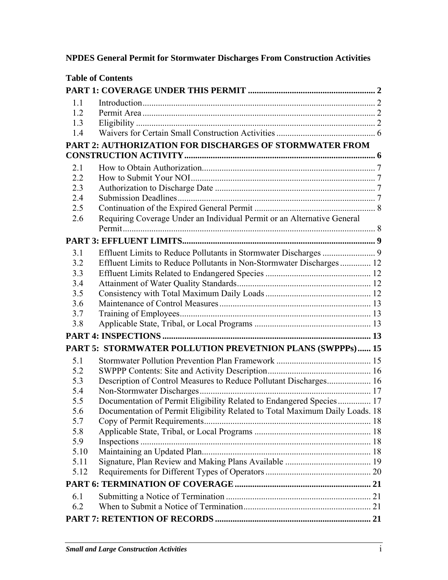# **NPDES General Permit for Stormwater Discharges From Construction Activities**

|      | <b>Table of Contents</b>                                                     |  |
|------|------------------------------------------------------------------------------|--|
|      |                                                                              |  |
| 1.1  |                                                                              |  |
| 1.2  |                                                                              |  |
| 1.3  |                                                                              |  |
| 1.4  |                                                                              |  |
|      | PART 2: AUTHORIZATION FOR DISCHARGES OF STORMWATER FROM                      |  |
|      |                                                                              |  |
| 2.1  |                                                                              |  |
| 2.2  |                                                                              |  |
| 2.3  |                                                                              |  |
| 2.4  |                                                                              |  |
| 2.5  |                                                                              |  |
| 2.6  | Requiring Coverage Under an Individual Permit or an Alternative General      |  |
|      |                                                                              |  |
| 3.1  |                                                                              |  |
| 3.2  | Effluent Limits to Reduce Pollutants in Non-Stormwater Discharges  12        |  |
| 3.3  |                                                                              |  |
| 3.4  |                                                                              |  |
| 3.5  |                                                                              |  |
| 3.6  |                                                                              |  |
| 3.7  |                                                                              |  |
| 3.8  |                                                                              |  |
|      |                                                                              |  |
|      | PART 5: STORMWATER POLLUTION PREVETNION PLANS (SWPPPs)  15                   |  |
| 5.1  |                                                                              |  |
| 5.2  |                                                                              |  |
| 5.3  | Description of Control Measures to Reduce Pollutant Discharges 16            |  |
| 5.4  |                                                                              |  |
| 5.5  | Documentation of Permit Eligibility Related to Endangered Species 17         |  |
| 5.6  | Documentation of Permit Eligibility Related to Total Maximum Daily Loads. 18 |  |
| 5.7  |                                                                              |  |
| 5.8  |                                                                              |  |
| 5.9  |                                                                              |  |
| 5.10 |                                                                              |  |
| 5.11 |                                                                              |  |
| 5.12 |                                                                              |  |
|      |                                                                              |  |
| 6.1  |                                                                              |  |
| 6.2  |                                                                              |  |
|      |                                                                              |  |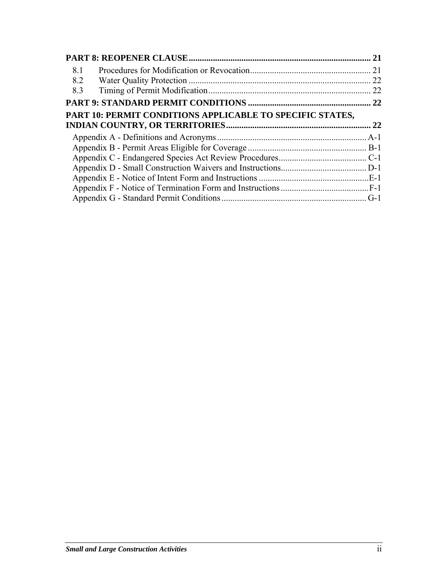|                                                           | 21 |  |
|-----------------------------------------------------------|----|--|
| 8.1                                                       | 21 |  |
| 8.2                                                       | 22 |  |
| 8.3                                                       | 22 |  |
|                                                           |    |  |
| PART 10: PERMIT CONDITIONS APPLICABLE TO SPECIFIC STATES, |    |  |
|                                                           |    |  |
|                                                           |    |  |
|                                                           |    |  |
|                                                           |    |  |
|                                                           |    |  |
|                                                           |    |  |
|                                                           |    |  |
|                                                           |    |  |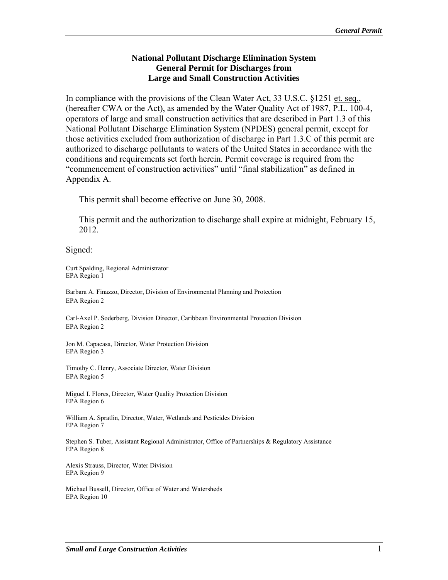#### **National Pollutant Discharge Elimination System General Permit for Discharges from Large and Small Construction Activities**

In compliance with the provisions of the Clean Water Act, 33 U.S.C. §1251 et. seq., (hereafter CWA or the Act), as amended by the Water Quality Act of 1987, P.L. 100-4, operators of large and small construction activities that are described in Part 1.3 of this National Pollutant Discharge Elimination System (NPDES) general permit, except for those activities excluded from authorization of discharge in Part 1.3.C of this permit are authorized to discharge pollutants to waters of the United States in accordance with the conditions and requirements set forth herein. Permit coverage is required from the "commencement of construction activities" until "final stabilization" as defined in Appendix A.

This permit shall become effective on June 30, 2008.

This permit and the authorization to discharge shall expire at midnight, February 15, 2012.

Signed:

Curt Spalding, Regional Administrator EPA Region 1

Barbara A. Finazzo, Director, Division of Environmental Planning and Protection EPA Region 2

Carl-Axel P. Soderberg, Division Director, Caribbean Environmental Protection Division EPA Region 2

Jon M. Capacasa, Director, Water Protection Division EPA Region 3

Timothy C. Henry, Associate Director, Water Division EPA Region 5

Miguel I. Flores, Director, Water Quality Protection Division EPA Region 6

William A. Spratlin, Director, Water, Wetlands and Pesticides Division EPA Region 7

Stephen S. Tuber, Assistant Regional Administrator, Office of Partnerships & Regulatory Assistance EPA Region 8

Alexis Strauss, Director, Water Division EPA Region 9

Michael Bussell, Director, Office of Water and Watersheds EPA Region 10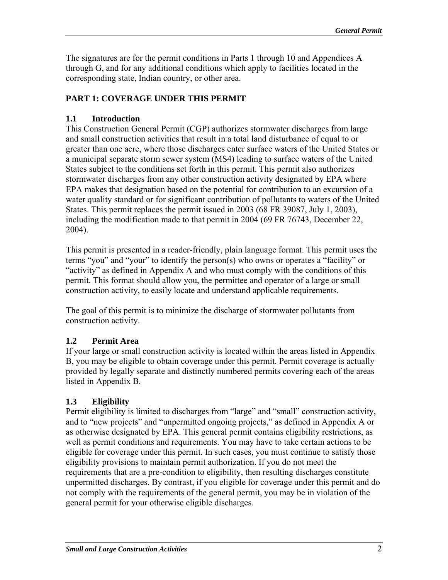The signatures are for the permit conditions in Parts 1 through 10 and Appendices A through G, and for any additional conditions which apply to facilities located in the corresponding state, Indian country, or other area.

# **PART 1: COVERAGE UNDER THIS PERMIT**

# **1.1 Introduction**

This Construction General Permit (CGP) authorizes stormwater discharges from large and small construction activities that result in a total land disturbance of equal to or greater than one acre, where those discharges enter surface waters of the United States or a municipal separate storm sewer system (MS4) leading to surface waters of the United States subject to the conditions set forth in this permit. This permit also authorizes stormwater discharges from any other construction activity designated by EPA where EPA makes that designation based on the potential for contribution to an excursion of a water quality standard or for significant contribution of pollutants to waters of the United States. This permit replaces the permit issued in 2003 (68 FR 39087, July 1, 2003), including the modification made to that permit in 2004 (69 FR 76743, December 22, 2004).

This permit is presented in a reader-friendly, plain language format. This permit uses the terms "you" and "your" to identify the person(s) who owns or operates a "facility" or "activity" as defined in Appendix A and who must comply with the conditions of this permit. This format should allow you, the permittee and operator of a large or small construction activity, to easily locate and understand applicable requirements.

The goal of this permit is to minimize the discharge of stormwater pollutants from construction activity.

# **1.2 Permit Area**

If your large or small construction activity is located within the areas listed in Appendix B, you may be eligible to obtain coverage under this permit. Permit coverage is actually provided by legally separate and distinctly numbered permits covering each of the areas listed in Appendix B.

# **1.3 Eligibility**

Permit eligibility is limited to discharges from "large" and "small" construction activity, and to "new projects" and "unpermitted ongoing projects," as defined in Appendix A or as otherwise designated by EPA. This general permit contains eligibility restrictions, as well as permit conditions and requirements. You may have to take certain actions to be eligible for coverage under this permit. In such cases, you must continue to satisfy those eligibility provisions to maintain permit authorization. If you do not meet the requirements that are a pre-condition to eligibility, then resulting discharges constitute unpermitted discharges. By contrast, if you eligible for coverage under this permit and do not comply with the requirements of the general permit, you may be in violation of the general permit for your otherwise eligible discharges.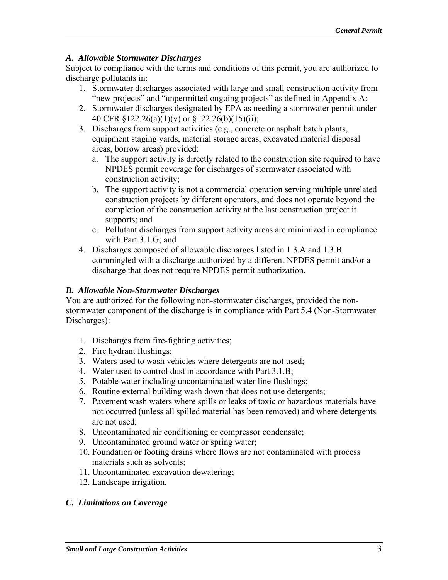### *A. Allowable Stormwater Discharges*

Subject to compliance with the terms and conditions of this permit, you are authorized to discharge pollutants in:

- 1. Stormwater discharges associated with large and small construction activity from "new projects" and "unpermitted ongoing projects" as defined in Appendix A;
- 2. Stormwater discharges designated by EPA as needing a stormwater permit under 40 CFR §122.26(a)(1)(v) or §122.26(b)(15)(ii);
- 3. Discharges from support activities (e.g., concrete or asphalt batch plants, equipment staging yards, material storage areas, excavated material disposal areas, borrow areas) provided:
	- a. The support activity is directly related to the construction site required to have NPDES permit coverage for discharges of stormwater associated with construction activity;
	- b. The support activity is not a commercial operation serving multiple unrelated construction projects by different operators, and does not operate beyond the completion of the construction activity at the last construction project it supports; and
	- c. Pollutant discharges from support activity areas are minimized in compliance with Part 3.1.G; and
- 4. Discharges composed of allowable discharges listed in 1.3.A and 1.3.B commingled with a discharge authorized by a different NPDES permit and/or a discharge that does not require NPDES permit authorization.

#### *B. Allowable Non-Stormwater Discharges*

You are authorized for the following non-stormwater discharges, provided the nonstormwater component of the discharge is in compliance with Part 5.4 (Non-Stormwater Discharges):

- 1. Discharges from fire-fighting activities;
- 2. Fire hydrant flushings;
- 3. Waters used to wash vehicles where detergents are not used;
- 4. Water used to control dust in accordance with Part 3.1.B;
- 5. Potable water including uncontaminated water line flushings;
- 6. Routine external building wash down that does not use detergents;
- 7. Pavement wash waters where spills or leaks of toxic or hazardous materials have not occurred (unless all spilled material has been removed) and where detergents are not used;
- 8. Uncontaminated air conditioning or compressor condensate;
- 9. Uncontaminated ground water or spring water;
- 10. Foundation or footing drains where flows are not contaminated with process materials such as solvents;
- 11. Uncontaminated excavation dewatering;
- 12. Landscape irrigation.

# *C. Limitations on Coverage*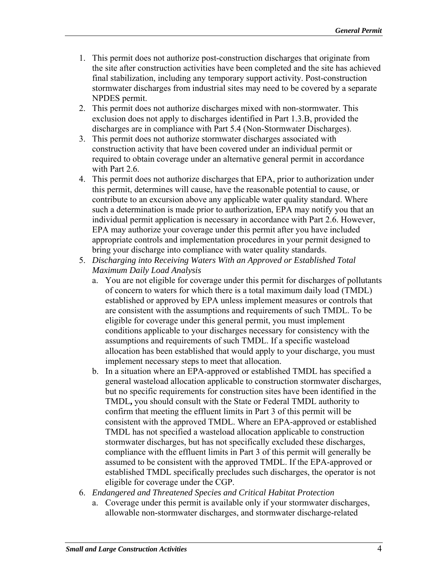- 1. This permit does not authorize post-construction discharges that originate from the site after construction activities have been completed and the site has achieved final stabilization, including any temporary support activity. Post-construction stormwater discharges from industrial sites may need to be covered by a separate NPDES permit.
- 2. This permit does not authorize discharges mixed with non-stormwater. This exclusion does not apply to discharges identified in Part 1.3.B, provided the discharges are in compliance with Part 5.4 (Non-Stormwater Discharges).
- 3. This permit does not authorize stormwater discharges associated with construction activity that have been covered under an individual permit or required to obtain coverage under an alternative general permit in accordance with Part 2.6.
- 4. This permit does not authorize discharges that EPA, prior to authorization under this permit, determines will cause, have the reasonable potential to cause, or contribute to an excursion above any applicable water quality standard. Where such a determination is made prior to authorization, EPA may notify you that an individual permit application is necessary in accordance with Part 2.6. However, EPA may authorize your coverage under this permit after you have included appropriate controls and implementation procedures in your permit designed to bring your discharge into compliance with water quality standards.
- 5. *Discharging into Receiving Waters With an Approved or Established Total Maximum Daily Load Analysis* 
	- a. You are not eligible for coverage under this permit for discharges of pollutants of concern to waters for which there is a total maximum daily load (TMDL) established or approved by EPA unless implement measures or controls that are consistent with the assumptions and requirements of such TMDL. To be eligible for coverage under this general permit, you must implement conditions applicable to your discharges necessary for consistency with the assumptions and requirements of such TMDL. If a specific wasteload allocation has been established that would apply to your discharge, you must implement necessary steps to meet that allocation.
	- b. In a situation where an EPA-approved or established TMDL has specified a general wasteload allocation applicable to construction stormwater discharges, but no specific requirements for construction sites have been identified in the TMDL**,** you should consult with the State or Federal TMDL authority to confirm that meeting the effluent limits in Part 3 of this permit will be consistent with the approved TMDL. Where an EPA-approved or established TMDL has not specified a wasteload allocation applicable to construction stormwater discharges, but has not specifically excluded these discharges, compliance with the effluent limits in Part 3 of this permit will generally be assumed to be consistent with the approved TMDL. If the EPA-approved or established TMDL specifically precludes such discharges, the operator is not eligible for coverage under the CGP.
- 6. *Endangered and Threatened Species and Critical Habitat Protection* 
	- a. Coverage under this permit is available only if your stormwater discharges, allowable non-stormwater discharges, and stormwater discharge-related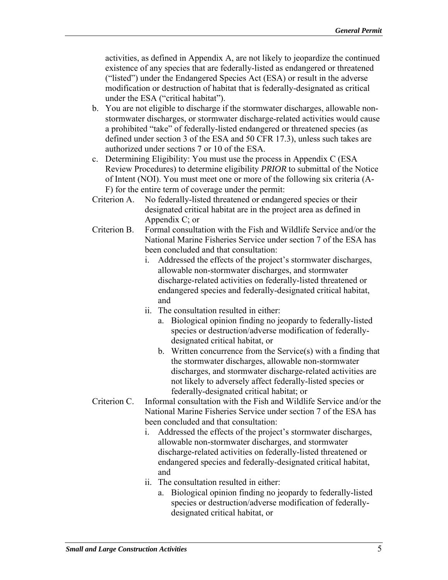activities, as defined in Appendix A, are not likely to jeopardize the continued existence of any species that are federally-listed as endangered or threatened ("listed") under the Endangered Species Act (ESA) or result in the adverse modification or destruction of habitat that is federally-designated as critical under the ESA ("critical habitat").

- b. You are not eligible to discharge if the stormwater discharges, allowable nonstormwater discharges, or stormwater discharge-related activities would cause a prohibited "take" of federally-listed endangered or threatened species (as defined under section 3 of the ESA and 50 CFR 17.3), unless such takes are authorized under sections 7 or 10 of the ESA.
- c. Determining Eligibility: You must use the process in Appendix C (ESA Review Procedures) to determine eligibility *PRIOR* to submittal of the Notice of Intent (NOI). You must meet one or more of the following six criteria (A-F) for the entire term of coverage under the permit:
- Criterion A. No federally-listed threatened or endangered species or their designated critical habitat are in the project area as defined in Appendix C; or
- Criterion B. Formal consultation with the Fish and Wildlife Service and/or the National Marine Fisheries Service under section 7 of the ESA has been concluded and that consultation:
	- i. Addressed the effects of the project's stormwater discharges, allowable non-stormwater discharges, and stormwater discharge-related activities on federally-listed threatened or endangered species and federally-designated critical habitat, and
	- ii. The consultation resulted in either:
		- a. Biological opinion finding no jeopardy to federally-listed species or destruction/adverse modification of federallydesignated critical habitat, or
		- b. Written concurrence from the Service $(s)$  with a finding that the stormwater discharges, allowable non-stormwater discharges, and stormwater discharge-related activities are not likely to adversely affect federally-listed species or federally-designated critical habitat; or
- Criterion C. Informal consultation with the Fish and Wildlife Service and/or the National Marine Fisheries Service under section 7 of the ESA has been concluded and that consultation:
	- i. Addressed the effects of the project's stormwater discharges, allowable non-stormwater discharges, and stormwater discharge-related activities on federally-listed threatened or endangered species and federally-designated critical habitat, and
	- ii. The consultation resulted in either:
		- a. Biological opinion finding no jeopardy to federally-listed species or destruction/adverse modification of federallydesignated critical habitat, or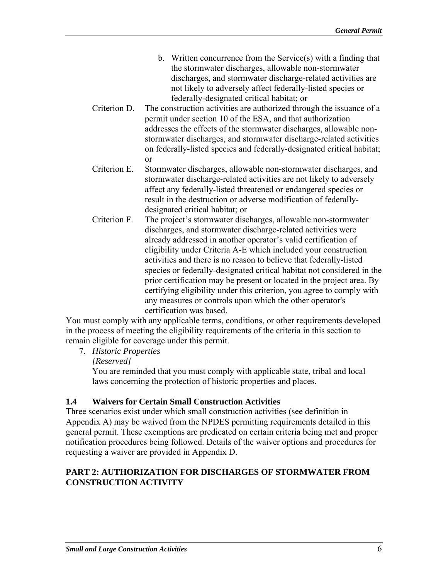- b. Written concurrence from the Service(s) with a finding that the stormwater discharges, allowable non-stormwater discharges, and stormwater discharge-related activities are not likely to adversely affect federally-listed species or federally-designated critical habitat; or
- Criterion D. The construction activities are authorized through the issuance of a permit under section 10 of the ESA, and that authorization addresses the effects of the stormwater discharges, allowable nonstormwater discharges, and stormwater discharge-related activities on federally-listed species and federally-designated critical habitat; or
- Criterion E. Stormwater discharges, allowable non-stormwater discharges, and stormwater discharge-related activities are not likely to adversely affect any federally-listed threatened or endangered species or result in the destruction or adverse modification of federallydesignated critical habitat; or
- Criterion F. The project's stormwater discharges, allowable non-stormwater discharges, and stormwater discharge-related activities were already addressed in another operator's valid certification of eligibility under Criteria A-E which included your construction activities and there is no reason to believe that federally-listed species or federally-designated critical habitat not considered in the prior certification may be present or located in the project area. By certifying eligibility under this criterion, you agree to comply with any measures or controls upon which the other operator's certification was based.

You must comply with any applicable terms, conditions, or other requirements developed in the process of meeting the eligibility requirements of the criteria in this section to remain eligible for coverage under this permit.

7. *Historic Properties*

*[Reserved]*

You are reminded that you must comply with applicable state, tribal and local laws concerning the protection of historic properties and places.

# **1.4 Waivers for Certain Small Construction Activities**

Three scenarios exist under which small construction activities (see definition in Appendix A) may be waived from the NPDES permitting requirements detailed in this general permit. These exemptions are predicated on certain criteria being met and proper notification procedures being followed. Details of the waiver options and procedures for requesting a waiver are provided in Appendix D.

# **PART 2: AUTHORIZATION FOR DISCHARGES OF STORMWATER FROM CONSTRUCTION ACTIVITY**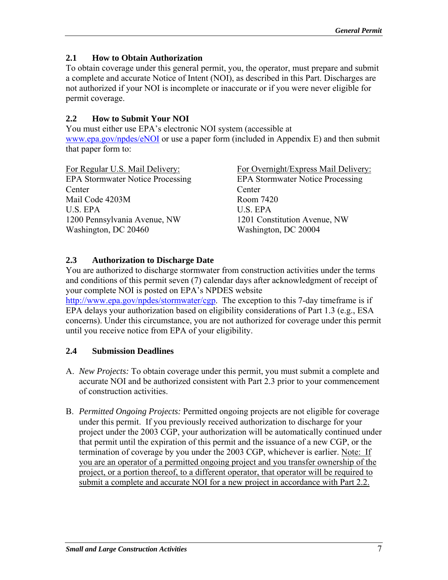# **2.1 How to Obtain Authorization**

To obtain coverage under this general permit, you, the operator, must prepare and submit a complete and accurate Notice of Intent (NOI), as described in this Part. Discharges are not authorized if your NOI is incomplete or inaccurate or if you were never eligible for permit coverage.

# **2.2 How to Submit Your NOI**

You must either use EPA's electronic NOI system (accessible at www.epa.gov/npdes/eNOI or use a paper form (included in Appendix E) and then submit that paper form to:

| For Regular U.S. Mail Delivery:         | For Overnight/Express Mail Delivery:    |
|-----------------------------------------|-----------------------------------------|
| <b>EPA Stormwater Notice Processing</b> | <b>EPA Stormwater Notice Processing</b> |
| Center                                  | Center                                  |
| Mail Code 4203M                         | Room 7420                               |
| U.S. EPA                                | U.S. EPA                                |
| 1200 Pennsylvania Avenue, NW            | 1201 Constitution Avenue, NW            |
| Washington, DC 20460                    | Washington, DC 20004                    |

# **2.3 Authorization to Discharge Date**

You are authorized to discharge stormwater from construction activities under the terms and conditions of this permit seven (7) calendar days after acknowledgment of receipt of your complete NOI is posted on EPA's NPDES website

http://www.epa.gov/npdes/stormwater/cgp. The exception to this 7-day timeframe is if EPA delays your authorization based on eligibility considerations of Part 1.3 (e.g., ESA concerns). Under this circumstance, you are not authorized for coverage under this permit until you receive notice from EPA of your eligibility.

# **2.4 Submission Deadlines**

- A. *New Projects:* To obtain coverage under this permit, you must submit a complete and accurate NOI and be authorized consistent with Part 2.3 prior to your commencement of construction activities.
- B. *Permitted Ongoing Projects:* Permitted ongoing projects are not eligible for coverage under this permit. If you previously received authorization to discharge for your project under the 2003 CGP, your authorization will be automatically continued under that permit until the expiration of this permit and the issuance of a new CGP, or the termination of coverage by you under the 2003 CGP, whichever is earlier. Note: If you are an operator of a permitted ongoing project and you transfer ownership of the project, or a portion thereof, to a different operator, that operator will be required to submit a complete and accurate NOI for a new project in accordance with Part 2.2.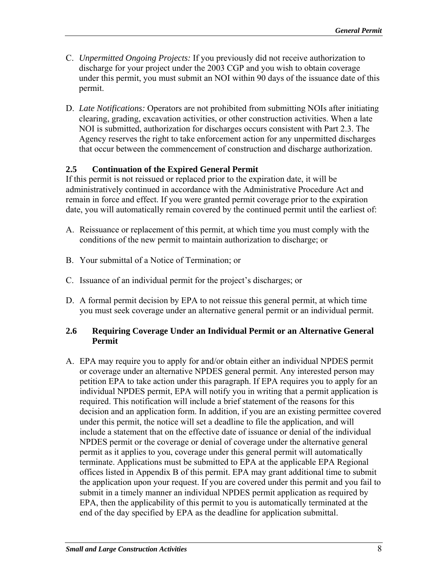- C. *Unpermitted Ongoing Projects:* If you previously did not receive authorization to discharge for your project under the 2003 CGP and you wish to obtain coverage under this permit, you must submit an NOI within 90 days of the issuance date of this permit.
- D. *Late Notifications:* Operators are not prohibited from submitting NOIs after initiating clearing, grading, excavation activities, or other construction activities. When a late NOI is submitted, authorization for discharges occurs consistent with Part 2.3. The Agency reserves the right to take enforcement action for any unpermitted discharges that occur between the commencement of construction and discharge authorization.

# **2.5 Continuation of the Expired General Permit**

If this permit is not reissued or replaced prior to the expiration date, it will be administratively continued in accordance with the Administrative Procedure Act and remain in force and effect. If you were granted permit coverage prior to the expiration date, you will automatically remain covered by the continued permit until the earliest of:

- A. Reissuance or replacement of this permit, at which time you must comply with the conditions of the new permit to maintain authorization to discharge; or
- B. Your submittal of a Notice of Termination; or
- C. Issuance of an individual permit for the project's discharges; or
- D. A formal permit decision by EPA to not reissue this general permit, at which time you must seek coverage under an alternative general permit or an individual permit.

#### **2.6 Requiring Coverage Under an Individual Permit or an Alternative General Permit**

A. EPA may require you to apply for and/or obtain either an individual NPDES permit or coverage under an alternative NPDES general permit. Any interested person may petition EPA to take action under this paragraph. If EPA requires you to apply for an individual NPDES permit, EPA will notify you in writing that a permit application is required. This notification will include a brief statement of the reasons for this decision and an application form. In addition, if you are an existing permittee covered under this permit, the notice will set a deadline to file the application, and will include a statement that on the effective date of issuance or denial of the individual NPDES permit or the coverage or denial of coverage under the alternative general permit as it applies to you, coverage under this general permit will automatically terminate. Applications must be submitted to EPA at the applicable EPA Regional offices listed in Appendix B of this permit. EPA may grant additional time to submit the application upon your request. If you are covered under this permit and you fail to submit in a timely manner an individual NPDES permit application as required by EPA, then the applicability of this permit to you is automatically terminated at the end of the day specified by EPA as the deadline for application submittal.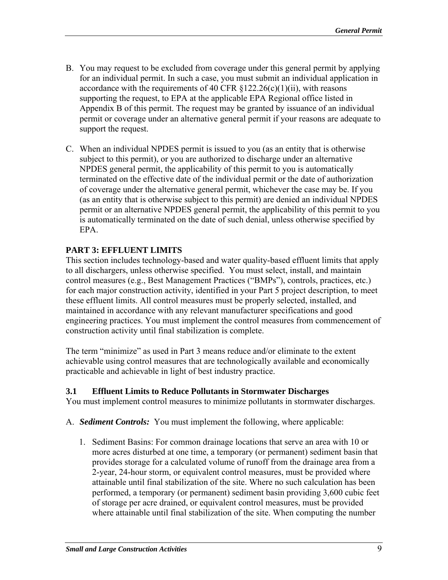- B. You may request to be excluded from coverage under this general permit by applying for an individual permit. In such a case, you must submit an individual application in accordance with the requirements of 40 CFR  $\S 122.26(c)(1)(ii)$ , with reasons supporting the request, to EPA at the applicable EPA Regional office listed in Appendix B of this permit. The request may be granted by issuance of an individual permit or coverage under an alternative general permit if your reasons are adequate to support the request.
- C. When an individual NPDES permit is issued to you (as an entity that is otherwise subject to this permit), or you are authorized to discharge under an alternative NPDES general permit, the applicability of this permit to you is automatically terminated on the effective date of the individual permit or the date of authorization of coverage under the alternative general permit, whichever the case may be. If you (as an entity that is otherwise subject to this permit) are denied an individual NPDES permit or an alternative NPDES general permit, the applicability of this permit to you is automatically terminated on the date of such denial, unless otherwise specified by EPA.

# **PART 3: EFFLUENT LIMITS**

This section includes technology-based and water quality-based effluent limits that apply to all dischargers, unless otherwise specified. You must select, install, and maintain control measures (e.g., Best Management Practices ("BMPs"), controls, practices, etc.) for each major construction activity, identified in your Part 5 project description, to meet these effluent limits. All control measures must be properly selected, installed, and maintained in accordance with any relevant manufacturer specifications and good engineering practices. You must implement the control measures from commencement of construction activity until final stabilization is complete.

The term "minimize" as used in Part 3 means reduce and/or eliminate to the extent achievable using control measures that are technologically available and economically practicable and achievable in light of best industry practice.

#### **3.1 Effluent Limits to Reduce Pollutants in Stormwater Discharges**

You must implement control measures to minimize pollutants in stormwater discharges.

- A. *Sediment Controls:* You must implement the following, where applicable:
	- 1. Sediment Basins: For common drainage locations that serve an area with 10 or more acres disturbed at one time, a temporary (or permanent) sediment basin that provides storage for a calculated volume of runoff from the drainage area from a 2-year, 24-hour storm, or equivalent control measures, must be provided where attainable until final stabilization of the site. Where no such calculation has been performed, a temporary (or permanent) sediment basin providing 3,600 cubic feet of storage per acre drained, or equivalent control measures, must be provided where attainable until final stabilization of the site. When computing the number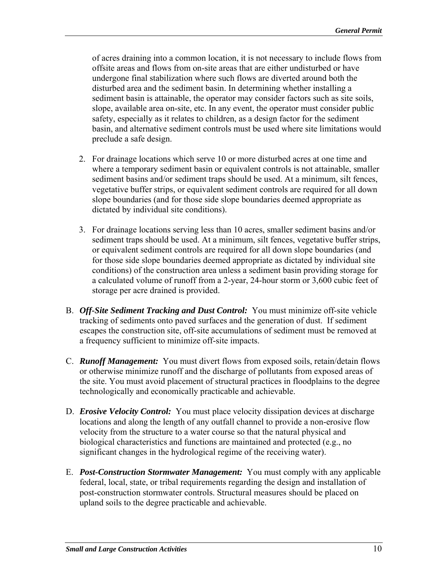of acres draining into a common location, it is not necessary to include flows from offsite areas and flows from on-site areas that are either undisturbed or have undergone final stabilization where such flows are diverted around both the disturbed area and the sediment basin. In determining whether installing a sediment basin is attainable, the operator may consider factors such as site soils, slope, available area on-site, etc. In any event, the operator must consider public safety, especially as it relates to children, as a design factor for the sediment basin, and alternative sediment controls must be used where site limitations would preclude a safe design.

- 2. For drainage locations which serve 10 or more disturbed acres at one time and where a temporary sediment basin or equivalent controls is not attainable, smaller sediment basins and/or sediment traps should be used. At a minimum, silt fences, vegetative buffer strips, or equivalent sediment controls are required for all down slope boundaries (and for those side slope boundaries deemed appropriate as dictated by individual site conditions).
- 3. For drainage locations serving less than 10 acres, smaller sediment basins and/or sediment traps should be used. At a minimum, silt fences, vegetative buffer strips, or equivalent sediment controls are required for all down slope boundaries (and for those side slope boundaries deemed appropriate as dictated by individual site conditions) of the construction area unless a sediment basin providing storage for a calculated volume of runoff from a 2-year, 24-hour storm or 3,600 cubic feet of storage per acre drained is provided.
- B. *Off-Site Sediment Tracking and Dust Control:* You must minimize off-site vehicle tracking of sediments onto paved surfaces and the generation of dust. If sediment escapes the construction site, off-site accumulations of sediment must be removed at a frequency sufficient to minimize off-site impacts.
- C. *Runoff Management:* You must divert flows from exposed soils, retain/detain flows or otherwise minimize runoff and the discharge of pollutants from exposed areas of the site. You must avoid placement of structural practices in floodplains to the degree technologically and economically practicable and achievable.
- D. *Erosive Velocity Control:* You must place velocity dissipation devices at discharge locations and along the length of any outfall channel to provide a non-erosive flow velocity from the structure to a water course so that the natural physical and biological characteristics and functions are maintained and protected (e.g., no significant changes in the hydrological regime of the receiving water).
- E. **Post-Construction Stormwater Management:** You must comply with any applicable federal, local, state, or tribal requirements regarding the design and installation of post-construction stormwater controls. Structural measures should be placed on upland soils to the degree practicable and achievable.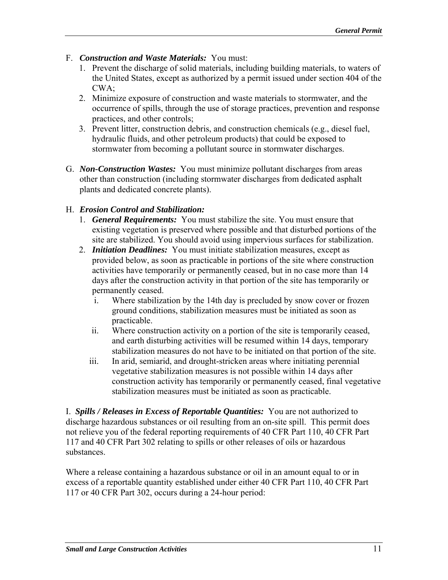- F. *Construction and Waste Materials:* You must:
	- 1. Prevent the discharge of solid materials, including building materials, to waters of the United States, except as authorized by a permit issued under section 404 of the CWA;
	- 2. Minimize exposure of construction and waste materials to stormwater, and the occurrence of spills, through the use of storage practices, prevention and response practices, and other controls;
	- 3. Prevent litter, construction debris, and construction chemicals (e.g., diesel fuel, hydraulic fluids, and other petroleum products) that could be exposed to stormwater from becoming a pollutant source in stormwater discharges.
- G. *Non-Construction Wastes:* You must minimize pollutant discharges from areas other than construction (including stormwater discharges from dedicated asphalt plants and dedicated concrete plants).

### H. *Erosion Control and Stabilization:*

- 1. *General Requirements:* You must stabilize the site. You must ensure that existing vegetation is preserved where possible and that disturbed portions of the site are stabilized. You should avoid using impervious surfaces for stabilization.
- 2. *Initiation Deadlines:* You must initiate stabilization measures, except as provided below, as soon as practicable in portions of the site where construction activities have temporarily or permanently ceased, but in no case more than 14 days after the construction activity in that portion of the site has temporarily or permanently ceased.
	- i. Where stabilization by the 14th day is precluded by snow cover or frozen ground conditions, stabilization measures must be initiated as soon as practicable.
	- ii. Where construction activity on a portion of the site is temporarily ceased, and earth disturbing activities will be resumed within 14 days, temporary stabilization measures do not have to be initiated on that portion of the site.
	- iii. In arid, semiarid, and drought-stricken areas where initiating perennial vegetative stabilization measures is not possible within 14 days after construction activity has temporarily or permanently ceased, final vegetative stabilization measures must be initiated as soon as practicable.

I. *Spills / Releases in Excess of Reportable Quantities:* You are not authorized to discharge hazardous substances or oil resulting from an on-site spill. This permit does not relieve you of the federal reporting requirements of 40 CFR Part 110, 40 CFR Part 117 and 40 CFR Part 302 relating to spills or other releases of oils or hazardous substances.

Where a release containing a hazardous substance or oil in an amount equal to or in excess of a reportable quantity established under either 40 CFR Part 110, 40 CFR Part 117 or 40 CFR Part 302, occurs during a 24-hour period: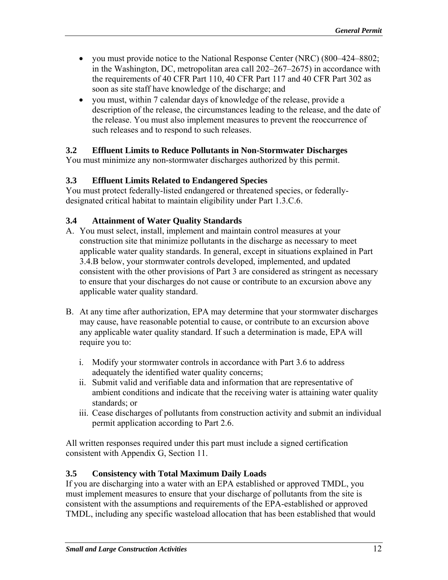- you must provide notice to the National Response Center (NRC) (800–424–8802; in the Washington, DC, metropolitan area call 202–267–2675) in accordance with the requirements of 40 CFR Part 110, 40 CFR Part 117 and 40 CFR Part 302 as soon as site staff have knowledge of the discharge; and
- you must, within 7 calendar days of knowledge of the release, provide a description of the release, the circumstances leading to the release, and the date of the release. You must also implement measures to prevent the reoccurrence of such releases and to respond to such releases.

### **3.2 Effluent Limits to Reduce Pollutants in Non-Stormwater Discharges**

You must minimize any non-stormwater discharges authorized by this permit.

### **3.3 Effluent Limits Related to Endangered Species**

You must protect federally-listed endangered or threatened species, or federallydesignated critical habitat to maintain eligibility under Part 1.3.C.6.

### **3.4 Attainment of Water Quality Standards**

- A. You must select, install, implement and maintain control measures at your construction site that minimize pollutants in the discharge as necessary to meet applicable water quality standards. In general, except in situations explained in Part 3.4.B below, your stormwater controls developed, implemented, and updated consistent with the other provisions of Part 3 are considered as stringent as necessary to ensure that your discharges do not cause or contribute to an excursion above any applicable water quality standard.
- B. At any time after authorization, EPA may determine that your stormwater discharges may cause, have reasonable potential to cause, or contribute to an excursion above any applicable water quality standard. If such a determination is made, EPA will require you to:
	- i. Modify your stormwater controls in accordance with Part 3.6 to address adequately the identified water quality concerns;
	- ii. Submit valid and verifiable data and information that are representative of ambient conditions and indicate that the receiving water is attaining water quality standards; or
	- iii. Cease discharges of pollutants from construction activity and submit an individual permit application according to Part 2.6.

All written responses required under this part must include a signed certification consistent with Appendix G, Section 11.

#### **3.5 Consistency with Total Maximum Daily Loads**

If you are discharging into a water with an EPA established or approved TMDL, you must implement measures to ensure that your discharge of pollutants from the site is consistent with the assumptions and requirements of the EPA-established or approved TMDL, including any specific wasteload allocation that has been established that would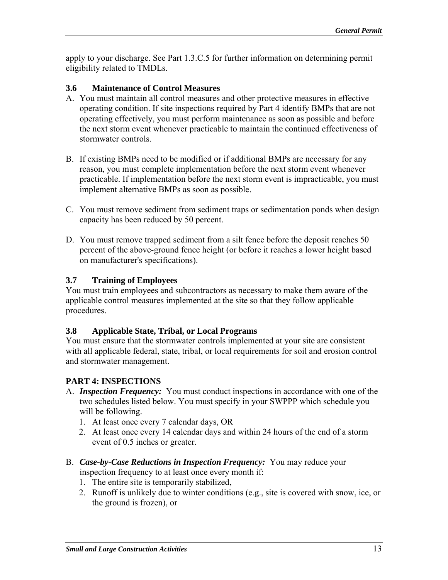apply to your discharge. See Part 1.3.C.5 for further information on determining permit eligibility related to TMDLs.

#### **3.6 Maintenance of Control Measures**

- A. You must maintain all control measures and other protective measures in effective operating condition. If site inspections required by Part 4 identify BMPs that are not operating effectively, you must perform maintenance as soon as possible and before the next storm event whenever practicable to maintain the continued effectiveness of stormwater controls.
- B. If existing BMPs need to be modified or if additional BMPs are necessary for any reason, you must complete implementation before the next storm event whenever practicable. If implementation before the next storm event is impracticable, you must implement alternative BMPs as soon as possible.
- C. You must remove sediment from sediment traps or sedimentation ponds when design capacity has been reduced by 50 percent.
- D. You must remove trapped sediment from a silt fence before the deposit reaches 50 percent of the above-ground fence height (or before it reaches a lower height based on manufacturer's specifications).

### **3.7 Training of Employees**

You must train employees and subcontractors as necessary to make them aware of the applicable control measures implemented at the site so that they follow applicable procedures.

# **3.8 Applicable State, Tribal, or Local Programs**

You must ensure that the stormwater controls implemented at your site are consistent with all applicable federal, state, tribal, or local requirements for soil and erosion control and stormwater management.

# **PART 4: INSPECTIONS**

- A. *Inspection Frequency*: You must conduct inspections in accordance with one of the two schedules listed below. You must specify in your SWPPP which schedule you will be following.
	- 1. At least once every 7 calendar days, OR
	- 2. At least once every 14 calendar days and within 24 hours of the end of a storm event of 0.5 inches or greater.
- B. *Case-by-Case Reductions in Inspection Frequency:* You may reduce your inspection frequency to at least once every month if:
	- 1. The entire site is temporarily stabilized,
	- 2. Runoff is unlikely due to winter conditions (e.g., site is covered with snow, ice, or the ground is frozen), or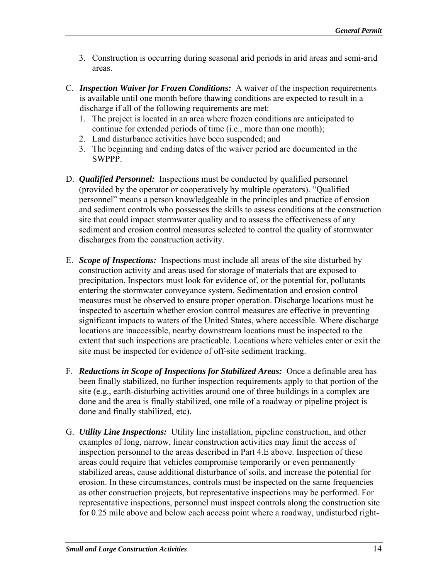- 3. Construction is occurring during seasonal arid periods in arid areas and semi-arid areas.
- C. *Inspection Waiver for Frozen Conditions:* A waiver of the inspection requirements is available until one month before thawing conditions are expected to result in a discharge if all of the following requirements are met:
	- 1. The project is located in an area where frozen conditions are anticipated to continue for extended periods of time (i.e., more than one month);
	- 2. Land disturbance activities have been suspended; and
	- 3. The beginning and ending dates of the waiver period are documented in the SWPPP.
- D. *Qualified Personnel:* Inspections must be conducted by qualified personnel (provided by the operator or cooperatively by multiple operators). "Qualified personnel" means a person knowledgeable in the principles and practice of erosion and sediment controls who possesses the skills to assess conditions at the construction site that could impact stormwater quality and to assess the effectiveness of any sediment and erosion control measures selected to control the quality of stormwater discharges from the construction activity.
- E. *Scope of Inspections:* Inspections must include all areas of the site disturbed by construction activity and areas used for storage of materials that are exposed to precipitation. Inspectors must look for evidence of, or the potential for, pollutants entering the stormwater conveyance system. Sedimentation and erosion control measures must be observed to ensure proper operation. Discharge locations must be inspected to ascertain whether erosion control measures are effective in preventing significant impacts to waters of the United States, where accessible. Where discharge locations are inaccessible, nearby downstream locations must be inspected to the extent that such inspections are practicable. Locations where vehicles enter or exit the site must be inspected for evidence of off-site sediment tracking.
- F. *Reductions in Scope of Inspections for Stabilized Areas:* Once a definable area has been finally stabilized, no further inspection requirements apply to that portion of the site (e.g., earth-disturbing activities around one of three buildings in a complex are done and the area is finally stabilized, one mile of a roadway or pipeline project is done and finally stabilized, etc).
- G. *Utility Line Inspections:* Utility line installation, pipeline construction, and other examples of long, narrow, linear construction activities may limit the access of inspection personnel to the areas described in Part 4.E above. Inspection of these areas could require that vehicles compromise temporarily or even permanently stabilized areas, cause additional disturbance of soils, and increase the potential for erosion. In these circumstances, controls must be inspected on the same frequencies as other construction projects, but representative inspections may be performed. For representative inspections, personnel must inspect controls along the construction site for 0.25 mile above and below each access point where a roadway, undisturbed right-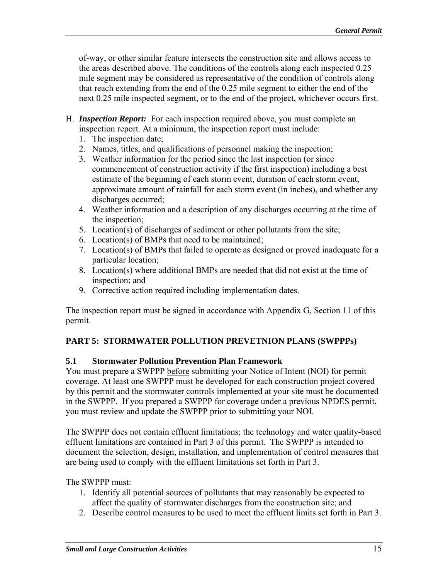of-way, or other similar feature intersects the construction site and allows access to the areas described above. The conditions of the controls along each inspected 0.25 mile segment may be considered as representative of the condition of controls along that reach extending from the end of the 0.25 mile segment to either the end of the next 0.25 mile inspected segment, or to the end of the project, whichever occurs first.

- H. *Inspection Report:* For each inspection required above, you must complete an inspection report. At a minimum, the inspection report must include:
	- 1. The inspection date;
	- 2. Names, titles, and qualifications of personnel making the inspection;
	- 3. Weather information for the period since the last inspection (or since commencement of construction activity if the first inspection) including a best estimate of the beginning of each storm event, duration of each storm event, approximate amount of rainfall for each storm event (in inches), and whether any discharges occurred;
	- 4. Weather information and a description of any discharges occurring at the time of the inspection;
	- 5. Location(s) of discharges of sediment or other pollutants from the site;
	- 6. Location(s) of BMPs that need to be maintained;
	- 7. Location(s) of BMPs that failed to operate as designed or proved inadequate for a particular location;
	- 8. Location(s) where additional BMPs are needed that did not exist at the time of inspection; and
	- 9. Corrective action required including implementation dates.

The inspection report must be signed in accordance with Appendix G, Section 11 of this permit.

# **PART 5: STORMWATER POLLUTION PREVETNION PLANS (SWPPPs)**

# **5.1 Stormwater Pollution Prevention Plan Framework**

You must prepare a SWPPP before submitting your Notice of Intent (NOI) for permit coverage. At least one SWPPP must be developed for each construction project covered by this permit and the stormwater controls implemented at your site must be documented in the SWPPP. If you prepared a SWPPP for coverage under a previous NPDES permit, you must review and update the SWPPP prior to submitting your NOI.

The SWPPP does not contain effluent limitations; the technology and water quality-based effluent limitations are contained in Part 3 of this permit. The SWPPP is intended to document the selection, design, installation, and implementation of control measures that are being used to comply with the effluent limitations set forth in Part 3.

#### The SWPPP must:

- 1. Identify all potential sources of pollutants that may reasonably be expected to affect the quality of stormwater discharges from the construction site; and
- 2. Describe control measures to be used to meet the effluent limits set forth in Part 3.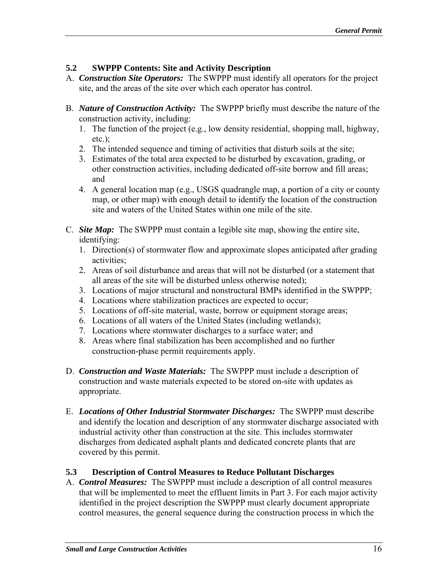# **5.2 SWPPP Contents: Site and Activity Description**

- A. *Construction Site Operators:* The SWPPP must identify all operators for the project site, and the areas of the site over which each operator has control.
- B. *Nature of Construction Activity:* The SWPPP briefly must describe the nature of the construction activity, including:
	- 1. The function of the project  $(e.g., low density residual, shopping mall, highway,$ etc.);
	- 2. The intended sequence and timing of activities that disturb soils at the site;
	- 3. Estimates of the total area expected to be disturbed by excavation, grading, or other construction activities, including dedicated off-site borrow and fill areas; and
	- 4. A general location map (e.g., USGS quadrangle map, a portion of a city or county map, or other map) with enough detail to identify the location of the construction site and waters of the United States within one mile of the site.
- C. *Site Map*: The SWPPP must contain a legible site map, showing the entire site, identifying:
	- 1. Direction(s) of stormwater flow and approximate slopes anticipated after grading activities;
	- 2. Areas of soil disturbance and areas that will not be disturbed (or a statement that all areas of the site will be disturbed unless otherwise noted);
	- 3. Locations of major structural and nonstructural BMPs identified in the SWPPP;
	- 4. Locations where stabilization practices are expected to occur;
	- 5. Locations of off-site material, waste, borrow or equipment storage areas;
	- 6. Locations of all waters of the United States (including wetlands);
	- 7. Locations where stormwater discharges to a surface water; and
	- 8. Areas where final stabilization has been accomplished and no further construction-phase permit requirements apply.
- D. *Construction and Waste Materials:* The SWPPP must include a description of construction and waste materials expected to be stored on-site with updates as appropriate.
- E. *Locations of Other Industrial Stormwater Discharges:* The SWPPP must describe and identify the location and description of any stormwater discharge associated with industrial activity other than construction at the site. This includes stormwater discharges from dedicated asphalt plants and dedicated concrete plants that are covered by this permit.

# **5.3 Description of Control Measures to Reduce Pollutant Discharges**

A. *Control Measures:* The SWPPP must include a description of all control measures that will be implemented to meet the effluent limits in Part 3. For each major activity identified in the project description the SWPPP must clearly document appropriate control measures, the general sequence during the construction process in which the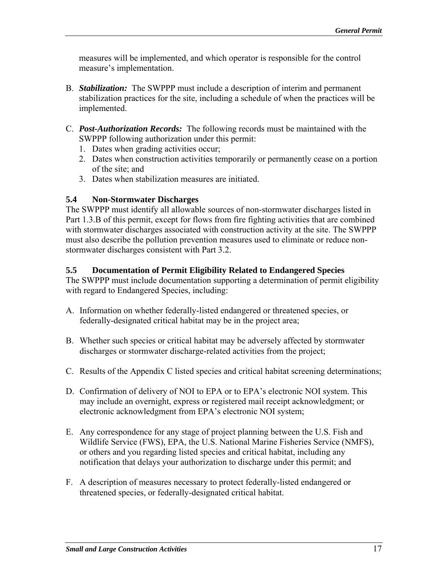measures will be implemented, and which operator is responsible for the control measure's implementation.

- B. *Stabilization:* The SWPPP must include a description of interim and permanent stabilization practices for the site, including a schedule of when the practices will be implemented.
- C. *Post-Authorization Records:* The following records must be maintained with the SWPPP following authorization under this permit:
	- 1. Dates when grading activities occur;
	- 2. Dates when construction activities temporarily or permanently cease on a portion of the site; and
	- 3. Dates when stabilization measures are initiated.

### **5.4 Non-Stormwater Discharges**

The SWPPP must identify all allowable sources of non-stormwater discharges listed in Part 1.3.B of this permit, except for flows from fire fighting activities that are combined with stormwater discharges associated with construction activity at the site. The SWPPP must also describe the pollution prevention measures used to eliminate or reduce nonstormwater discharges consistent with Part 3.2.

### **5.5 Documentation of Permit Eligibility Related to Endangered Species**

The SWPPP must include documentation supporting a determination of permit eligibility with regard to Endangered Species, including:

- A. Information on whether federally-listed endangered or threatened species, or federally-designated critical habitat may be in the project area;
- B. Whether such species or critical habitat may be adversely affected by stormwater discharges or stormwater discharge-related activities from the project;
- C. Results of the Appendix C listed species and critical habitat screening determinations;
- D. Confirmation of delivery of NOI to EPA or to EPA's electronic NOI system. This may include an overnight, express or registered mail receipt acknowledgment; or electronic acknowledgment from EPA's electronic NOI system;
- E. Any correspondence for any stage of project planning between the U.S. Fish and Wildlife Service (FWS), EPA, the U.S. National Marine Fisheries Service (NMFS), or others and you regarding listed species and critical habitat, including any notification that delays your authorization to discharge under this permit; and
- F. A description of measures necessary to protect federally-listed endangered or threatened species, or federally-designated critical habitat.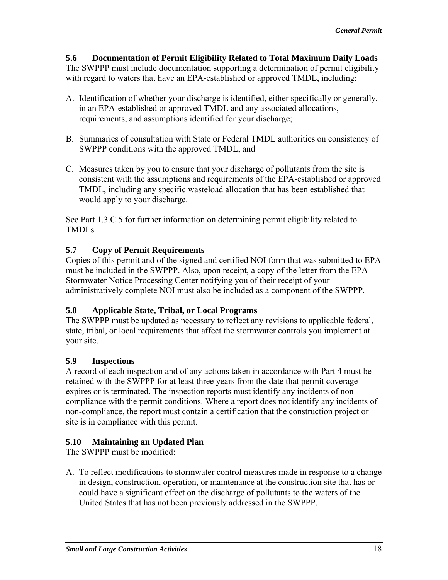**5.6 Documentation of Permit Eligibility Related to Total Maximum Daily Loads**  The SWPPP must include documentation supporting a determination of permit eligibility with regard to waters that have an EPA-established or approved TMDL, including:

- A. Identification of whether your discharge is identified, either specifically or generally, in an EPA-established or approved TMDL and any associated allocations, requirements, and assumptions identified for your discharge;
- B. Summaries of consultation with State or Federal TMDL authorities on consistency of SWPPP conditions with the approved TMDL, and
- C. Measures taken by you to ensure that your discharge of pollutants from the site is consistent with the assumptions and requirements of the EPA-established or approved TMDL, including any specific wasteload allocation that has been established that would apply to your discharge.

See Part 1.3.C.5 for further information on determining permit eligibility related to TMDLs.

# **5.7 Copy of Permit Requirements**

Copies of this permit and of the signed and certified NOI form that was submitted to EPA must be included in the SWPPP. Also, upon receipt, a copy of the letter from the EPA Stormwater Notice Processing Center notifying you of their receipt of your administratively complete NOI must also be included as a component of the SWPPP.

# **5.8 Applicable State, Tribal, or Local Programs**

The SWPPP must be updated as necessary to reflect any revisions to applicable federal, state, tribal, or local requirements that affect the stormwater controls you implement at your site.

# **5.9 Inspections**

A record of each inspection and of any actions taken in accordance with Part 4 must be retained with the SWPPP for at least three years from the date that permit coverage expires or is terminated. The inspection reports must identify any incidents of noncompliance with the permit conditions. Where a report does not identify any incidents of non-compliance, the report must contain a certification that the construction project or site is in compliance with this permit.

# **5.10 Maintaining an Updated Plan**

The SWPPP must be modified:

A. To reflect modifications to stormwater control measures made in response to a change in design, construction, operation, or maintenance at the construction site that has or could have a significant effect on the discharge of pollutants to the waters of the United States that has not been previously addressed in the SWPPP.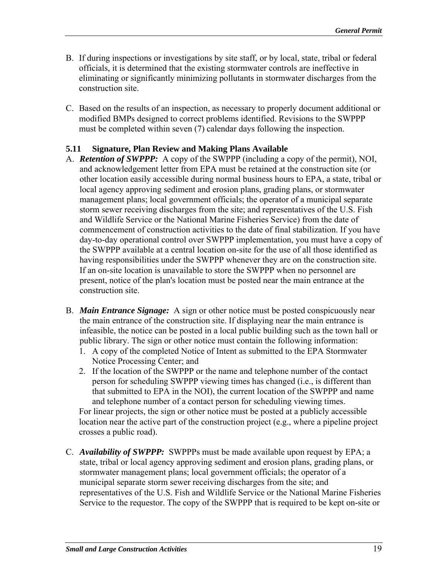- B. If during inspections or investigations by site staff, or by local, state, tribal or federal officials, it is determined that the existing stormwater controls are ineffective in eliminating or significantly minimizing pollutants in stormwater discharges from the construction site.
- C. Based on the results of an inspection, as necessary to properly document additional or modified BMPs designed to correct problems identified. Revisions to the SWPPP must be completed within seven (7) calendar days following the inspection.

# **5.11 Signature, Plan Review and Making Plans Available**

- A. **Retention of SWPPP:** A copy of the SWPPP (including a copy of the permit), NOI, and acknowledgement letter from EPA must be retained at the construction site (or other location easily accessible during normal business hours to EPA, a state, tribal or local agency approving sediment and erosion plans, grading plans, or stormwater management plans; local government officials; the operator of a municipal separate storm sewer receiving discharges from the site; and representatives of the U.S. Fish and Wildlife Service or the National Marine Fisheries Service) from the date of commencement of construction activities to the date of final stabilization. If you have day-to-day operational control over SWPPP implementation, you must have a copy of the SWPPP available at a central location on-site for the use of all those identified as having responsibilities under the SWPPP whenever they are on the construction site. If an on-site location is unavailable to store the SWPPP when no personnel are present, notice of the plan's location must be posted near the main entrance at the construction site.
- B. *Main Entrance Signage*: A sign or other notice must be posted conspicuously near the main entrance of the construction site. If displaying near the main entrance is infeasible, the notice can be posted in a local public building such as the town hall or public library. The sign or other notice must contain the following information:
	- 1. A copy of the completed Notice of Intent as submitted to the EPA Stormwater Notice Processing Center; and
	- 2. If the location of the SWPPP or the name and telephone number of the contact person for scheduling SWPPP viewing times has changed (i.e., is different than that submitted to EPA in the NOI), the current location of the SWPPP and name and telephone number of a contact person for scheduling viewing times.

For linear projects, the sign or other notice must be posted at a publicly accessible location near the active part of the construction project (e.g., where a pipeline project crosses a public road).

C. *Availability of SWPPP:* SWPPPs must be made available upon request by EPA; a state, tribal or local agency approving sediment and erosion plans, grading plans, or stormwater management plans; local government officials; the operator of a municipal separate storm sewer receiving discharges from the site; and representatives of the U.S. Fish and Wildlife Service or the National Marine Fisheries Service to the requestor. The copy of the SWPPP that is required to be kept on-site or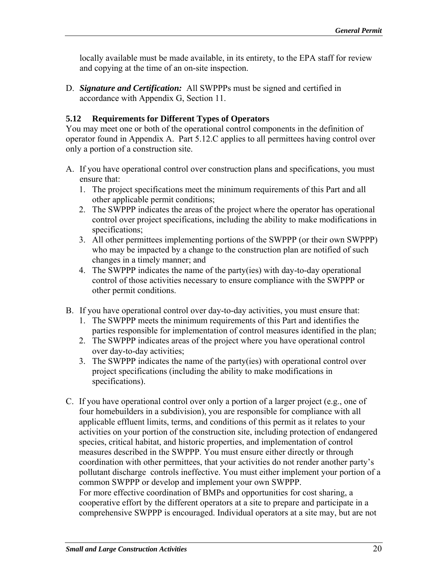locally available must be made available, in its entirety, to the EPA staff for review and copying at the time of an on-site inspection.

D. **Signature and Certification:** All SWPPPs must be signed and certified in accordance with Appendix G, Section 11.

### **5.12 Requirements for Different Types of Operators**

You may meet one or both of the operational control components in the definition of operator found in Appendix A. Part 5.12.C applies to all permittees having control over only a portion of a construction site.

- A. If you have operational control over construction plans and specifications, you must ensure that:
	- 1. The project specifications meet the minimum requirements of this Part and all other applicable permit conditions;
	- 2. The SWPPP indicates the areas of the project where the operator has operational control over project specifications, including the ability to make modifications in specifications;
	- 3. All other permittees implementing portions of the SWPPP (or their own SWPPP) who may be impacted by a change to the construction plan are notified of such changes in a timely manner; and
	- 4. The SWPPP indicates the name of the party(ies) with day-to-day operational control of those activities necessary to ensure compliance with the SWPPP or other permit conditions.
- B. If you have operational control over day-to-day activities, you must ensure that:
	- 1. The SWPPP meets the minimum requirements of this Part and identifies the parties responsible for implementation of control measures identified in the plan;
	- 2. The SWPPP indicates areas of the project where you have operational control over day-to-day activities;
	- 3. The SWPPP indicates the name of the party(ies) with operational control over project specifications (including the ability to make modifications in specifications).
- C. If you have operational control over only a portion of a larger project (e.g., one of four homebuilders in a subdivision), you are responsible for compliance with all applicable effluent limits, terms, and conditions of this permit as it relates to your activities on your portion of the construction site, including protection of endangered species, critical habitat, and historic properties, and implementation of control measures described in the SWPPP. You must ensure either directly or through coordination with other permittees, that your activities do not render another party's pollutant discharge controls ineffective. You must either implement your portion of a common SWPPP or develop and implement your own SWPPP. For more effective coordination of BMPs and opportunities for cost sharing, a cooperative effort by the different operators at a site to prepare and participate in a comprehensive SWPPP is encouraged. Individual operators at a site may, but are not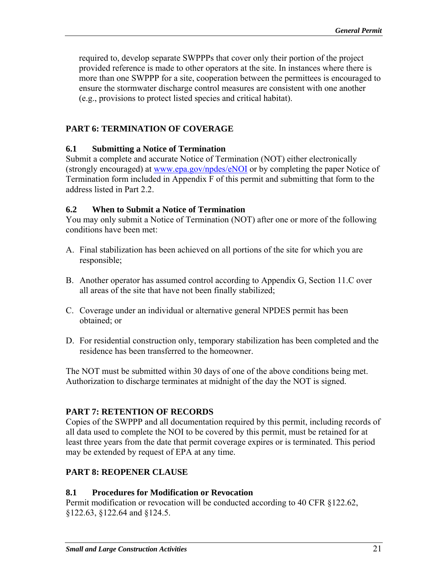required to, develop separate SWPPPs that cover only their portion of the project provided reference is made to other operators at the site. In instances where there is more than one SWPPP for a site, cooperation between the permittees is encouraged to ensure the stormwater discharge control measures are consistent with one another (e.g., provisions to protect listed species and critical habitat).

# **PART 6: TERMINATION OF COVERAGE**

### **6.1 Submitting a Notice of Termination**

Submit a complete and accurate Notice of Termination (NOT) either electronically (strongly encouraged) at www.epa.gov/npdes/eNOI or by completing the paper Notice of Termination form included in Appendix F of this permit and submitting that form to the address listed in Part 2.2.

### **6.2 When to Submit a Notice of Termination**

You may only submit a Notice of Termination (NOT) after one or more of the following conditions have been met:

- A. Final stabilization has been achieved on all portions of the site for which you are responsible;
- B. Another operator has assumed control according to Appendix G, Section 11.C over all areas of the site that have not been finally stabilized;
- C. Coverage under an individual or alternative general NPDES permit has been obtained; or
- D. For residential construction only, temporary stabilization has been completed and the residence has been transferred to the homeowner.

The NOT must be submitted within 30 days of one of the above conditions being met. Authorization to discharge terminates at midnight of the day the NOT is signed.

# **PART 7: RETENTION OF RECORDS**

Copies of the SWPPP and all documentation required by this permit, including records of all data used to complete the NOI to be covered by this permit, must be retained for at least three years from the date that permit coverage expires or is terminated. This period may be extended by request of EPA at any time.

# **PART 8: REOPENER CLAUSE**

# **8.1 Procedures for Modification or Revocation**

Permit modification or revocation will be conducted according to 40 CFR §122.62, §122.63, §122.64 and §124.5.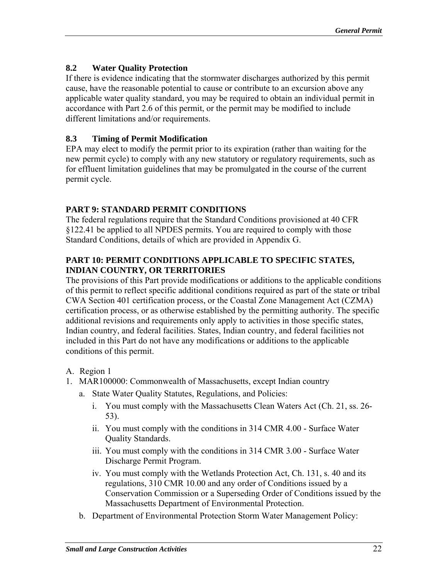# **8.2 Water Quality Protection**

If there is evidence indicating that the stormwater discharges authorized by this permit cause, have the reasonable potential to cause or contribute to an excursion above any applicable water quality standard, you may be required to obtain an individual permit in accordance with Part 2.6 of this permit, or the permit may be modified to include different limitations and/or requirements.

#### **8.3 Timing of Permit Modification**

EPA may elect to modify the permit prior to its expiration (rather than waiting for the new permit cycle) to comply with any new statutory or regulatory requirements, such as for effluent limitation guidelines that may be promulgated in the course of the current permit cycle.

### **PART 9: STANDARD PERMIT CONDITIONS**

The federal regulations require that the Standard Conditions provisioned at 40 CFR §122.41 be applied to all NPDES permits. You are required to comply with those Standard Conditions, details of which are provided in Appendix G.

### **PART 10: PERMIT CONDITIONS APPLICABLE TO SPECIFIC STATES, INDIAN COUNTRY, OR TERRITORIES**

The provisions of this Part provide modifications or additions to the applicable conditions of this permit to reflect specific additional conditions required as part of the state or tribal CWA Section 401 certification process, or the Coastal Zone Management Act (CZMA) certification process, or as otherwise established by the permitting authority. The specific additional revisions and requirements only apply to activities in those specific states, Indian country, and federal facilities. States, Indian country, and federal facilities not included in this Part do not have any modifications or additions to the applicable conditions of this permit.

- A. Region 1
- 1. MAR100000: Commonwealth of Massachusetts, except Indian country
	- a. State Water Quality Statutes, Regulations, and Policies:
		- i. You must comply with the Massachusetts Clean Waters Act (Ch. 21, ss. 26-53).
		- ii. You must comply with the conditions in 314 CMR 4.00 Surface Water Quality Standards.
		- iii. You must comply with the conditions in 314 CMR 3.00 Surface Water Discharge Permit Program.
		- iv. You must comply with the Wetlands Protection Act, Ch. 131, s. 40 and its regulations, 310 CMR 10.00 and any order of Conditions issued by a Conservation Commission or a Superseding Order of Conditions issued by the Massachusetts Department of Environmental Protection.
	- b. Department of Environmental Protection Storm Water Management Policy: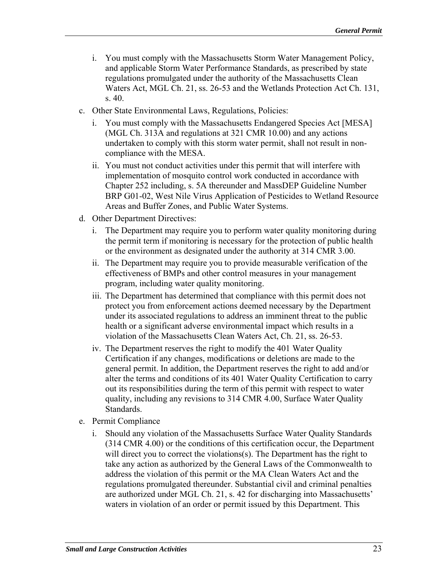- i. You must comply with the Massachusetts Storm Water Management Policy, and applicable Storm Water Performance Standards, as prescribed by state regulations promulgated under the authority of the Massachusetts Clean Waters Act, MGL Ch. 21, ss. 26-53 and the Wetlands Protection Act Ch. 131, s. 40.
- c. Other State Environmental Laws, Regulations, Policies:
	- i. You must comply with the Massachusetts Endangered Species Act [MESA] (MGL Ch. 313A and regulations at 321 CMR 10.00) and any actions undertaken to comply with this storm water permit, shall not result in noncompliance with the MESA.
	- ii. You must not conduct activities under this permit that will interfere with implementation of mosquito control work conducted in accordance with Chapter 252 including, s. 5A thereunder and MassDEP Guideline Number BRP G01-02, West Nile Virus Application of Pesticides to Wetland Resource Areas and Buffer Zones, and Public Water Systems.
- d. Other Department Directives:
	- i. The Department may require you to perform water quality monitoring during the permit term if monitoring is necessary for the protection of public health or the environment as designated under the authority at 314 CMR 3.00.
	- ii. The Department may require you to provide measurable verification of the effectiveness of BMPs and other control measures in your management program, including water quality monitoring.
	- iii. The Department has determined that compliance with this permit does not protect you from enforcement actions deemed necessary by the Department under its associated regulations to address an imminent threat to the public health or a significant adverse environmental impact which results in a violation of the Massachusetts Clean Waters Act, Ch. 21, ss. 26-53.
	- iv. The Department reserves the right to modify the 401 Water Quality Certification if any changes, modifications or deletions are made to the general permit. In addition, the Department reserves the right to add and/or alter the terms and conditions of its 401 Water Quality Certification to carry out its responsibilities during the term of this permit with respect to water quality, including any revisions to 314 CMR 4.00, Surface Water Quality Standards.
- e. Permit Compliance
	- i. Should any violation of the Massachusetts Surface Water Quality Standards (314 CMR 4.00) or the conditions of this certification occur, the Department will direct you to correct the violations(s). The Department has the right to take any action as authorized by the General Laws of the Commonwealth to address the violation of this permit or the MA Clean Waters Act and the regulations promulgated thereunder. Substantial civil and criminal penalties are authorized under MGL Ch. 21, s. 42 for discharging into Massachusetts' waters in violation of an order or permit issued by this Department. This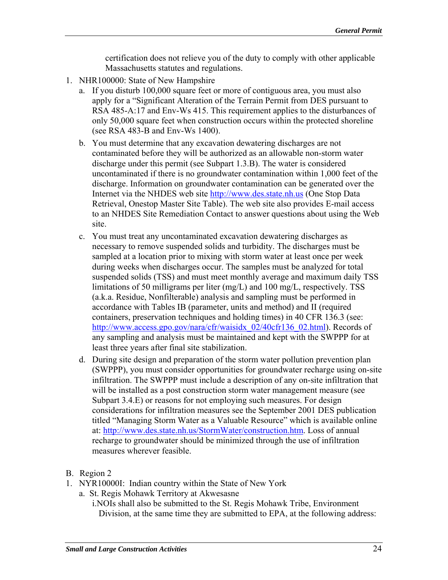certification does not relieve you of the duty to comply with other applicable Massachusetts statutes and regulations.

- 1. NHR100000: State of New Hampshire
	- a. If you disturb 100,000 square feet or more of contiguous area, you must also apply for a "Significant Alteration of the Terrain Permit from DES pursuant to RSA 485-A:17 and Env-Ws 415. This requirement applies to the disturbances of only 50,000 square feet when construction occurs within the protected shoreline (see RSA 483-B and Env-Ws 1400).
	- b. You must determine that any excavation dewatering discharges are not contaminated before they will be authorized as an allowable non-storm water discharge under this permit (see Subpart 1.3.B). The water is considered uncontaminated if there is no groundwater contamination within 1,000 feet of the discharge. Information on groundwater contamination can be generated over the Internet via the NHDES web site http://www.des.state.nh.us (One Stop Data Retrieval, Onestop Master Site Table). The web site also provides E-mail access to an NHDES Site Remediation Contact to answer questions about using the Web site.
	- c. You must treat any uncontaminated excavation dewatering discharges as necessary to remove suspended solids and turbidity. The discharges must be sampled at a location prior to mixing with storm water at least once per week during weeks when discharges occur. The samples must be analyzed for total suspended solids (TSS) and must meet monthly average and maximum daily TSS limitations of 50 milligrams per liter (mg/L) and 100 mg/L, respectively. TSS (a.k.a. Residue, Nonfilterable) analysis and sampling must be performed in accordance with Tables IB (parameter, units and method) and II (required containers, preservation techniques and holding times) in 40 CFR 136.3 (see: http://www.access.gpo.gov/nara/cfr/waisidx 02/40cfr136 02.html). Records of any sampling and analysis must be maintained and kept with the SWPPP for at least three years after final site stabilization.
	- d. During site design and preparation of the storm water pollution prevention plan (SWPPP), you must consider opportunities for groundwater recharge using on-site infiltration. The SWPPP must include a description of any on-site infiltration that will be installed as a post construction storm water management measure (see Subpart 3.4.E) or reasons for not employing such measures. For design considerations for infiltration measures see the September 2001 DES publication titled "Managing Storm Water as a Valuable Resource" which is available online at: http://www.des.state.nh.us/StormWater/construction.htm. Loss of annual recharge to groundwater should be minimized through the use of infiltration measures wherever feasible.
- B. Region 2
- 1. NYR10000I: Indian country within the State of New York
	- a. St. Regis Mohawk Territory at Akwesasne

i.NOIs shall also be submitted to the St. Regis Mohawk Tribe, Environment Division, at the same time they are submitted to EPA, at the following address: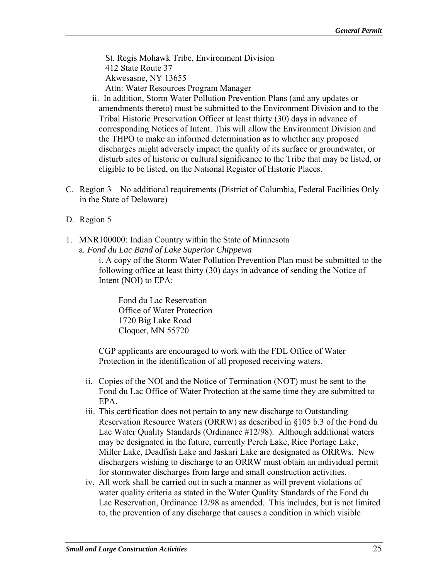St. Regis Mohawk Tribe, Environment Division 412 State Route 37 Akwesasne, NY 13655 Attn: Water Resources Program Manager

- ii. In addition, Storm Water Pollution Prevention Plans (and any updates or amendments thereto) must be submitted to the Environment Division and to the Tribal Historic Preservation Officer at least thirty (30) days in advance of corresponding Notices of Intent. This will allow the Environment Division and the THPO to make an informed determination as to whether any proposed discharges might adversely impact the quality of its surface or groundwater, or disturb sites of historic or cultural significance to the Tribe that may be listed, or eligible to be listed, on the National Register of Historic Places.
- C. Region 3 No additional requirements (District of Columbia, Federal Facilities Only in the State of Delaware)
- D. Region 5
- 1. MNR100000: Indian Country within the State of Minnesota a*. Fond du Lac Band of Lake Superior Chippewa*

i. A copy of the Storm Water Pollution Prevention Plan must be submitted to the following office at least thirty (30) days in advance of sending the Notice of Intent (NOI) to EPA:

Fond du Lac Reservation Office of Water Protection 1720 Big Lake Road Cloquet, MN 55720

CGP applicants are encouraged to work with the FDL Office of Water Protection in the identification of all proposed receiving waters.

- ii. Copies of the NOI and the Notice of Termination (NOT) must be sent to the Fond du Lac Office of Water Protection at the same time they are submitted to EPA.
- iii. This certification does not pertain to any new discharge to Outstanding Reservation Resource Waters (ORRW) as described in §105 b.3 of the Fond du Lac Water Quality Standards (Ordinance #12/98). Although additional waters may be designated in the future, currently Perch Lake, Rice Portage Lake, Miller Lake, Deadfish Lake and Jaskari Lake are designated as ORRWs. New dischargers wishing to discharge to an ORRW must obtain an individual permit for stormwater discharges from large and small construction activities.
- iv. All work shall be carried out in such a manner as will prevent violations of water quality criteria as stated in the Water Quality Standards of the Fond du Lac Reservation, Ordinance 12/98 as amended. This includes, but is not limited to, the prevention of any discharge that causes a condition in which visible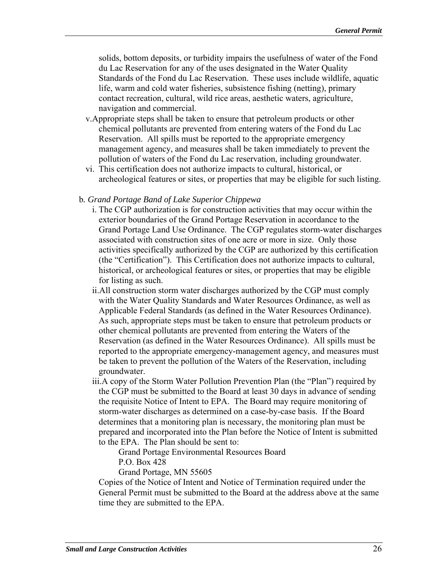solids, bottom deposits, or turbidity impairs the usefulness of water of the Fond du Lac Reservation for any of the uses designated in the Water Quality Standards of the Fond du Lac Reservation. These uses include wildlife, aquatic life, warm and cold water fisheries, subsistence fishing (netting), primary contact recreation, cultural, wild rice areas, aesthetic waters, agriculture, navigation and commercial.

- v.Appropriate steps shall be taken to ensure that petroleum products or other chemical pollutants are prevented from entering waters of the Fond du Lac Reservation. All spills must be reported to the appropriate emergency management agency, and measures shall be taken immediately to prevent the pollution of waters of the Fond du Lac reservation, including groundwater.
- vi. This certification does not authorize impacts to cultural, historical, or archeological features or sites, or properties that may be eligible for such listing.

#### b*. Grand Portage Band of Lake Superior Chippewa*

- i. The CGP authorization is for construction activities that may occur within the exterior boundaries of the Grand Portage Reservation in accordance to the Grand Portage Land Use Ordinance. The CGP regulates storm-water discharges associated with construction sites of one acre or more in size. Only those activities specifically authorized by the CGP are authorized by this certification (the "Certification"). This Certification does not authorize impacts to cultural, historical, or archeological features or sites, or properties that may be eligible for listing as such.
- ii.All construction storm water discharges authorized by the CGP must comply with the Water Quality Standards and Water Resources Ordinance, as well as Applicable Federal Standards (as defined in the Water Resources Ordinance). As such, appropriate steps must be taken to ensure that petroleum products or other chemical pollutants are prevented from entering the Waters of the Reservation (as defined in the Water Resources Ordinance). All spills must be reported to the appropriate emergency-management agency, and measures must be taken to prevent the pollution of the Waters of the Reservation, including groundwater.
- iii.A copy of the Storm Water Pollution Prevention Plan (the "Plan") required by the CGP must be submitted to the Board at least 30 days in advance of sending the requisite Notice of Intent to EPA. The Board may require monitoring of storm-water discharges as determined on a case-by-case basis. If the Board determines that a monitoring plan is necessary, the monitoring plan must be prepared and incorporated into the Plan before the Notice of Intent is submitted to the EPA. The Plan should be sent to:

Grand Portage Environmental Resources Board

P.O. Box 428

Grand Portage, MN 55605

 Copies of the Notice of Intent and Notice of Termination required under the General Permit must be submitted to the Board at the address above at the same time they are submitted to the EPA.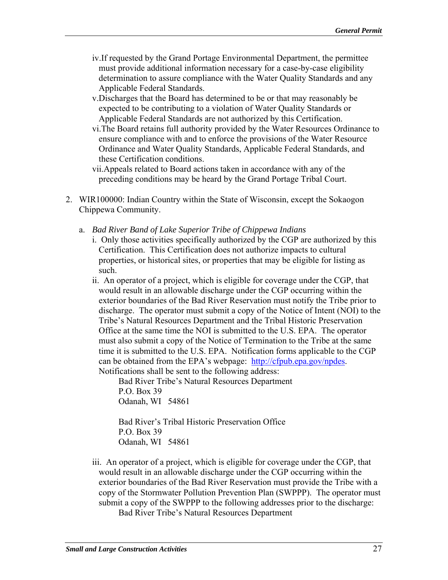- iv.If requested by the Grand Portage Environmental Department, the permittee must provide additional information necessary for a case-by-case eligibility determination to assure compliance with the Water Quality Standards and any Applicable Federal Standards.
- v.Discharges that the Board has determined to be or that may reasonably be expected to be contributing to a violation of Water Quality Standards or Applicable Federal Standards are not authorized by this Certification.
- vi.The Board retains full authority provided by the Water Resources Ordinance to ensure compliance with and to enforce the provisions of the Water Resource Ordinance and Water Quality Standards, Applicable Federal Standards, and these Certification conditions.

vii.Appeals related to Board actions taken in accordance with any of the preceding conditions may be heard by the Grand Portage Tribal Court.

- 2. WIR100000: Indian Country within the State of Wisconsin, except the Sokaogon Chippewa Community.
	- a. *Bad River Band of Lake Superior Tribe of Chippewa Indians* 
		- i. Only those activities specifically authorized by the CGP are authorized by this Certification. This Certification does not authorize impacts to cultural properties, or historical sites, or properties that may be eligible for listing as such.
		- ii. An operator of a project, which is eligible for coverage under the CGP, that would result in an allowable discharge under the CGP occurring within the exterior boundaries of the Bad River Reservation must notify the Tribe prior to discharge. The operator must submit a copy of the Notice of Intent (NOI) to the Tribe's Natural Resources Department and the Tribal Historic Preservation Office at the same time the NOI is submitted to the U.S. EPA. The operator must also submit a copy of the Notice of Termination to the Tribe at the same time it is submitted to the U.S. EPA. Notification forms applicable to the CGP can be obtained from the EPA's webpage: http://cfpub.epa.gov/npdes. Notifications shall be sent to the following address:

Bad River Tribe's Natural Resources Department P.O. Box 39

Odanah, WI 54861

Bad River's Tribal Historic Preservation Office P.O. Box 39 Odanah, WI 54861

iii. An operator of a project, which is eligible for coverage under the CGP, that would result in an allowable discharge under the CGP occurring within the exterior boundaries of the Bad River Reservation must provide the Tribe with a copy of the Stormwater Pollution Prevention Plan (SWPPP). The operator must submit a copy of the SWPPP to the following addresses prior to the discharge:

Bad River Tribe's Natural Resources Department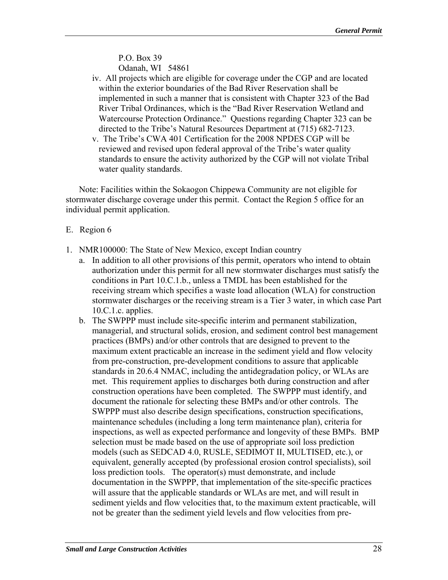P.O. Box 39 Odanah, WI 54861

- iv. All projects which are eligible for coverage under the CGP and are located within the exterior boundaries of the Bad River Reservation shall be implemented in such a manner that is consistent with Chapter 323 of the Bad River Tribal Ordinances, which is the "Bad River Reservation Wetland and Watercourse Protection Ordinance." Questions regarding Chapter 323 can be directed to the Tribe's Natural Resources Department at (715) 682-7123.
- v. The Tribe's CWA 401 Certification for the 2008 NPDES CGP will be reviewed and revised upon federal approval of the Tribe's water quality standards to ensure the activity authorized by the CGP will not violate Tribal water quality standards.

Note: Facilities within the Sokaogon Chippewa Community are not eligible for stormwater discharge coverage under this permit. Contact the Region 5 office for an individual permit application.

- E. Region 6
- 1. NMR100000: The State of New Mexico, except Indian country
	- a. In addition to all other provisions of this permit, operators who intend to obtain authorization under this permit for all new stormwater discharges must satisfy the conditions in Part 10.C.1.b., unless a TMDL has been established for the receiving stream which specifies a waste load allocation (WLA) for construction stormwater discharges or the receiving stream is a Tier 3 water, in which case Part 10.C.1.c. applies.
	- b. The SWPPP must include site-specific interim and permanent stabilization, managerial, and structural solids, erosion, and sediment control best management practices (BMPs) and/or other controls that are designed to prevent to the maximum extent practicable an increase in the sediment yield and flow velocity from pre-construction, pre-development conditions to assure that applicable standards in 20.6.4 NMAC, including the antidegradation policy, or WLAs are met. This requirement applies to discharges both during construction and after construction operations have been completed. The SWPPP must identify, and document the rationale for selecting these BMPs and/or other controls. The SWPPP must also describe design specifications, construction specifications, maintenance schedules (including a long term maintenance plan), criteria for inspections, as well as expected performance and longevity of these BMPs. BMP selection must be made based on the use of appropriate soil loss prediction models (such as SEDCAD 4.0, RUSLE, SEDIMOT II, MULTISED, etc.), or equivalent, generally accepted (by professional erosion control specialists), soil loss prediction tools. The operator(s) must demonstrate, and include documentation in the SWPPP, that implementation of the site-specific practices will assure that the applicable standards or WLAs are met, and will result in sediment yields and flow velocities that, to the maximum extent practicable, will not be greater than the sediment yield levels and flow velocities from pre-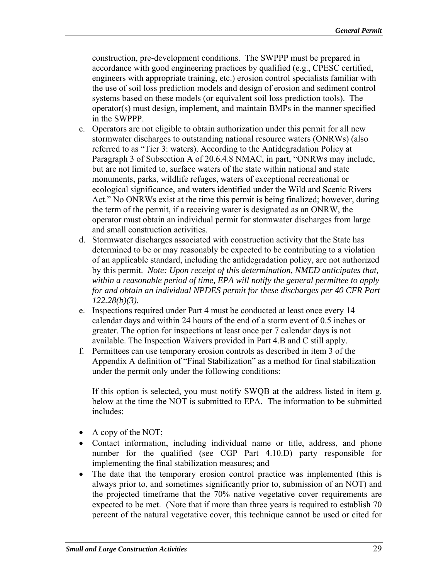construction, pre-development conditions. The SWPPP must be prepared in accordance with good engineering practices by qualified (e.g., CPESC certified, engineers with appropriate training, etc.) erosion control specialists familiar with the use of soil loss prediction models and design of erosion and sediment control systems based on these models (or equivalent soil loss prediction tools). The operator(s) must design, implement, and maintain BMPs in the manner specified in the SWPPP.

- c. Operators are not eligible to obtain authorization under this permit for all new stormwater discharges to outstanding national resource waters (ONRWs) (also referred to as "Tier 3: waters). According to the Antidegradation Policy at Paragraph 3 of Subsection A of 20.6.4.8 NMAC, in part, "ONRWs may include, but are not limited to, surface waters of the state within national and state monuments, parks, wildlife refuges, waters of exceptional recreational or ecological significance, and waters identified under the Wild and Scenic Rivers Act." No ONRWs exist at the time this permit is being finalized; however, during the term of the permit, if a receiving water is designated as an ONRW, the operator must obtain an individual permit for stormwater discharges from large and small construction activities.
- d. Stormwater discharges associated with construction activity that the State has determined to be or may reasonably be expected to be contributing to a violation of an applicable standard, including the antidegradation policy, are not authorized by this permit. *Note: Upon receipt of this determination, NMED anticipates that, within a reasonable period of time, EPA will notify the general permittee to apply for and obtain an individual NPDES permit for these discharges per 40 CFR Part 122.28(b)(3).*
- e. Inspections required under Part 4 must be conducted at least once every 14 calendar days and within 24 hours of the end of a storm event of 0.5 inches or greater. The option for inspections at least once per 7 calendar days is not available. The Inspection Waivers provided in Part 4.B and C still apply.
- f. Permittees can use temporary erosion controls as described in item 3 of the Appendix A definition of "Final Stabilization" as a method for final stabilization under the permit only under the following conditions:

If this option is selected, you must notify SWQB at the address listed in item g. below at the time the NOT is submitted to EPA. The information to be submitted includes:

- A copy of the NOT;
- Contact information, including individual name or title, address, and phone number for the qualified (see CGP Part 4.10.D) party responsible for implementing the final stabilization measures; and
- The date that the temporary erosion control practice was implemented (this is always prior to, and sometimes significantly prior to, submission of an NOT) and the projected timeframe that the 70% native vegetative cover requirements are expected to be met. (Note that if more than three years is required to establish 70 percent of the natural vegetative cover, this technique cannot be used or cited for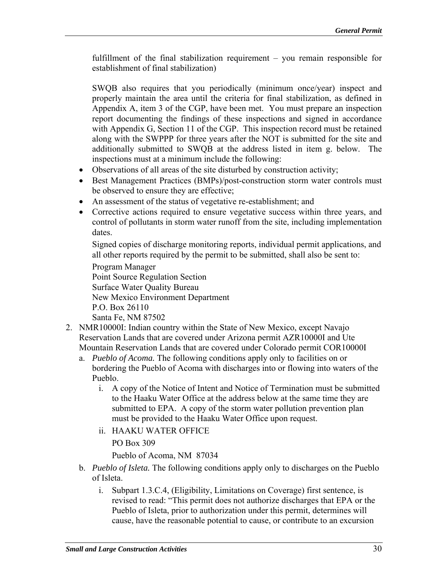fulfillment of the final stabilization requirement – you remain responsible for establishment of final stabilization)

SWQB also requires that you periodically (minimum once/year) inspect and properly maintain the area until the criteria for final stabilization, as defined in Appendix A, item 3 of the CGP, have been met. You must prepare an inspection report documenting the findings of these inspections and signed in accordance with Appendix G, Section 11 of the CGP. This inspection record must be retained along with the SWPPP for three years after the NOT is submitted for the site and additionally submitted to SWQB at the address listed in item g. below. The inspections must at a minimum include the following:

- Observations of all areas of the site disturbed by construction activity;
- Best Management Practices (BMPs)/post-construction storm water controls must be observed to ensure they are effective;
- An assessment of the status of vegetative re-establishment; and
- Corrective actions required to ensure vegetative success within three years, and control of pollutants in storm water runoff from the site, including implementation dates.

Signed copies of discharge monitoring reports, individual permit applications, and all other reports required by the permit to be submitted, shall also be sent to:

Program Manager Point Source Regulation Section Surface Water Quality Bureau New Mexico Environment Department P.O. Box 26110 Santa Fe, NM 87502

- 2. NMR10000I: Indian country within the State of New Mexico, except Navajo Reservation Lands that are covered under Arizona permit AZR10000I and Ute Mountain Reservation Lands that are covered under Colorado permit COR10000I
	- a. *Pueblo of Acoma.* The following conditions apply only to facilities on or bordering the Pueblo of Acoma with discharges into or flowing into waters of the Pueblo.
		- i. A copy of the Notice of Intent and Notice of Termination must be submitted to the Haaku Water Office at the address below at the same time they are submitted to EPA. A copy of the storm water pollution prevention plan must be provided to the Haaku Water Office upon request.
		- ii. HAAKU WATER OFFICE

PO Box 309

Pueblo of Acoma, NM 87034

- b. *Pueblo of Isleta*. The following conditions apply only to discharges on the Pueblo of Isleta.
	- i. Subpart 1.3.C.4, (Eligibility, Limitations on Coverage) first sentence, is revised to read: "This permit does not authorize discharges that EPA or the Pueblo of Isleta, prior to authorization under this permit, determines will cause, have the reasonable potential to cause, or contribute to an excursion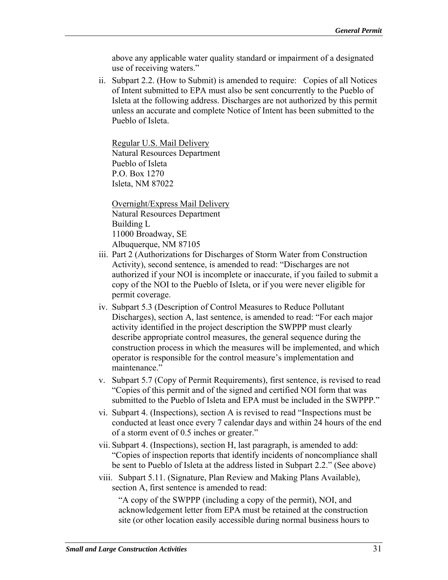above any applicable water quality standard or impairment of a designated use of receiving waters."

ii. Subpart 2.2. (How to Submit) is amended to require: Copies of all Notices of Intent submitted to EPA must also be sent concurrently to the Pueblo of Isleta at the following address. Discharges are not authorized by this permit unless an accurate and complete Notice of Intent has been submitted to the Pueblo of Isleta.

Regular U.S. Mail Delivery Natural Resources Department Pueblo of Isleta P.O. Box 1270 Isleta, NM 87022

 Overnight/Express Mail Delivery Natural Resources Department Building L 11000 Broadway, SE Albuquerque, NM 87105

- iii. Part 2 (Authorizations for Discharges of Storm Water from Construction Activity), second sentence, is amended to read: "Discharges are not authorized if your NOI is incomplete or inaccurate, if you failed to submit a copy of the NOI to the Pueblo of Isleta, or if you were never eligible for permit coverage.
- iv. Subpart 5.3 (Description of Control Measures to Reduce Pollutant Discharges), section A, last sentence, is amended to read: "For each major activity identified in the project description the SWPPP must clearly describe appropriate control measures, the general sequence during the construction process in which the measures will be implemented, and which operator is responsible for the control measure's implementation and maintenance."
- v. Subpart 5.7 (Copy of Permit Requirements), first sentence, is revised to read "Copies of this permit and of the signed and certified NOI form that was submitted to the Pueblo of Isleta and EPA must be included in the SWPPP."
- vi. Subpart 4. (Inspections), section A is revised to read "Inspections must be conducted at least once every 7 calendar days and within 24 hours of the end of a storm event of 0.5 inches or greater."
- vii. Subpart 4. (Inspections), section H, last paragraph, is amended to add: "Copies of inspection reports that identify incidents of noncompliance shall be sent to Pueblo of Isleta at the address listed in Subpart 2.2." (See above)
- viii. Subpart 5.11. (Signature, Plan Review and Making Plans Available), section A, first sentence is amended to read:

"A copy of the SWPPP (including a copy of the permit), NOI, and acknowledgement letter from EPA must be retained at the construction site (or other location easily accessible during normal business hours to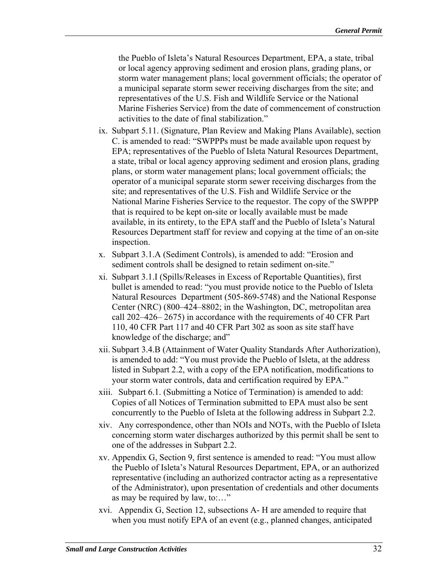the Pueblo of Isleta's Natural Resources Department, EPA, a state, tribal or local agency approving sediment and erosion plans, grading plans, or storm water management plans; local government officials; the operator of a municipal separate storm sewer receiving discharges from the site; and representatives of the U.S. Fish and Wildlife Service or the National Marine Fisheries Service) from the date of commencement of construction activities to the date of final stabilization."

- ix. Subpart 5.11. (Signature, Plan Review and Making Plans Available), section C. is amended to read: "SWPPPs must be made available upon request by EPA; representatives of the Pueblo of Isleta Natural Resources Department, a state, tribal or local agency approving sediment and erosion plans, grading plans, or storm water management plans; local government officials; the operator of a municipal separate storm sewer receiving discharges from the site; and representatives of the U.S. Fish and Wildlife Service or the National Marine Fisheries Service to the requestor. The copy of the SWPPP that is required to be kept on-site or locally available must be made available, in its entirety, to the EPA staff and the Pueblo of Isleta's Natural Resources Department staff for review and copying at the time of an on-site inspection.
- x. Subpart 3.1.A (Sediment Controls), is amended to add: "Erosion and sediment controls shall be designed to retain sediment on-site."
- xi. Subpart 3.1.I (Spills/Releases in Excess of Reportable Quantities), first bullet is amended to read: "you must provide notice to the Pueblo of Isleta Natural Resources Department (505-869-5748) and the National Response Center (NRC) (800–424–8802; in the Washington, DC, metropolitan area call 202–426– 2675) in accordance with the requirements of 40 CFR Part 110, 40 CFR Part 117 and 40 CFR Part 302 as soon as site staff have knowledge of the discharge; and"
- xii. Subpart 3.4.B (Attainment of Water Quality Standards After Authorization), is amended to add: "You must provide the Pueblo of Isleta, at the address listed in Subpart 2.2, with a copy of the EPA notification, modifications to your storm water controls, data and certification required by EPA."
- xiii. Subpart 6.1. (Submitting a Notice of Termination) is amended to add: Copies of all Notices of Termination submitted to EPA must also be sent concurrently to the Pueblo of Isleta at the following address in Subpart 2.2.
- xiv. Any correspondence, other than NOIs and NOTs, with the Pueblo of Isleta concerning storm water discharges authorized by this permit shall be sent to one of the addresses in Subpart 2.2.
- xv. Appendix G, Section 9, first sentence is amended to read: "You must allow the Pueblo of Isleta's Natural Resources Department, EPA, or an authorized representative (including an authorized contractor acting as a representative of the Administrator), upon presentation of credentials and other documents as may be required by law, to:…"
- xvi. Appendix G, Section 12, subsections A- H are amended to require that when you must notify EPA of an event (e.g., planned changes, anticipated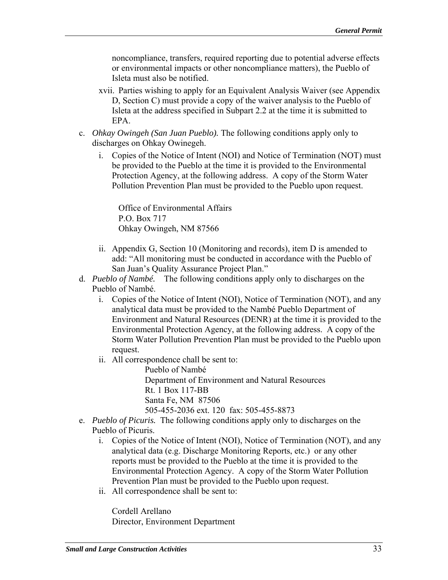noncompliance, transfers, required reporting due to potential adverse effects or environmental impacts or other noncompliance matters), the Pueblo of Isleta must also be notified.

- xvii. Parties wishing to apply for an Equivalent Analysis Waiver (see Appendix D, Section C) must provide a copy of the waiver analysis to the Pueblo of Isleta at the address specified in Subpart 2.2 at the time it is submitted to EPA.
- c. *Ohkay Owingeh (San Juan Pueblo).* The following conditions apply only to discharges on Ohkay Owinegeh.
	- i. Copies of the Notice of Intent (NOI) and Notice of Termination (NOT) must be provided to the Pueblo at the time it is provided to the Environmental Protection Agency, at the following address. A copy of the Storm Water Pollution Prevention Plan must be provided to the Pueblo upon request.

Office of Environmental Affairs P.O. Box 717 Ohkay Owingeh, NM 87566

- ii. Appendix G, Section 10 (Monitoring and records), item D is amended to add: "All monitoring must be conducted in accordance with the Pueblo of San Juan's Quality Assurance Project Plan."
- d. *Pueblo of Nambé.* The following conditions apply only to discharges on the Pueblo of Nambé.
	- i. Copies of the Notice of Intent (NOI), Notice of Termination (NOT), and any analytical data must be provided to the Nambé Pueblo Department of Environment and Natural Resources (DENR) at the time it is provided to the Environmental Protection Agency, at the following address. A copy of the Storm Water Pollution Prevention Plan must be provided to the Pueblo upon request.
	- ii. All correspondence chall be sent to:

Pueblo of Nambé Department of Environment and Natural Resources Rt. 1 Box 117-BB Santa Fe, NM 87506 505-455-2036 ext. 120 fax: 505-455-8873

- e. *Pueblo of Picuris.* The following conditions apply only to discharges on the Pueblo of Picuris.
	- i. Copies of the Notice of Intent (NOI), Notice of Termination (NOT), and any analytical data (e.g. Discharge Monitoring Reports, etc.) or any other reports must be provided to the Pueblo at the time it is provided to the Environmental Protection Agency. A copy of the Storm Water Pollution Prevention Plan must be provided to the Pueblo upon request.
	- ii. All correspondence shall be sent to:

Cordell Arellano Director, Environment Department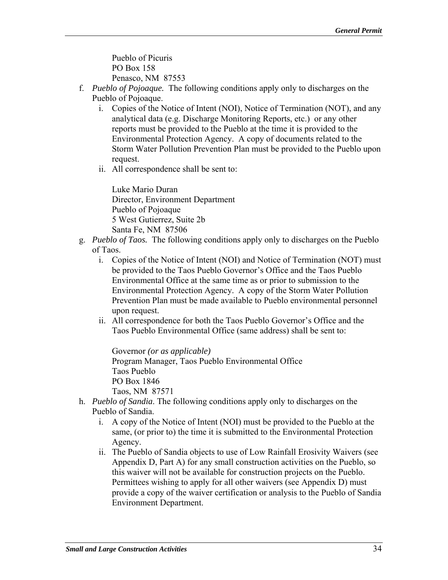Pueblo of Picuris PO Box 158 Penasco, NM 87553

- f. *Pueblo of Pojoaque.* The following conditions apply only to discharges on the Pueblo of Pojoaque.
	- i. Copies of the Notice of Intent (NOI), Notice of Termination (NOT), and any analytical data (e.g. Discharge Monitoring Reports, etc.) or any other reports must be provided to the Pueblo at the time it is provided to the Environmental Protection Agency. A copy of documents related to the Storm Water Pollution Prevention Plan must be provided to the Pueblo upon request.
	- ii. All correspondence shall be sent to:

Luke Mario Duran Director, Environment Department Pueblo of Pojoaque 5 West Gutierrez, Suite 2b Santa Fe, NM 87506

- g. *Pueblo of Taos.* The following conditions apply only to discharges on the Pueblo of Taos.
	- i. Copies of the Notice of Intent (NOI) and Notice of Termination (NOT) must be provided to the Taos Pueblo Governor's Office and the Taos Pueblo Environmental Office at the same time as or prior to submission to the Environmental Protection Agency. A copy of the Storm Water Pollution Prevention Plan must be made available to Pueblo environmental personnel upon request.
	- ii. All correspondence for both the Taos Pueblo Governor's Office and the Taos Pueblo Environmental Office (same address) shall be sent to:

Governor *(or as applicable)* Program Manager, Taos Pueblo Environmental Office Taos Pueblo PO Box 1846 Taos, NM 87571

- h. *Pueblo of Sandia*. The following conditions apply only to discharges on the Pueblo of Sandia.
	- i. A copy of the Notice of Intent (NOI) must be provided to the Pueblo at the same, (or prior to) the time it is submitted to the Environmental Protection Agency.
	- ii. The Pueblo of Sandia objects to use of Low Rainfall Erosivity Waivers (see Appendix D, Part A) for any small construction activities on the Pueblo, so this waiver will not be available for construction projects on the Pueblo. Permittees wishing to apply for all other waivers (see Appendix D) must provide a copy of the waiver certification or analysis to the Pueblo of Sandia Environment Department.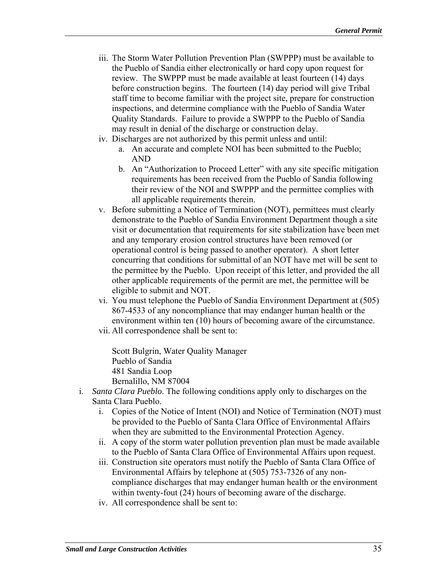- iii. The Storm Water Pollution Prevention Plan (SWPPP) must be available to the Pueblo of Sandia either electronically or hard copy upon request for review. The SWPPP must be made available at least fourteen (14) days before construction begins. The fourteen (14) day period will give Tribal staff time to become familiar with the project site, prepare for construction inspections, and determine compliance with the Pueblo of Sandia Water Quality Standards. Failure to provide a SWPPP to the Pueblo of Sandia may result in denial of the discharge or construction delay.
- iv. Discharges are not authorized by this permit unless and until:
	- a. An accurate and complete NOI has been submitted to the Pueblo; AND
	- b. An "Authorization to Proceed Letter" with any site specific mitigation requirements has been received from the Pueblo of Sandia following their review of the NOI and SWPPP and the permittee complies with all applicable requirements therein.
- v. Before submitting a Notice of Termination (NOT), permittees must clearly demonstrate to the Pueblo of Sandia Environment Department though a site visit or documentation that requirements for site stabilization have been met and any temporary erosion control structures have been removed (or operational control is being passed to another operator). A short letter concurring that conditions for submittal of an NOT have met will be sent to the permittee by the Pueblo. Upon receipt of this letter, and provided the all other applicable requirements of the permit are met, the permittee will be eligible to submit and NOT.
- vi. You must telephone the Pueblo of Sandia Environment Department at (505) 867-4533 of any noncompliance that may endanger human health or the environment within ten (10) hours of becoming aware of the circumstance.
- vii. All correspondence shall be sent to:

Scott Bulgrin, Water Quality Manager Pueblo of Sandia 481 Sandia Loop Bernalillo, NM 87004

- i. *Santa Clara Pueblo*. The following conditions apply only to discharges on the Santa Clara Pueblo.
	- i. Copies of the Notice of Intent (NOI) and Notice of Termination (NOT) must be provided to the Pueblo of Santa Clara Office of Environmental Affairs when they are submitted to the Environmental Protection Agency.
	- $ii. A copy of the storm water pollution prevention plan must be made available$ to the Pueblo of Santa Clara Office of Environmental Affairs upon request.
	- iii. Construction site operators must notify the Pueblo of Santa Clara Office of Environmental Affairs by telephone at (505) 753-7326 of any noncompliance discharges that may endanger human health or the environment within twenty-fout (24) hours of becoming aware of the discharge.
	- iv. All correspondence shall be sent to: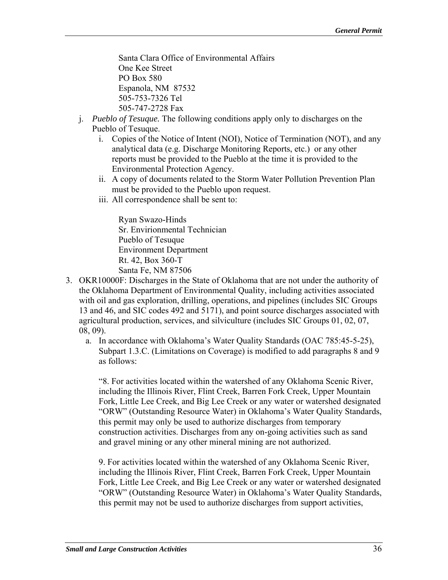Santa Clara Office of Environmental Affairs One Kee Street PO Box 580 Espanola, NM 87532 505-753-7326 Tel 505-747-2728 Fax

- j. *Pueblo of Tesuque.* The following conditions apply only to discharges on the Pueblo of Tesuque.
	- i. Copies of the Notice of Intent (NOI), Notice of Termination (NOT), and any analytical data (e.g. Discharge Monitoring Reports, etc.) or any other reports must be provided to the Pueblo at the time it is provided to the Environmental Protection Agency.
	- ii. A copy of documents related to the Storm Water Pollution Prevention Plan must be provided to the Pueblo upon request.
	- iii. All correspondence shall be sent to:

Ryan Swazo-Hinds Sr. Envirionmental Technician Pueblo of Tesuque Environment Department Rt. 42, Box 360-T Santa Fe, NM 87506

- 3. OKR10000F: Discharges in the State of Oklahoma that are not under the authority of the Oklahoma Department of Environmental Quality, including activities associated with oil and gas exploration, drilling, operations, and pipelines (includes SIC Groups 13 and 46, and SIC codes 492 and 5171), and point source discharges associated with agricultural production, services, and silviculture (includes SIC Groups 01, 02, 07, 08, 09).
	- a. In accordance with Oklahoma's Water Quality Standards (OAC 785:45-5-25), Subpart 1.3.C. (Limitations on Coverage) is modified to add paragraphs 8 and 9 as follows:

"8. For activities located within the watershed of any Oklahoma Scenic River, including the Illinois River, Flint Creek, Barren Fork Creek, Upper Mountain Fork, Little Lee Creek, and Big Lee Creek or any water or watershed designated "ORW" (Outstanding Resource Water) in Oklahoma's Water Quality Standards, this permit may only be used to authorize discharges from temporary construction activities. Discharges from any on-going activities such as sand and gravel mining or any other mineral mining are not authorized.

9. For activities located within the watershed of any Oklahoma Scenic River, including the Illinois River, Flint Creek, Barren Fork Creek, Upper Mountain Fork, Little Lee Creek, and Big Lee Creek or any water or watershed designated "ORW" (Outstanding Resource Water) in Oklahoma's Water Quality Standards, this permit may not be used to authorize discharges from support activities,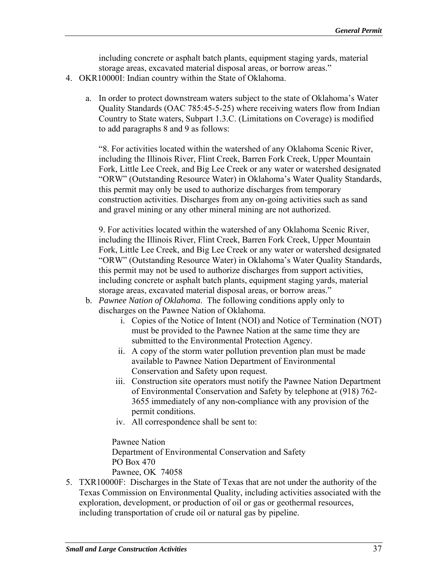including concrete or asphalt batch plants, equipment staging yards, material storage areas, excavated material disposal areas, or borrow areas."

- 4. OKR10000I: Indian country within the State of Oklahoma.
	- a. In order to protect downstream waters subject to the state of Oklahoma's Water Quality Standards (OAC 785:45-5-25) where receiving waters flow from Indian Country to State waters, Subpart 1.3.C. (Limitations on Coverage) is modified to add paragraphs 8 and 9 as follows:

"8. For activities located within the watershed of any Oklahoma Scenic River, including the Illinois River, Flint Creek, Barren Fork Creek, Upper Mountain Fork, Little Lee Creek, and Big Lee Creek or any water or watershed designated "ORW" (Outstanding Resource Water) in Oklahoma's Water Quality Standards, this permit may only be used to authorize discharges from temporary construction activities. Discharges from any on-going activities such as sand and gravel mining or any other mineral mining are not authorized.

9. For activities located within the watershed of any Oklahoma Scenic River, including the Illinois River, Flint Creek, Barren Fork Creek, Upper Mountain Fork, Little Lee Creek, and Big Lee Creek or any water or watershed designated "ORW" (Outstanding Resource Water) in Oklahoma's Water Quality Standards, this permit may not be used to authorize discharges from support activities, including concrete or asphalt batch plants, equipment staging yards, material storage areas, excavated material disposal areas, or borrow areas."

- b. *Pawnee Nation of Oklahoma*. The following conditions apply only to discharges on the Pawnee Nation of Oklahoma.
	- i. Copies of the Notice of Intent (NOI) and Notice of Termination (NOT) must be provided to the Pawnee Nation at the same time they are submitted to the Environmental Protection Agency.
	- ii. A copy of the storm water pollution prevention plan must be made available to Pawnee Nation Department of Environmental Conservation and Safety upon request.
	- iii. Construction site operators must notify the Pawnee Nation Department of Environmental Conservation and Safety by telephone at (918) 762 3655 immediately of any non-compliance with any provision of the permit conditions.
	- iv. All correspondence shall be sent to:

Pawnee Nation Department of Environmental Conservation and Safety PO Box 470

Pawnee, OK 74058 5. TXR10000F: Discharges in the State of Texas that are not under the authority of the Texas Commission on Environmental Quality, including activities associated with the exploration, development, or production of oil or gas or geothermal resources, including transportation of crude oil or natural gas by pipeline.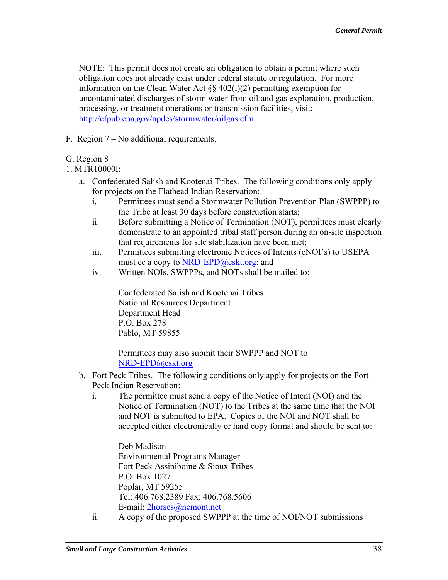NOTE: This permit does not create an obligation to obtain a permit where such obligation does not already exist under federal statute or regulation. For more information on the Clean Water Act §§ 402(l)(2) permitting exemption for uncontaminated discharges of storm water from oil and gas exploration, production, processing, or treatment operations or transmission facilities, visit: http://cfpub.epa.gov/npdes/stormwater/oilgas.cfm

F. Region 7 – No additional requirements.

# G. Region 8

1. MTR10000I:

- a. Confederated Salish and Kootenai Tribes. The following conditions only apply for projects on the Flathead Indian Reservation:
	- i. Permittees must send a Stormwater Pollution Prevention Plan (SWPPP) to the Tribe at least 30 days before construction starts;
	- ii. Before submitting a Notice of Termination (NOT), permittees must clearly demonstrate to an appointed tribal staff person during an on-site inspection that requirements for site stabilization have been met;
	- iii. Permittees submitting electronic Notices of Intents (eNOI's) to USEPA must cc a copy to NRD-EPD@cskt.org; and
	- iv. Written NOIs, SWPPPs, and NOTs shall be mailed to:

Confederated Salish and Kootenai Tribes National Resources Department Department Head P.O. Box 278 Pablo, MT 59855

NRD-EPD@cskt.org Permittees may also submit their SWPPP and NOT to

- b. Fort Peck Tribes. The following conditions only apply for projects on the Fort Peck Indian Reservation:
	- i. The permittee must send a copy of the Notice of Intent (NOI) and the Notice of Termination (NOT) to the Tribes at the same time that the NOI and NOT is submitted to EPA. Copies of the NOI and NOT shall be accepted either electronically or hard copy format and should be sent to:

 Deb Madison Environmental Programs Manager Fort Peck Assiniboine & Sioux Tribes P.O. Box 1027 Poplar, MT 59255 Tel: 406.768.2389 Fax: 406.768.5606 E-mail: 2horses@nemont.net

ii. A copy of the proposed SWPPP at the time of NOI/NOT submissions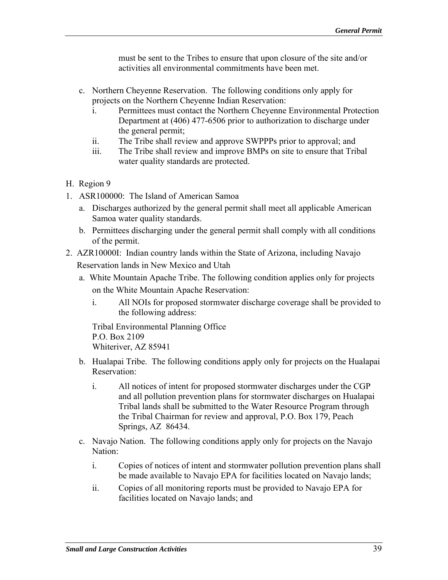must be sent to the Tribes to ensure that upon closure of the site and/or activities all environmental commitments have been met.

- c. Northern Cheyenne Reservation. The following conditions only apply for projects on the Northern Cheyenne Indian Reservation:
	- i. Permittees must contact the Northern Cheyenne Environmental Protection Department at (406) 477-6506 prior to authorization to discharge under the general permit;
	- ii. The Tribe shall review and approve SWPPPs prior to approval; and
	- iii. The Tribe shall review and improve BMPs on site to ensure that Tribal water quality standards are protected.
- H. Region 9
- 1. ASR100000: The Island of American Samoa
	- a. Discharges authorized by the general permit shall meet all applicable American Samoa water quality standards.
	- b. Permittees discharging under the general permit shall comply with all conditions of the permit.
- 2. AZR10000I: Indian country lands within the State of Arizona, including Navajo Reservation lands in New Mexico and Utah
	- a. White Mountain Apache Tribe. The following condition applies only for projects on the White Mountain Apache Reservation:
		- i. All NOIs for proposed stormwater discharge coverage shall be provided to the following address:

Tribal Environmental Planning Office P.O. Box 2109 Whiteriver, AZ 85941

- b. Hualapai Tribe. The following conditions apply only for projects on the Hualapai Reservation:
	- i. All notices of intent for proposed stormwater discharges under the CGP and all pollution prevention plans for stormwater discharges on Hualapai Tribal lands shall be submitted to the Water Resource Program through the Tribal Chairman for review and approval, P.O. Box 179, Peach Springs, AZ 86434.
- c. Navajo Nation. The following conditions apply only for projects on the Navajo Nation:
	- i. Copies of notices of intent and stormwater pollution prevention plans shall be made available to Navajo EPA for facilities located on Navajo lands;
	- ii. Copies of all monitoring reports must be provided to Navajo EPA for facilities located on Navajo lands; and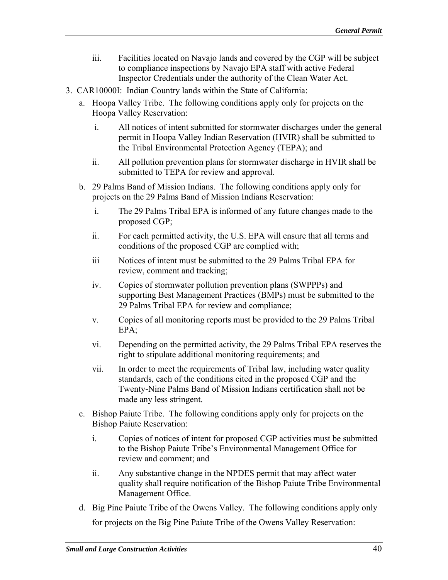- iii. Facilities located on Navajo lands and covered by the CGP will be subject to compliance inspections by Navajo EPA staff with active Federal Inspector Credentials under the authority of the Clean Water Act.
- 3. CAR10000I: Indian Country lands within the State of California:
	- a. Hoopa Valley Tribe. The following conditions apply only for projects on the Hoopa Valley Reservation:
		- i. All notices of intent submitted for stormwater discharges under the general permit in Hoopa Valley Indian Reservation (HVIR) shall be submitted to the Tribal Environmental Protection Agency (TEPA); and
		- ii. All pollution prevention plans for stormwater discharge in HVIR shall be submitted to TEPA for review and approval.
	- b. 29 Palms Band of Mission Indians. The following conditions apply only for projects on the 29 Palms Band of Mission Indians Reservation:
		- i. The 29 Palms Tribal EPA is informed of any future changes made to the proposed CGP;
		- ii. For each permitted activity, the U.S. EPA will ensure that all terms and conditions of the proposed CGP are complied with;
		- iii Notices of intent must be submitted to the 29 Palms Tribal EPA for review, comment and tracking;
		- iv. Copies of stormwater pollution prevention plans (SWPPPs) and supporting Best Management Practices (BMPs) must be submitted to the 29 Palms Tribal EPA for review and compliance;
		- v. Copies of all monitoring reports must be provided to the 29 Palms Tribal EPA;
		- vi. Depending on the permitted activity, the 29 Palms Tribal EPA reserves the right to stipulate additional monitoring requirements; and
		- vii. In order to meet the requirements of Tribal law, including water quality standards, each of the conditions cited in the proposed CGP and the Twenty-Nine Palms Band of Mission Indians certification shall not be made any less stringent.
	- c. Bishop Paiute Tribe. The following conditions apply only for projects on the Bishop Paiute Reservation:
		- i. Copies of notices of intent for proposed CGP activities must be submitted to the Bishop Paiute Tribe's Environmental Management Office for review and comment; and
		- ii. Any substantive change in the NPDES permit that may affect water quality shall require notification of the Bishop Paiute Tribe Environmental Management Office.
	- d. Big Pine Paiute Tribe of the Owens Valley. The following conditions apply only for projects on the Big Pine Paiute Tribe of the Owens Valley Reservation: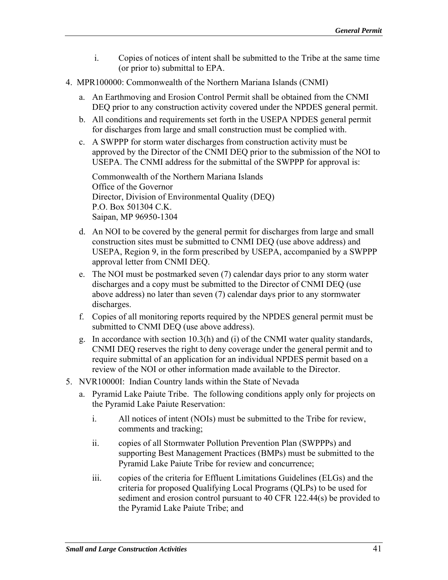- i. Copies of notices of intent shall be submitted to the Tribe at the same time (or prior to) submittal to EPA.
- 4. MPR100000: Commonwealth of the Northern Mariana Islands (CNMI)
	- a. An Earthmoving and Erosion Control Permit shall be obtained from the CNMI DEQ prior to any construction activity covered under the NPDES general permit.
	- b. All conditions and requirements set forth in the USEPA NPDES general permit for discharges from large and small construction must be complied with.
	- c. A SWPPP for storm water discharges from construction activity must be approved by the Director of the CNMI DEQ prior to the submission of the NOI to USEPA. The CNMI address for the submittal of the SWPPP for approval is:

Commonwealth of the Northern Mariana Islands Office of the Governor Director, Division of Environmental Quality (DEQ) P.O. Box 501304 C.K. Saipan, MP 96950-1304

- d. An NOI to be covered by the general permit for discharges from large and small construction sites must be submitted to CNMI DEQ (use above address) and USEPA, Region 9, in the form prescribed by USEPA, accompanied by a SWPPP approval letter from CNMI DEQ.
- e. The NOI must be postmarked seven (7) calendar days prior to any storm water discharges and a copy must be submitted to the Director of CNMI DEQ (use above address) no later than seven (7) calendar days prior to any stormwater discharges.
- f. Copies of all monitoring reports required by the NPDES general permit must be submitted to CNMI DEQ (use above address).
- g. In accordance with section  $10.3(h)$  and (i) of the CNMI water quality standards, CNMI DEQ reserves the right to deny coverage under the general permit and to require submittal of an application for an individual NPDES permit based on a review of the NOI or other information made available to the Director.
- 5. NVR10000I: Indian Country lands within the State of Nevada
	- a. Pyramid Lake Paiute Tribe. The following conditions apply only for projects on the Pyramid Lake Paiute Reservation:
		- i. All notices of intent (NOIs) must be submitted to the Tribe for review, comments and tracking;
		- ii. copies of all Stormwater Pollution Prevention Plan (SWPPPs) and supporting Best Management Practices (BMPs) must be submitted to the Pyramid Lake Paiute Tribe for review and concurrence;
		- iii. copies of the criteria for Effluent Limitations Guidelines (ELGs) and the criteria for proposed Qualifying Local Programs (QLPs) to be used for sediment and erosion control pursuant to 40 CFR 122.44(s) be provided to the Pyramid Lake Paiute Tribe; and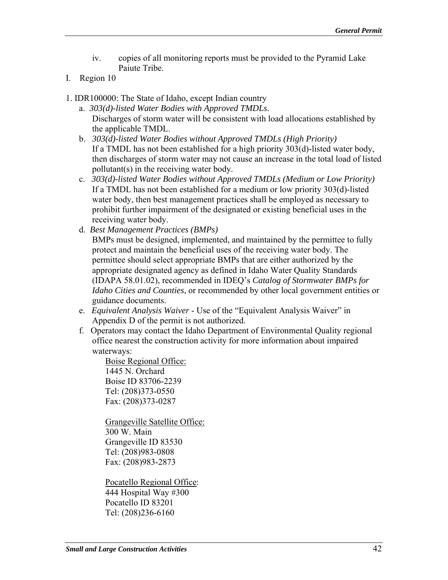- iv. copies of all monitoring reports must be provided to the Pyramid Lake Paiute Tribe.
- I. Region 10
- 1. IDR100000: The State of Idaho, except Indian country
	- a. *303(d)-listed Water Bodies with Approved TMDLs.*  Discharges of storm water will be consistent with load allocations established by the applicable TMDL.
	- b. *303(d)-listed Water Bodies without Approved TMDLs (High Priority)* If a TMDL has not been established for a high priority 303(d)-listed water body, then discharges of storm water may not cause an increase in the total load of listed pollutant(s) in the receiving water body.
	- c. *303(d)-listed Water Bodies without Approved TMDLs (Medium or Low Priority)*  If a TMDL has not been established for a medium or low priority 303(d)-listed water body, then best management practices shall be employed as necessary to prohibit further impairment of the designated or existing beneficial uses in the receiving water body.
	- d. *Best Management Practices (BMPs)*

BMPs must be designed, implemented, and maintained by the permittee to fully protect and maintain the beneficial uses of the receiving water body. The permittee should select appropriate BMPs that are either authorized by the appropriate designated agency as defined in Idaho Water Quality Standards (IDAPA 58.01.02), recommended in IDEQ's *Catalog of Stormwater BMPs for Idaho Cities and Counties*, or recommended by other local government entities or guidance documents.

- e. *Equivalent Analysis Waiver* Use of the "Equivalent Analysis Waiver" in Appendix D of the permit is not authorized.
- f. Operators may contact the Idaho Department of Environmental Quality regional office nearest the construction activity for more information about impaired waterways:

Boise Regional Office: 1445 N. Orchard Boise ID 83706-2239 Tel: (208)373-0550 Fax: (208)373-0287

Grangeville Satellite Office: 300 W. Main Grangeville ID 83530 Tel: (208)983-0808 Fax: (208)983-2873

Pocatello Regional Office: 444 Hospital Way #300 Pocatello ID 83201 Tel: (208)236-6160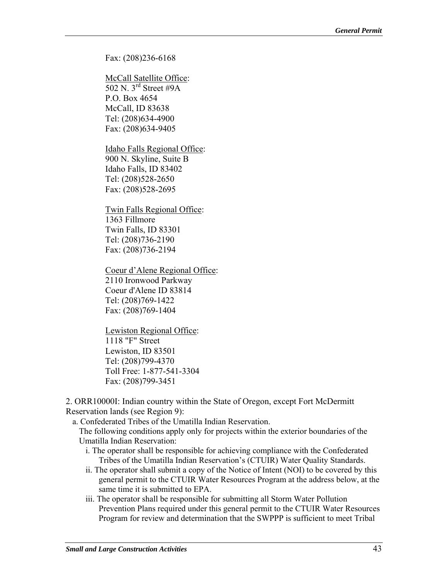Fax: (208)236-6168

McCall Satellite Office: 502 N. 3rd Street #9A P.O. Box 4654 McCall, ID 83638 Tel: (208)634-4900 Fax: (208)634-9405

Idaho Falls Regional Office: 900 N. Skyline, Suite B Idaho Falls, ID 83402 Tel: (208)528-2650 Fax: (208)528-2695

Twin Falls Regional Office: 1363 Fillmore Twin Falls, ID 83301 Tel: (208)736-2190 Fax: (208)736-2194

Coeur d'Alene Regional Office: 2110 Ironwood Parkway Coeur d'Alene ID 83814 Tel: (208)769-1422 Fax: (208)769-1404

Lewiston Regional Office: 1118 "F" Street Lewiston, ID 83501 Tel: (208)799-4370 Toll Free: 1-877-541-3304 Fax: (208)799-3451

2. ORR10000I: Indian country within the State of Oregon, except Fort McDermitt Reservation lands (see Region 9):

a. Confederated Tribes of the Umatilla Indian Reservation.

The following conditions apply only for projects within the exterior boundaries of the Umatilla Indian Reservation:

- i. The operator shall be responsible for achieving compliance with the Confederated Tribes of the Umatilla Indian Reservation's (CTUIR) Water Quality Standards.
- ii. The operator shall submit a copy of the Notice of Intent (NOI) to be covered by this general permit to the CTUIR Water Resources Program at the address below, at the same time it is submitted to EPA.
- iii. The operator shall be responsible for submitting all Storm Water Pollution Prevention Plans required under this general permit to the CTUIR Water Resources Program for review and determination that the SWPPP is sufficient to meet Tribal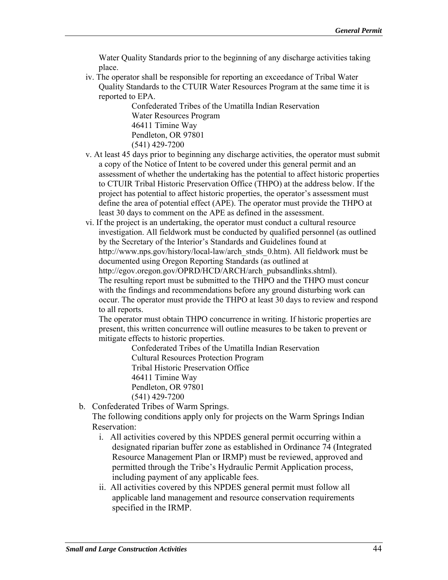Water Quality Standards prior to the beginning of any discharge activities taking place.

iv. The operator shall be responsible for reporting an exceedance of Tribal Water Quality Standards to the CTUIR Water Resources Program at the same time it is reported to EPA.

Confederated Tribes of the Umatilla Indian Reservation Water Resources Program 46411 Timine Way Pendleton, OR 97801 (541) 429-7200

- v. At least 45 days prior to beginning any discharge activities, the operator must submit a copy of the Notice of Intent to be covered under this general permit and an assessment of whether the undertaking has the potential to affect historic properties to CTUIR Tribal Historic Preservation Office (THPO) at the address below. If the project has potential to affect historic properties, the operator's assessment must define the area of potential effect (APE). The operator must provide the THPO at least 30 days to comment on the APE as defined in the assessment.
- vi. If the project is an undertaking, the operator must conduct a cultural resource investigation. All fieldwork must be conducted by qualified personnel (as outlined by the Secretary of the Interior's Standards and Guidelines found at http://www.nps.gov/history/local-law/arch\_stnds\_0.htm). All fieldwork must be documented using Oregon Reporting Standards (as outlined at http://egov.oregon.gov/OPRD/HCD/ARCH/arch\_pubsandlinks.shtml). The resulting report must be submitted to the THPO and the THPO must concur with the findings and recommendations before any ground disturbing work can occur. The operator must provide the THPO at least 30 days to review and respond to all reports.

The operator must obtain THPO concurrence in writing. If historic properties are present, this written concurrence will outline measures to be taken to prevent or mitigate effects to historic properties.

 Cultural Resources Protection Program Tribal Historic Preservation Office 46411 Timine Way Confederated Tribes of the Umatilla Indian Reservation

Pendleton, OR 97801

(541) 429-7200

b. Confederated Tribes of Warm Springs.

The following conditions apply only for projects on the Warm Springs Indian Reservation:

- i. All activities covered by this NPDES general permit occurring within a designated riparian buffer zone as established in Ordinance 74 (Integrated Resource Management Plan or IRMP) must be reviewed, approved and permitted through the Tribe's Hydraulic Permit Application process, including payment of any applicable fees.
- ii. All activities covered by this NPDES general permit must follow all applicable land management and resource conservation requirements specified in the IRMP.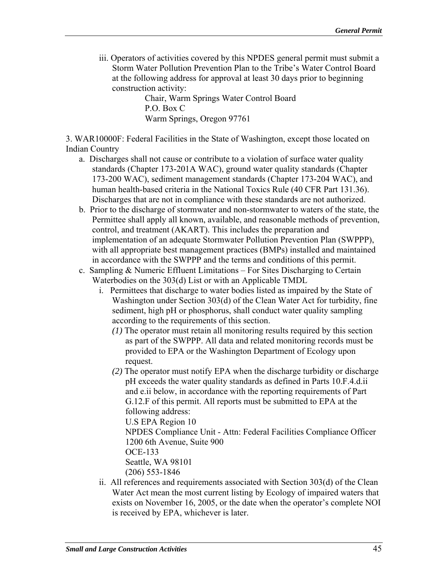iii. Operators of activities covered by this NPDES general permit must submit a Storm Water Pollution Prevention Plan to the Tribe's Water Control Board at the following address for approval at least 30 days prior to beginning construction activity:

Chair, Warm Springs Water Control Board P.O. Box C Warm Springs, Oregon 97761

3. WAR10000F: Federal Facilities in the State of Washington, except those located on Indian Country

- a. Discharges shall not cause or contribute to a violation of surface water quality standards (Chapter 173-201A WAC), ground water quality standards (Chapter 173-200 WAC), sediment management standards (Chapter 173-204 WAC), and human health-based criteria in the National Toxics Rule (40 CFR Part 131.36). Discharges that are not in compliance with these standards are not authorized.
- b. Prior to the discharge of stormwater and non-stormwater to waters of the state, the Permittee shall apply all known, available, and reasonable methods of prevention, control, and treatment (AKART). This includes the preparation and implementation of an adequate Stormwater Pollution Prevention Plan (SWPPP), with all appropriate best management practices (BMPs) installed and maintained in accordance with the SWPPP and the terms and conditions of this permit.
- c. Sampling & Numeric Effluent Limitations For Sites Discharging to Certain Waterbodies on the 303(d) List or with an Applicable TMDL
	- i. Permittees that discharge to water bodies listed as impaired by the State of Washington under Section 303(d) of the Clean Water Act for turbidity, fine sediment, high pH or phosphorus, shall conduct water quality sampling according to the requirements of this section.
		- *(1)* The operator must retain all monitoring results required by this section as part of the SWPPP. All data and related monitoring records must be provided to EPA or the Washington Department of Ecology upon request.
		- *(2)* The operator must notify EPA when the discharge turbidity or discharge pH exceeds the water quality standards as defined in Parts 10.F.4.d.ii and e.ii below, in accordance with the reporting requirements of Part G.12.F of this permit. All reports must be submitted to EPA at the following address:

U.S EPA Region 10

NPDES Compliance Unit - Attn: Federal Facilities Compliance Officer 1200 6th Avenue, Suite 900

OCE-133

Seattle, WA 98101

(206) 553-1846

ii. All references and requirements associated with Section 303(d) of the Clean Water Act mean the most current listing by Ecology of impaired waters that exists on November 16, 2005, or the date when the operator's complete NOI is received by EPA, whichever is later.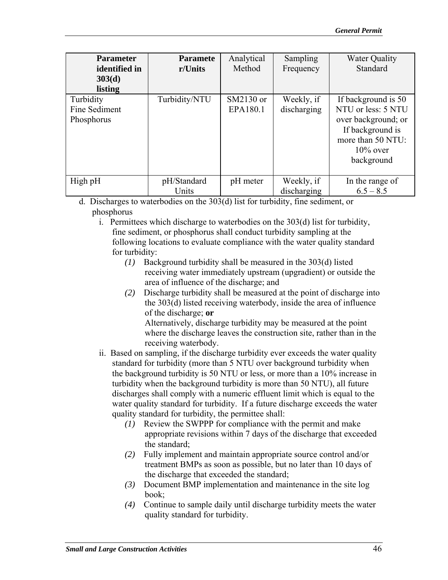| <b>Parameter</b><br>identified in<br>303(d)<br>listing | <b>Paramete</b><br>r/Units | Analytical<br>Method  | Sampling<br>Frequency     | <b>Water Quality</b><br>Standard                                                                                                       |
|--------------------------------------------------------|----------------------------|-----------------------|---------------------------|----------------------------------------------------------------------------------------------------------------------------------------|
| Turbidity<br>Fine Sediment<br>Phosphorus               | Turbidity/NTU              | SM2130 or<br>EPA180.1 | Weekly, if<br>discharging | If background is 50<br>NTU or less: 5 NTU<br>over background; or<br>If background is<br>more than 50 NTU:<br>$10\%$ over<br>background |
| High pH                                                | pH/Standard<br>Units       | pH meter              | Weekly, if<br>discharging | In the range of<br>$6.5 - 8.5$                                                                                                         |

d. Discharges to waterbodies on the 303(d) list for turbidity, fine sediment, or phosphorus

i. Permittees which discharge to waterbodies on the 303(d) list for turbidity, fine sediment, or phosphorus shall conduct turbidity sampling at the following locations to evaluate compliance with the water quality standard for turbidity:

- *(1)* Background turbidity shall be measured in the 303(d) listed receiving water immediately upstream (upgradient) or outside the area of influence of the discharge; and
- $(2)$ Discharge turbidity shall be measured at the point of discharge into the 303(d) listed receiving waterbody, inside the area of influence of the discharge; **or**  Alternatively, discharge turbidity may be measured at the point where the discharge leaves the construction site, rather than in the

receiving waterbody.

- ii. Based on sampling, if the discharge turbidity ever exceeds the water quality standard for turbidity (more than 5 NTU over background turbidity when the background turbidity is 50 NTU or less, or more than a 10% increase in turbidity when the background turbidity is more than 50 NTU), all future discharges shall comply with a numeric effluent limit which is equal to the water quality standard for turbidity. If a future discharge exceeds the water quality standard for turbidity, the permittee shall:
	- *(1)* Review the SWPPP for compliance with the permit and make appropriate revisions within 7 days of the discharge that exceeded the standard;
	- *(2)* Fully implement and maintain appropriate source control and/or treatment BMPs as soon as possible, but no later than 10 days of the discharge that exceeded the standard;
	- (3) Document BMP implementation and maintenance in the site log book;
	- *(4)* Continue to sample daily until discharge turbidity meets the water quality standard for turbidity.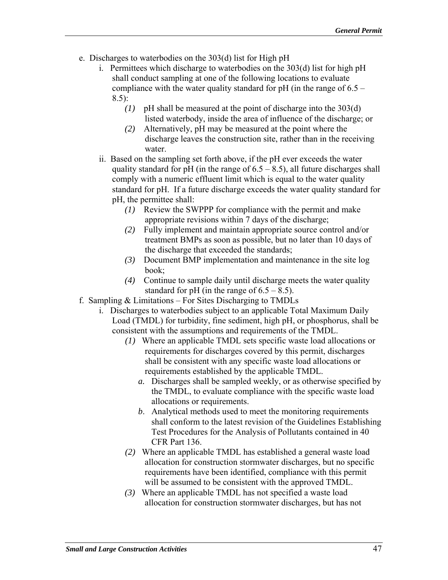- e. Discharges to waterbodies on the 303(d) list for High pH
	- i. Permittees which discharge to waterbodies on the 303(d) list for high pH shall conduct sampling at one of the following locations to evaluate compliance with the water quality standard for pH (in the range of 6.5 – 8.5):
		- *(1)* pH shall be measured at the point of discharge into the 303(d) listed waterbody, inside the area of influence of the discharge; or
		- *(2)* Alternatively, pH may be measured at the point where the discharge leaves the construction site, rather than in the receiving water.
	- ii. Based on the sampling set forth above, if the pH ever exceeds the water quality standard for pH (in the range of  $6.5 - 8.5$ ), all future discharges shall comply with a numeric effluent limit which is equal to the water quality standard for pH. If a future discharge exceeds the water quality standard for pH, the permittee shall:
		- *(1)* Review the SWPPP for compliance with the permit and make appropriate revisions within 7 days of the discharge;
		- *(2)* Fully implement and maintain appropriate source control and/or treatment BMPs as soon as possible, but no later than 10 days of the discharge that exceeded the standards;
		- *(3)* Document BMP implementation and maintenance in the site log book;
		- *(4)* Continue to sample daily until discharge meets the water quality standard for pH (in the range of  $6.5 - 8.5$ ).
- f. Sampling & Limitations For Sites Discharging to TMDLs
	- i. Discharges to waterbodies subject to an applicable Total Maximum Daily Load (TMDL) for turbidity, fine sediment, high pH, or phosphorus, shall be consistent with the assumptions and requirements of the TMDL.
		- *(1)* Where an applicable TMDL sets specific waste load allocations or requirements for discharges covered by this permit, discharges shall be consistent with any specific waste load allocations or requirements established by the applicable TMDL.
			- *a.* Discharges shall be sampled weekly, or as otherwise specified by the TMDL, to evaluate compliance with the specific waste load allocations or requirements.
			- *b*. Analytical methods used to meet the monitoring requirements shall conform to the latest revision of the Guidelines Establishing Test Procedures for the Analysis of Pollutants contained in 40 CFR Part 136.
		- *(2)* Where an applicable TMDL has established a general waste load allocation for construction stormwater discharges, but no specific requirements have been identified, compliance with this permit will be assumed to be consistent with the approved TMDL.
		- *(3)* Where an applicable TMDL has not specified a waste load allocation for construction stormwater discharges, but has not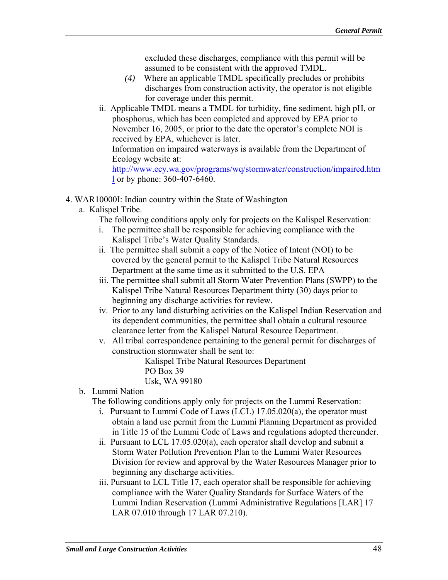excluded these discharges, compliance with this permit will be assumed to be consistent with the approved TMDL.

- *(4)* Where an applicable TMDL specifically precludes or prohibits discharges from construction activity, the operator is not eligible for coverage under this permit.
- received by EPA, whichever is later. ii. Applicable TMDL means a TMDL for turbidity, fine sediment, high pH, or phosphorus, which has been completed and approved by EPA prior to November 16, 2005, or prior to the date the operator's complete NOI is Information on impaired waterways is available from the Department of Ecology website at:

http://www.ecy.wa.gov/programs/wq/stormwater/construction/impaired.htm l or by phone: 360-407-6460.

- 4. WAR10000I: Indian country within the State of Washington
	- a. Kalispel Tribe.
		- The following conditions apply only for projects on the Kalispel Reservation:
		- i. The permittee shall be responsible for achieving compliance with the Kalispel Tribe's Water Quality Standards.
		- ii. The permittee shall submit a copy of the Notice of Intent (NOI) to be covered by the general permit to the Kalispel Tribe Natural Resources Department at the same time as it submitted to the U.S. EPA
		- iii. The permittee shall submit all Storm Water Prevention Plans (SWPP) to the Kalispel Tribe Natural Resources Department thirty (30) days prior to beginning any discharge activities for review.
		- iv. Prior to any land disturbing activities on the Kalispel Indian Reservation and its dependent communities, the permittee shall obtain a cultural resource clearance letter from the Kalispel Natural Resource Department.
		- v. All tribal correspondence pertaining to the general permit for discharges of construction stormwater shall be sent to:

Kalispel Tribe Natural Resources Department PO Box 39 Usk, WA 99180

b. Lummi Nation

The following conditions apply only for projects on the Lummi Reservation:

- i. Pursuant to Lummi Code of Laws (LCL) 17.05.020(a), the operator must obtain a land use permit from the Lummi Planning Department as provided in Title 15 of the Lummi Code of Laws and regulations adopted thereunder.
- ii. Pursuant to LCL 17.05.020(a), each operator shall develop and submit a Storm Water Pollution Prevention Plan to the Lummi Water Resources Division for review and approval by the Water Resources Manager prior to beginning any discharge activities.
- iii. Pursuant to LCL Title 17, each operator shall be responsible for achieving compliance with the Water Quality Standards for Surface Waters of the Lummi Indian Reservation (Lummi Administrative Regulations [LAR] 17 LAR 07.010 through 17 LAR 07.210).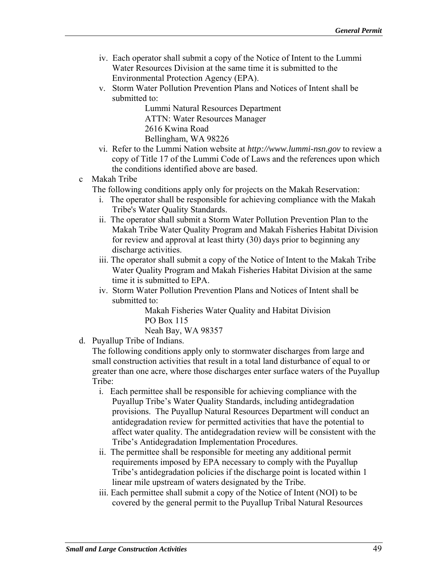- iv. Each operator shall submit a copy of the Notice of Intent to the Lummi Water Resources Division at the same time it is submitted to the Environmental Protection Agency (EPA).
- v. Storm Water Pollution Prevention Plans and Notices of Intent shall be submitted to:

Lummi Natural Resources Department ATTN: Water Resources Manager 2616 Kwina Road Bellingham, WA 98226

- vi. Refer to the Lummi Nation website at *http://www.lummi-nsn.gov* to review a copy of Title 17 of the Lummi Code of Laws and the references upon which the conditions identified above are based.
- c Makah Tribe
	- The following conditions apply only for projects on the Makah Reservation:
		- i. The operator shall be responsible for achieving compliance with the Makah Tribe's Water Quality Standards.
		- ii. The operator shall submit a Storm Water Pollution Prevention Plan to the Makah Tribe Water Quality Program and Makah Fisheries Habitat Division for review and approval at least thirty (30) days prior to beginning any discharge activities.
		- iii. The operator shall submit a copy of the Notice of Intent to the Makah Tribe Water Quality Program and Makah Fisheries Habitat Division at the same time it is submitted to EPA.
		- iv. Storm Water Pollution Prevention Plans and Notices of Intent shall be submitted to:

Makah Fisheries Water Quality and Habitat Division PO Box 115 Neah Bay, WA 98357

d. Puyallup Tribe of Indians.

The following conditions apply only to stormwater discharges from large and small construction activities that result in a total land disturbance of equal to or greater than one acre, where those discharges enter surface waters of the Puyallup Tribe:

- i. Each permittee shall be responsible for achieving compliance with the Puyallup Tribe's Water Quality Standards, including antidegradation provisions. The Puyallup Natural Resources Department will conduct an antidegradation review for permitted activities that have the potential to affect water quality. The antidegradation review will be consistent with the Tribe's Antidegradation Implementation Procedures.
- ii. The permittee shall be responsible for meeting any additional permit requirements imposed by EPA necessary to comply with the Puyallup Tribe's antidegradation policies if the discharge point is located within 1 linear mile upstream of waters designated by the Tribe.
- iii. Each permittee shall submit a copy of the Notice of Intent (NOI) to be covered by the general permit to the Puyallup Tribal Natural Resources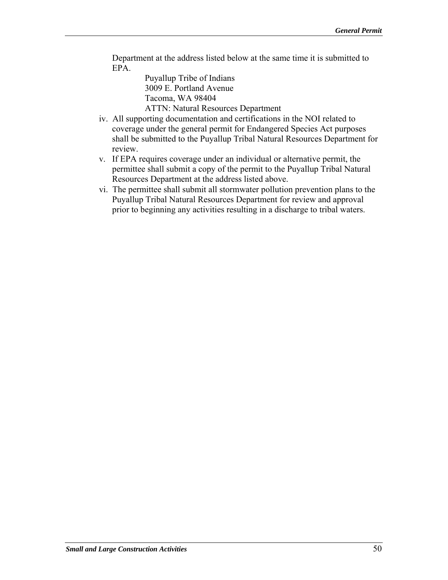Department at the address listed below at the same time it is submitted to EPA.

> Puyallup Tribe of Indians 3009 E. Portland Avenue Tacoma, WA 98404

ATTN: Natural Resources Department

- iv. All supporting documentation and certifications in the NOI related to coverage under the general permit for Endangered Species Act purposes shall be submitted to the Puyallup Tribal Natural Resources Department for review.
- v. If EPA requires coverage under an individual or alternative permit, the permittee shall submit a copy of the permit to the Puyallup Tribal Natural Resources Department at the address listed above.
- vi. The permittee shall submit all stormwater pollution prevention plans to the Puyallup Tribal Natural Resources Department for review and approval prior to beginning any activities resulting in a discharge to tribal waters.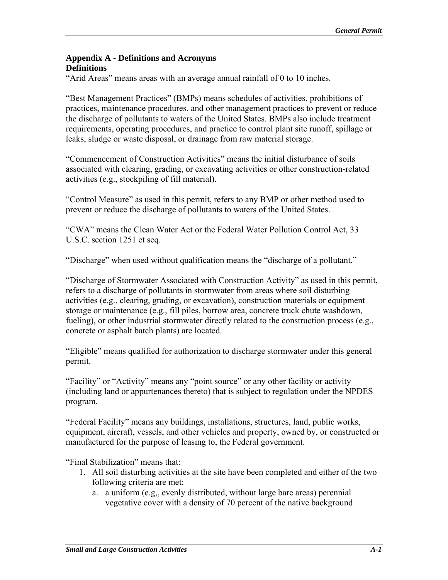### **Appendix A - Definitions and Acronyms Definitions**

"Arid Areas" means areas with an average annual rainfall of 0 to 10 inches.

"Best Management Practices" (BMPs) means schedules of activities, prohibitions of practices, maintenance procedures, and other management practices to prevent or reduce the discharge of pollutants to waters of the United States. BMPs also include treatment requirements, operating procedures, and practice to control plant site runoff, spillage or leaks, sludge or waste disposal, or drainage from raw material storage.

"Commencement of Construction Activities" means the initial disturbance of soils associated with clearing, grading, or excavating activities or other construction-related activities (e.g., stockpiling of fill material).

"Control Measure" as used in this permit, refers to any BMP or other method used to prevent or reduce the discharge of pollutants to waters of the United States.

"CWA" means the Clean Water Act or the Federal Water Pollution Control Act, 33 U.S.C. section 1251 et seq.

"Discharge" when used without qualification means the "discharge of a pollutant."

"Discharge of Stormwater Associated with Construction Activity" as used in this permit, refers to a discharge of pollutants in stormwater from areas where soil disturbing activities (e.g., clearing, grading, or excavation), construction materials or equipment storage or maintenance (e.g., fill piles, borrow area, concrete truck chute washdown, fueling), or other industrial stormwater directly related to the construction process (e.g., concrete or asphalt batch plants) are located.

"Eligible" means qualified for authorization to discharge stormwater under this general permit.

"Facility" or "Activity" means any "point source" or any other facility or activity (including land or appurtenances thereto) that is subject to regulation under the NPDES program.

"Federal Facility" means any buildings, installations, structures, land, public works, equipment, aircraft, vessels, and other vehicles and property, owned by, or constructed or manufactured for the purpose of leasing to, the Federal government.

"Final Stabilization" means that:

- 1. All soil disturbing activities at the site have been completed and either of the two following criteria are met:
	- a. a uniform (e.g., evenly distributed, without large bare areas) perennial vegetative cover with a density of 70 percent of the native background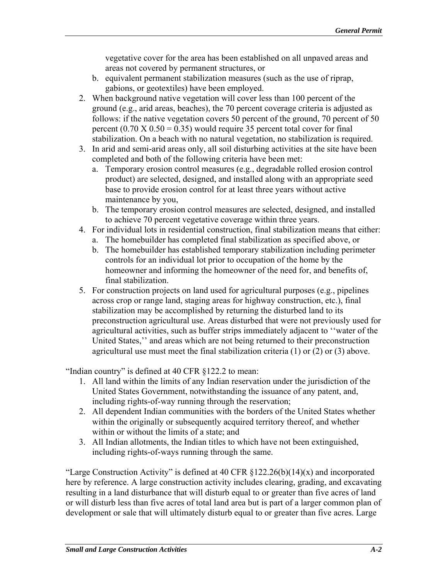vegetative cover for the area has been established on all unpaved areas and areas not covered by permanent structures, or

- b. equivalent permanent stabilization measures (such as the use of riprap, gabions, or geotextiles) have been employed.
- 2. When background native vegetation will cover less than 100 percent of the ground (e.g., arid areas, beaches), the 70 percent coverage criteria is adjusted as follows: if the native vegetation covers 50 percent of the ground, 70 percent of 50 percent  $(0.70 \text{ X } 0.50 = 0.35)$  would require 35 percent total cover for final stabilization. On a beach with no natural vegetation, no stabilization is required.
- 3. In arid and semi-arid areas only, all soil disturbing activities at the site have been completed and both of the following criteria have been met:
	- a. Temporary erosion control measures (e.g., degradable rolled erosion control product) are selected, designed, and installed along with an appropriate seed base to provide erosion control for at least three years without active maintenance by you,
	- b. The temporary erosion control measures are selected, designed, and installed to achieve 70 percent vegetative coverage within three years.
- 4. For individual lots in residential construction, final stabilization means that either:
	- a. The homebuilder has completed final stabilization as specified above, or
	- b. The homebuilder has established temporary stabilization including perimeter controls for an individual lot prior to occupation of the home by the homeowner and informing the homeowner of the need for, and benefits of, final stabilization.
- 5. For construction projects on land used for agricultural purposes (e.g., pipelines across crop or range land, staging areas for highway construction, etc.), final stabilization may be accomplished by returning the disturbed land to its preconstruction agricultural use. Areas disturbed that were not previously used for agricultural activities, such as buffer strips immediately adjacent to ''water of the United States,'' and areas which are not being returned to their preconstruction agricultural use must meet the final stabilization criteria (1) or (2) or (3) above.

"Indian country" is defined at 40 CFR §122.2 to mean:

- 1. All land within the limits of any Indian reservation under the jurisdiction of the United States Government, notwithstanding the issuance of any patent, and, including rights-of-way running through the reservation;
- 2. All dependent Indian communities with the borders of the United States whether within the originally or subsequently acquired territory thereof, and whether within or without the limits of a state; and
- 3. All Indian allotments, the Indian titles to which have not been extinguished, including rights-of-ways running through the same.

"Large Construction Activity" is defined at 40 CFR  $\S 122.26(b)(14)(x)$  and incorporated here by reference. A large construction activity includes clearing, grading, and excavating resulting in a land disturbance that will disturb equal to or greater than five acres of land or will disturb less than five acres of total land area but is part of a larger common plan of development or sale that will ultimately disturb equal to or greater than five acres. Large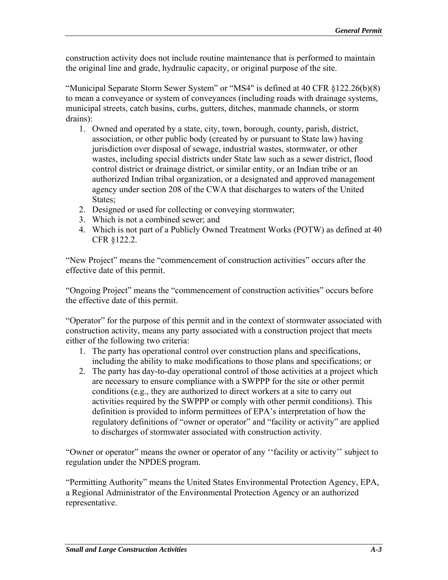construction activity does not include routine maintenance that is performed to maintain the original line and grade, hydraulic capacity, or original purpose of the site.

"Municipal Separate Storm Sewer System" or "MS4" is defined at 40 CFR §122.26(b)(8) to mean a conveyance or system of conveyances (including roads with drainage systems, municipal streets, catch basins, curbs, gutters, ditches, manmade channels, or storm drains):

- 1. Owned and operated by a state, city, town, borough, county, parish, district, association, or other public body (created by or pursuant to State law) having jurisdiction over disposal of sewage, industrial wastes, stormwater, or other wastes, including special districts under State law such as a sewer district, flood control district or drainage district, or similar entity, or an Indian tribe or an authorized Indian tribal organization, or a designated and approved management agency under section 208 of the CWA that discharges to waters of the United States:
- 2. Designed or used for collecting or conveying stormwater;
- 3. Which is not a combined sewer; and
- 4. Which is not part of a Publicly Owned Treatment Works (POTW) as defined at 40 CFR §122.2.

"New Project" means the "commencement of construction activities" occurs after the effective date of this permit.

"Ongoing Project" means the "commencement of construction activities" occurs before the effective date of this permit.

"Operator" for the purpose of this permit and in the context of stormwater associated with construction activity, means any party associated with a construction project that meets either of the following two criteria:

- 1. The party has operational control over construction plans and specifications, including the ability to make modifications to those plans and specifications; or
- 2. The party has day-to-day operational control of those activities at a project which are necessary to ensure compliance with a SWPPP for the site or other permit conditions (e.g., they are authorized to direct workers at a site to carry out activities required by the SWPPP or comply with other permit conditions). This definition is provided to inform permittees of EPA's interpretation of how the regulatory definitions of "owner or operator" and "facility or activity" are applied to discharges of stormwater associated with construction activity.

"Owner or operator" means the owner or operator of any ''facility or activity'' subject to regulation under the NPDES program.

"Permitting Authority" means the United States Environmental Protection Agency, EPA, a Regional Administrator of the Environmental Protection Agency or an authorized representative.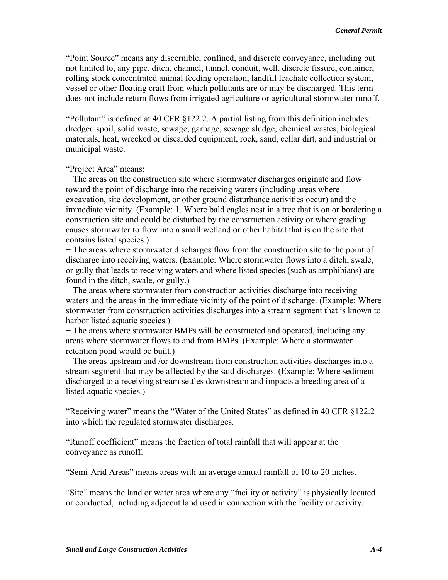"Point Source" means any discernible, confined, and discrete conveyance, including but not limited to, any pipe, ditch, channel, tunnel, conduit, well, discrete fissure, container, rolling stock concentrated animal feeding operation, landfill leachate collection system, vessel or other floating craft from which pollutants are or may be discharged. This term does not include return flows from irrigated agriculture or agricultural stormwater runoff.

"Pollutant" is defined at 40 CFR §122.2. A partial listing from this definition includes: dredged spoil, solid waste, sewage, garbage, sewage sludge, chemical wastes, biological materials, heat, wrecked or discarded equipment, rock, sand, cellar dirt, and industrial or municipal waste.

"Project Area" means:

− The areas on the construction site where stormwater discharges originate and flow toward the point of discharge into the receiving waters (including areas where excavation, site development, or other ground disturbance activities occur) and the immediate vicinity. (Example: 1. Where bald eagles nest in a tree that is on or bordering a construction site and could be disturbed by the construction activity or where grading causes stormwater to flow into a small wetland or other habitat that is on the site that contains listed species.)

− The areas where stormwater discharges flow from the construction site to the point of discharge into receiving waters. (Example: Where stormwater flows into a ditch, swale, or gully that leads to receiving waters and where listed species (such as amphibians) are found in the ditch, swale, or gully.)

− The areas where stormwater from construction activities discharge into receiving waters and the areas in the immediate vicinity of the point of discharge. (Example: Where stormwater from construction activities discharges into a stream segment that is known to harbor listed aquatic species.)

− The areas where stormwater BMPs will be constructed and operated, including any areas where stormwater flows to and from BMPs. (Example: Where a stormwater retention pond would be built.)

− The areas upstream and /or downstream from construction activities discharges into a stream segment that may be affected by the said discharges. (Example: Where sediment discharged to a receiving stream settles downstream and impacts a breeding area of a listed aquatic species.)

"Receiving water" means the "Water of the United States" as defined in 40 CFR §122.2 into which the regulated stormwater discharges.

"Runoff coefficient" means the fraction of total rainfall that will appear at the conveyance as runoff.

"Semi-Arid Areas" means areas with an average annual rainfall of 10 to 20 inches.

"Site" means the land or water area where any "facility or activity" is physically located or conducted, including adjacent land used in connection with the facility or activity.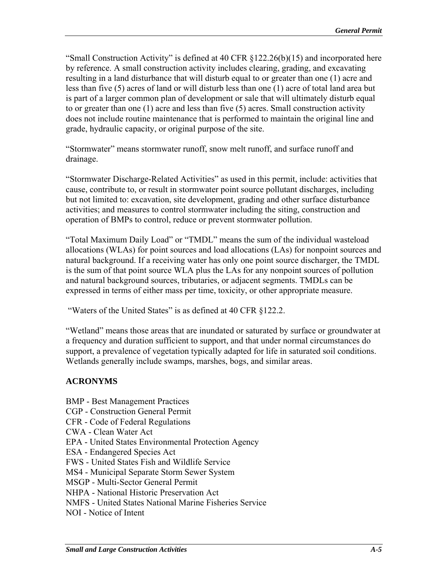"Small Construction Activity" is defined at 40 CFR §122.26(b)(15) and incorporated here by reference. A small construction activity includes clearing, grading, and excavating resulting in a land disturbance that will disturb equal to or greater than one (1) acre and less than five (5) acres of land or will disturb less than one (1) acre of total land area but is part of a larger common plan of development or sale that will ultimately disturb equal to or greater than one (1) acre and less than five (5) acres. Small construction activity does not include routine maintenance that is performed to maintain the original line and grade, hydraulic capacity, or original purpose of the site.

"Stormwater" means stormwater runoff, snow melt runoff, and surface runoff and drainage.

"Stormwater Discharge-Related Activities" as used in this permit, include: activities that cause, contribute to, or result in stormwater point source pollutant discharges, including but not limited to: excavation, site development, grading and other surface disturbance activities; and measures to control stormwater including the siting, construction and operation of BMPs to control, reduce or prevent stormwater pollution.

"Total Maximum Daily Load" or "TMDL" means the sum of the individual wasteload allocations (WLAs) for point sources and load allocations (LAs) for nonpoint sources and natural background. If a receiving water has only one point source discharger, the TMDL is the sum of that point source WLA plus the LAs for any nonpoint sources of pollution and natural background sources, tributaries, or adjacent segments. TMDLs can be expressed in terms of either mass per time, toxicity, or other appropriate measure.

"Waters of the United States" is as defined at 40 CFR §122.2.

"Wetland" means those areas that are inundated or saturated by surface or groundwater at a frequency and duration sufficient to support, and that under normal circumstances do support, a prevalence of vegetation typically adapted for life in saturated soil conditions. Wetlands generally include swamps, marshes, bogs, and similar areas.

### **ACRONYMS**

- BMP Best Management Practices
- CGP Construction General Permit
- CFR Code of Federal Regulations
- CWA Clean Water Act
- EPA United States Environmental Protection Agency
- ESA Endangered Species Act
- FWS United States Fish and Wildlife Service
- MS4 Municipal Separate Storm Sewer System
- MSGP Multi-Sector General Permit
- NHPA National Historic Preservation Act
- NMFS United States National Marine Fisheries Service
- NOI Notice of Intent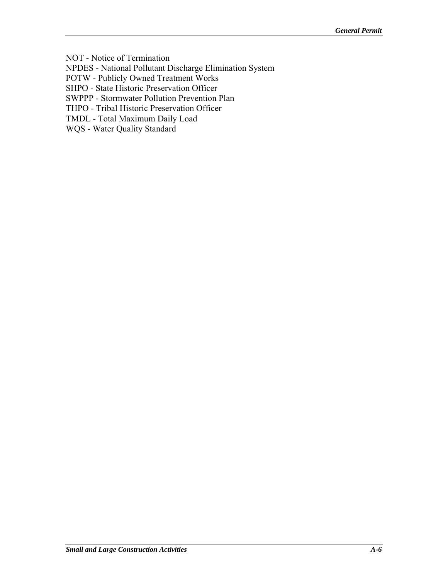NOT - Notice of Termination

NPDES - National Pollutant Discharge Elimination System

POTW - Publicly Owned Treatment Works

SHPO - State Historic Preservation Officer

SWPPP - Stormwater Pollution Prevention Plan

THPO - Tribal Historic Preservation Officer

TMDL - Total Maximum Daily Load

WQS - Water Quality Standard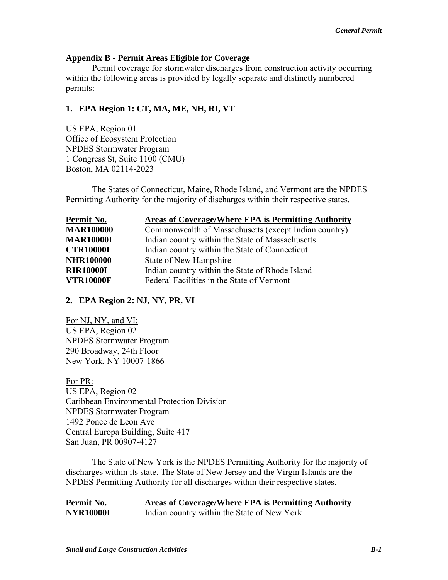### **Appendix B - Permit Areas Eligible for Coverage**

Permit coverage for stormwater discharges from construction activity occurring within the following areas is provided by legally separate and distinctly numbered permits:

# **1. EPA Region 1: CT, MA, ME, NH, RI, VT**

US EPA, Region 01 Office of Ecosystem Protection NPDES Stormwater Program 1 Congress St, Suite 1100 (CMU) Boston, MA 02114-2023

The States of Connecticut, Maine, Rhode Island, and Vermont are the NPDES Permitting Authority for the majority of discharges within their respective states.

| Permit No.       | <b>Areas of Coverage/Where EPA is Permitting Authority</b> |
|------------------|------------------------------------------------------------|
| <b>MAR100000</b> | Commonwealth of Massachusetts (except Indian country)      |
| <b>MAR10000I</b> | Indian country within the State of Massachusetts           |
| <b>CTR10000I</b> | Indian country within the State of Connecticut             |
| <b>NHR100000</b> | State of New Hampshire                                     |
| <b>RIR10000I</b> | Indian country within the State of Rhode Island            |
| <b>VTR10000F</b> | Federal Facilities in the State of Vermont                 |

### **2. EPA Region 2: NJ, NY, PR, VI**

For NJ, NY, and VI: US EPA, Region 02 NPDES Stormwater Program 290 Broadway, 24th Floor New York, NY 10007-1866

For PR: US EPA, Region 02 Caribbean Environmental Protection Division NPDES Stormwater Program 1492 Ponce de Leon Ave Central Europa Building, Suite 417 San Juan, PR 00907-4127

The State of New York is the NPDES Permitting Authority for the majority of discharges within its state. The State of New Jersey and the Virgin Islands are the NPDES Permitting Authority for all discharges within their respective states.

| Permit No.       | Areas of Coverage/Where EPA is Permitting Authority |
|------------------|-----------------------------------------------------|
| <b>NYR10000I</b> | Indian country within the State of New York         |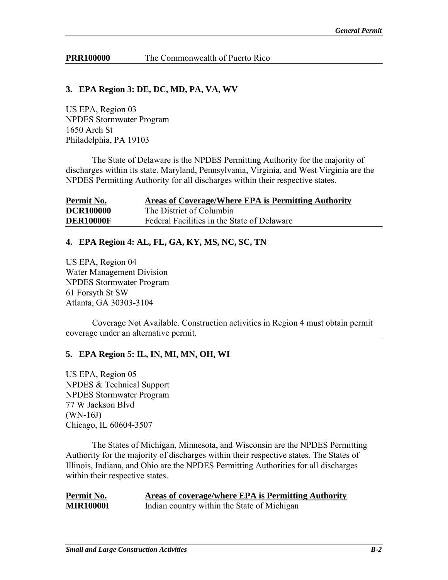**PRR100000** The Commonwealth of Puerto Rico

### **3. EPA Region 3: DE, DC, MD, PA, VA, WV**

US EPA, Region 03 NPDES Stormwater Program 1650 Arch St Philadelphia, PA 19103

The State of Delaware is the NPDES Permitting Authority for the majority of discharges within its state. Maryland, Pennsylvania, Virginia, and West Virginia are the NPDES Permitting Authority for all discharges within their respective states.

| Permit No.       | Areas of Coverage/Where EPA is Permitting Authority |
|------------------|-----------------------------------------------------|
| <b>DCR100000</b> | The District of Columbia                            |
| <b>DER10000F</b> | Federal Facilities in the State of Delaware         |

### **4. EPA Region 4: AL, FL, GA, KY, MS, NC, SC, TN**

US EPA, Region 04 Water Management Division NPDES Stormwater Program 61 Forsyth St SW Atlanta, GA 30303-3104

Coverage Not Available. Construction activities in Region 4 must obtain permit coverage under an alternative permit.

#### **5. EPA Region 5: IL, IN, MI, MN, OH, WI**

US EPA, Region 05 NPDES & Technical Support NPDES Stormwater Program 77 W Jackson Blvd (WN-16J) Chicago, IL 60604-3507

The States of Michigan, Minnesota, and Wisconsin are the NPDES Permitting Authority for the majority of discharges within their respective states. The States of Illinois, Indiana, and Ohio are the NPDES Permitting Authorities for all discharges within their respective states.

| Permit No.       | Areas of coverage/where EPA is Permitting Authority |
|------------------|-----------------------------------------------------|
| <b>MIR10000I</b> | Indian country within the State of Michigan         |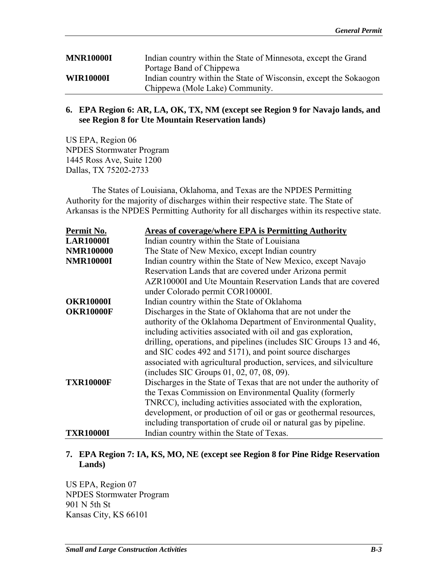| <b>MNR10000I</b> | Indian country within the State of Minnesota, except the Grand    |
|------------------|-------------------------------------------------------------------|
|                  | Portage Band of Chippewa                                          |
| <b>WIR10000I</b> | Indian country within the State of Wisconsin, except the Sokaogon |
|                  | Chippewa (Mole Lake) Community.                                   |

#### **6. EPA Region 6: AR, LA, OK, TX, NM (except see Region 9 for Navajo lands, and see Region 8 for Ute Mountain Reservation lands)**

US EPA, Region 06 NPDES Stormwater Program 1445 Ross Ave, Suite 1200 Dallas, TX 75202-2733

The States of Louisiana, Oklahoma, and Texas are the NPDES Permitting Authority for the majority of discharges within their respective state. The State of Arkansas is the NPDES Permitting Authority for all discharges within its respective state.

| Permit No.       | <b>Areas of coverage/where EPA is Permitting Authority</b>           |
|------------------|----------------------------------------------------------------------|
| <b>LAR10000I</b> | Indian country within the State of Louisiana                         |
| <b>NMR100000</b> | The State of New Mexico, except Indian country                       |
| <b>NMR10000I</b> | Indian country within the State of New Mexico, except Navajo         |
|                  | Reservation Lands that are covered under Arizona permit              |
|                  | AZR10000I and Ute Mountain Reservation Lands that are covered        |
|                  | under Colorado permit COR10000I.                                     |
| <b>OKR10000I</b> | Indian country within the State of Oklahoma                          |
| <b>OKR10000F</b> | Discharges in the State of Oklahoma that are not under the           |
|                  | authority of the Oklahoma Department of Environmental Quality,       |
|                  | including activities associated with oil and gas exploration,        |
|                  | drilling, operations, and pipelines (includes SIC Groups 13 and 46,  |
|                  | and SIC codes 492 and 5171), and point source discharges             |
|                  | associated with agricultural production, services, and silviculture  |
|                  | (includes SIC Groups 01, 02, 07, 08, 09).                            |
| <b>TXR10000F</b> | Discharges in the State of Texas that are not under the authority of |
|                  | the Texas Commission on Environmental Quality (formerly              |
|                  | TNRCC), including activities associated with the exploration,        |
|                  | development, or production of oil or gas or geothermal resources,    |
|                  | including transportation of crude oil or natural gas by pipeline.    |
| <b>TXR10000I</b> | Indian country within the State of Texas.                            |

### **7. EPA Region 7: IA, KS, MO, NE (except see Region 8 for Pine Ridge Reservation Lands)**

US EPA, Region 07 NPDES Stormwater Program 901 N 5th St Kansas City, KS 66101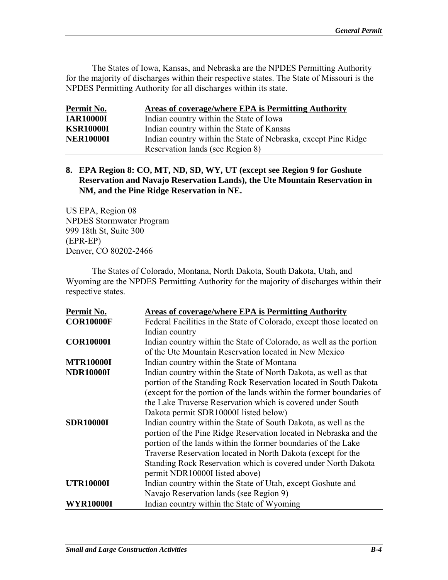The States of Iowa, Kansas, and Nebraska are the NPDES Permitting Authority for the majority of discharges within their respective states. The State of Missouri is the NPDES Permitting Authority for all discharges within its state.

| Permit No.       | Areas of coverage/where EPA is Permitting Authority            |
|------------------|----------------------------------------------------------------|
| <b>IAR10000I</b> | Indian country within the State of Iowa                        |
| <b>KSR10000I</b> | Indian country within the State of Kansas                      |
| <b>NER10000I</b> | Indian country within the State of Nebraska, except Pine Ridge |
|                  | Reservation lands (see Region 8)                               |

### **8. EPA Region 8: CO, MT, ND, SD, WY, UT (except see Region 9 for Goshute Reservation and Navajo Reservation Lands), the Ute Mountain Reservation in NM, and the Pine Ridge Reservation in NE.**

US EPA, Region 08 NPDES Stormwater Program 999 18th St, Suite 300 (EPR-EP) Denver, CO 80202-2466

The States of Colorado, Montana, North Dakota, South Dakota, Utah, and Wyoming are the NPDES Permitting Authority for the majority of discharges within their respective states.

| Permit No.       | Areas of coverage/where EPA is Permitting Authority                  |
|------------------|----------------------------------------------------------------------|
| <b>COR10000F</b> | Federal Facilities in the State of Colorado, except those located on |
|                  | Indian country                                                       |
| <b>COR10000I</b> | Indian country within the State of Colorado, as well as the portion  |
|                  | of the Ute Mountain Reservation located in New Mexico                |
| <b>MTR10000I</b> | Indian country within the State of Montana                           |
| <b>NDR10000I</b> | Indian country within the State of North Dakota, as well as that     |
|                  | portion of the Standing Rock Reservation located in South Dakota     |
|                  | (except for the portion of the lands within the former boundaries of |
|                  | the Lake Traverse Reservation which is covered under South           |
|                  | Dakota permit SDR10000I listed below)                                |
| <b>SDR10000I</b> | Indian country within the State of South Dakota, as well as the      |
|                  | portion of the Pine Ridge Reservation located in Nebraska and the    |
|                  | portion of the lands within the former boundaries of the Lake        |
|                  | Traverse Reservation located in North Dakota (except for the         |
|                  | Standing Rock Reservation which is covered under North Dakota        |
|                  | permit NDR10000I listed above)                                       |
| <b>UTR10000I</b> | Indian country within the State of Utah, except Goshute and          |
|                  | Navajo Reservation lands (see Region 9)                              |
| <b>WYR10000I</b> | Indian country within the State of Wyoming                           |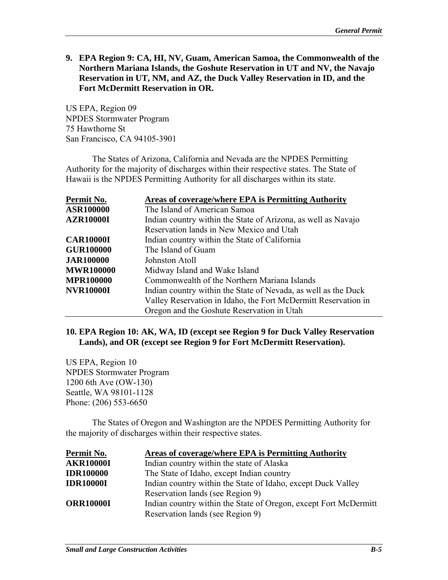**9. EPA Region 9: CA, HI, NV, Guam, American Samoa, the Commonwealth of the Northern Mariana Islands, the Goshute Reservation in UT and NV, the Navajo Reservation in UT, NM, and AZ, the Duck Valley Reservation in ID, and the Fort McDermitt Reservation in OR.** 

US EPA, Region 09 NPDES Stormwater Program 75 Hawthorne St San Francisco, CA 94105-3901

The States of Arizona, California and Nevada are the NPDES Permitting Authority for the majority of discharges within their respective states. The State of Hawaii is the NPDES Permitting Authority for all discharges within its state.

| Permit No.       | <b>Areas of coverage/where EPA is Permitting Authority</b>     |
|------------------|----------------------------------------------------------------|
| <b>ASR100000</b> | The Island of American Samoa                                   |
| <b>AZR10000I</b> | Indian country within the State of Arizona, as well as Navajo  |
|                  | Reservation lands in New Mexico and Utah                       |
| <b>CAR10000I</b> | Indian country within the State of California                  |
| <b>GUR100000</b> | The Island of Guam                                             |
| <b>JAR100000</b> | Johnston Atoll                                                 |
| <b>MWR100000</b> | Midway Island and Wake Island                                  |
| <b>MPR100000</b> | Commonwealth of the Northern Mariana Islands                   |
| <b>NVR10000I</b> | Indian country within the State of Nevada, as well as the Duck |
|                  | Valley Reservation in Idaho, the Fort McDermitt Reservation in |
|                  | Oregon and the Goshute Reservation in Utah                     |

#### **10. EPA Region 10: AK, WA, ID (except see Region 9 for Duck Valley Reservation Lands), and OR (except see Region 9 for Fort McDermitt Reservation).**

US EPA, Region 10 NPDES Stormwater Program 1200 6th Ave (OW-130) Seattle, WA 98101-1128 Phone: (206) 553-6650

The States of Oregon and Washington are the NPDES Permitting Authority for the majority of discharges within their respective states.

| Permit No.       | Areas of coverage/where EPA is Permitting Authority              |
|------------------|------------------------------------------------------------------|
| <b>AKR10000I</b> | Indian country within the state of Alaska                        |
| <b>IDR100000</b> | The State of Idaho, except Indian country                        |
| <b>IDR10000I</b> | Indian country within the State of Idaho, except Duck Valley     |
|                  | Reservation lands (see Region 9)                                 |
| <b>ORR10000I</b> | Indian country within the State of Oregon, except Fort McDermitt |
|                  | Reservation lands (see Region 9)                                 |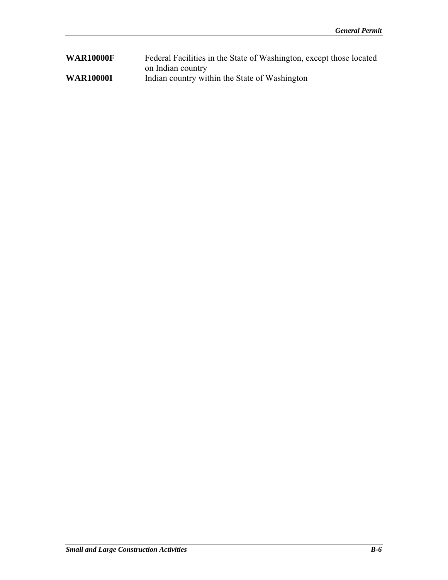| <b>WAR10000F</b> | Federal Facilities in the State of Washington, except those located |
|------------------|---------------------------------------------------------------------|
|                  | on Indian country                                                   |
| <b>WAR10000I</b> | Indian country within the State of Washington                       |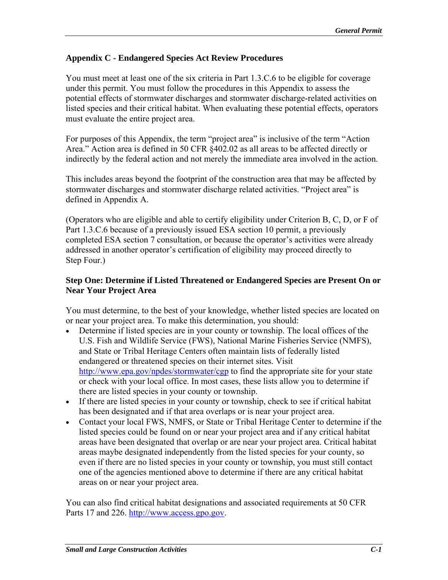# **Appendix C - Endangered Species Act Review Procedures**

You must meet at least one of the six criteria in Part 1.3.C.6 to be eligible for coverage under this permit. You must follow the procedures in this Appendix to assess the potential effects of stormwater discharges and stormwater discharge-related activities on listed species and their critical habitat. When evaluating these potential effects, operators must evaluate the entire project area.

For purposes of this Appendix, the term "project area" is inclusive of the term "Action Area." Action area is defined in 50 CFR §402.02 as all areas to be affected directly or indirectly by the federal action and not merely the immediate area involved in the action.

This includes areas beyond the footprint of the construction area that may be affected by stormwater discharges and stormwater discharge related activities. "Project area" is defined in Appendix A.

(Operators who are eligible and able to certify eligibility under Criterion B, C, D, or F of Part 1.3.C.6 because of a previously issued ESA section 10 permit, a previously completed ESA section 7 consultation, or because the operator's activities were already addressed in another operator's certification of eligibility may proceed directly to Step Four.)

### **Step One: Determine if Listed Threatened or Endangered Species are Present On or Near Your Project Area**

You must determine, to the best of your knowledge, whether listed species are located on or near your project area. To make this determination, you should:

- Determine if listed species are in your county or township. The local offices of the U.S. Fish and Wildlife Service (FWS), National Marine Fisheries Service (NMFS), and State or Tribal Heritage Centers often maintain lists of federally listed endangered or threatened species on their internet sites. Visit http://www.epa.gov/npdes/stormwater/cgp to find the appropriate site for your state or check with your local office. In most cases, these lists allow you to determine if there are listed species in your county or township.
- If there are listed species in your county or township, check to see if critical habitat has been designated and if that area overlaps or is near your project area.
- Contact your local FWS, NMFS, or State or Tribal Heritage Center to determine if the listed species could be found on or near your project area and if any critical habitat areas have been designated that overlap or are near your project area. Critical habitat areas maybe designated independently from the listed species for your county, so even if there are no listed species in your county or township, you must still contact one of the agencies mentioned above to determine if there are any critical habitat areas on or near your project area.

You can also find critical habitat designations and associated requirements at 50 CFR Parts 17 and 226. http://www.access.gpo.gov.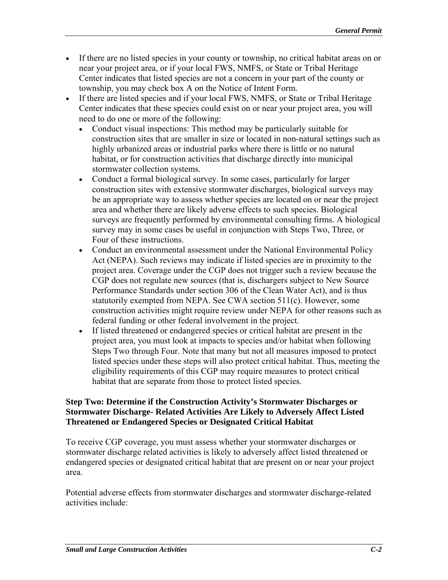- If there are no listed species in your county or township, no critical habitat areas on or near your project area, or if your local FWS, NMFS, or State or Tribal Heritage Center indicates that listed species are not a concern in your part of the county or township, you may check box A on the Notice of Intent Form.
- If there are listed species and if your local FWS, NMFS, or State or Tribal Heritage Center indicates that these species could exist on or near your project area, you will need to do one or more of the following:
	- Conduct visual inspections: This method may be particularly suitable for construction sites that are smaller in size or located in non-natural settings such as highly urbanized areas or industrial parks where there is little or no natural habitat, or for construction activities that discharge directly into municipal stormwater collection systems.
	- Conduct a formal biological survey. In some cases, particularly for larger construction sites with extensive stormwater discharges, biological surveys may be an appropriate way to assess whether species are located on or near the project area and whether there are likely adverse effects to such species. Biological surveys are frequently performed by environmental consulting firms. A biological survey may in some cases be useful in conjunction with Steps Two, Three, or Four of these instructions.
	- Conduct an environmental assessment under the National Environmental Policy Act (NEPA). Such reviews may indicate if listed species are in proximity to the project area. Coverage under the CGP does not trigger such a review because the CGP does not regulate new sources (that is, dischargers subject to New Source Performance Standards under section 306 of the Clean Water Act), and is thus statutorily exempted from NEPA. See CWA section 511(c). However, some construction activities might require review under NEPA for other reasons such as federal funding or other federal involvement in the project.
	- If listed threatened or endangered species or critical habitat are present in the project area, you must look at impacts to species and/or habitat when following Steps Two through Four. Note that many but not all measures imposed to protect listed species under these steps will also protect critical habitat. Thus, meeting the eligibility requirements of this CGP may require measures to protect critical habitat that are separate from those to protect listed species.

### **Step Two: Determine if the Construction Activity's Stormwater Discharges or Stormwater Discharge- Related Activities Are Likely to Adversely Affect Listed Threatened or Endangered Species or Designated Critical Habitat**

To receive CGP coverage, you must assess whether your stormwater discharges or stormwater discharge related activities is likely to adversely affect listed threatened or endangered species or designated critical habitat that are present on or near your project area.

Potential adverse effects from stormwater discharges and stormwater discharge-related activities include: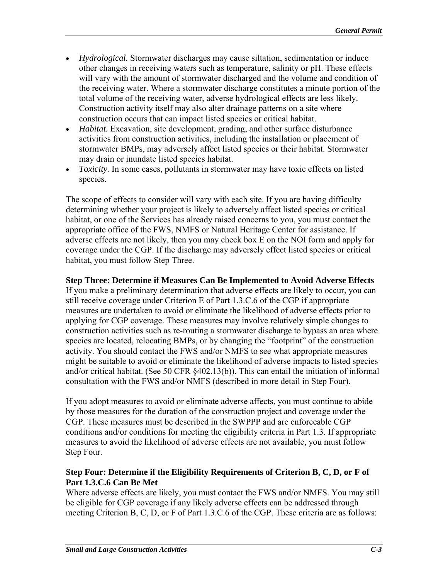- *Hydrological.* Stormwater discharges may cause siltation, sedimentation or induce other changes in receiving waters such as temperature, salinity or pH. These effects will vary with the amount of stormwater discharged and the volume and condition of the receiving water. Where a stormwater discharge constitutes a minute portion of the total volume of the receiving water, adverse hydrological effects are less likely. Construction activity itself may also alter drainage patterns on a site where construction occurs that can impact listed species or critical habitat.
- *Habitat.* Excavation, site development, grading, and other surface disturbance activities from construction activities, including the installation or placement of stormwater BMPs, may adversely affect listed species or their habitat. Stormwater may drain or inundate listed species habitat.
- *Toxicity.* In some cases, pollutants in stormwater may have toxic effects on listed species.

The scope of effects to consider will vary with each site. If you are having difficulty determining whether your project is likely to adversely affect listed species or critical habitat, or one of the Services has already raised concerns to you, you must contact the appropriate office of the FWS, NMFS or Natural Heritage Center for assistance. If adverse effects are not likely, then you may check box E on the NOI form and apply for coverage under the CGP. If the discharge may adversely effect listed species or critical habitat, you must follow Step Three.

### **Step Three: Determine if Measures Can Be Implemented to Avoid Adverse Effects**

If you make a preliminary determination that adverse effects are likely to occur, you can still receive coverage under Criterion E of Part 1.3.C.6 of the CGP if appropriate measures are undertaken to avoid or eliminate the likelihood of adverse effects prior to applying for CGP coverage. These measures may involve relatively simple changes to construction activities such as re-routing a stormwater discharge to bypass an area where species are located, relocating BMPs, or by changing the "footprint" of the construction activity. You should contact the FWS and/or NMFS to see what appropriate measures might be suitable to avoid or eliminate the likelihood of adverse impacts to listed species and/or critical habitat. (See 50 CFR §402.13(b)). This can entail the initiation of informal consultation with the FWS and/or NMFS (described in more detail in Step Four).

If you adopt measures to avoid or eliminate adverse affects, you must continue to abide by those measures for the duration of the construction project and coverage under the CGP. These measures must be described in the SWPPP and are enforceable CGP conditions and/or conditions for meeting the eligibility criteria in Part 1.3. If appropriate measures to avoid the likelihood of adverse effects are not available, you must follow Step Four.

# **Step Four: Determine if the Eligibility Requirements of Criterion B, C, D, or F of Part 1.3.C.6 Can Be Met**

Where adverse effects are likely, you must contact the FWS and/or NMFS. You may still be eligible for CGP coverage if any likely adverse effects can be addressed through meeting Criterion B, C, D, or F of Part 1.3.C.6 of the CGP. These criteria are as follows: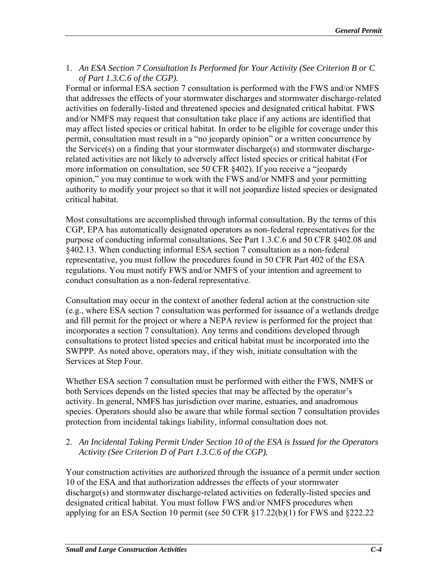1. An ESA Section 7 Consultation Is Performed for Your Activity (See Criterion B or C *of Part 1.3.C.6 of the CGP).* 

Formal or informal ESA section 7 consultation is performed with the FWS and/or NMFS that addresses the effects of your stormwater discharges and stormwater discharge-related activities on federally-listed and threatened species and designated critical habitat. FWS and/or NMFS may request that consultation take place if any actions are identified that may affect listed species or critical habitat. In order to be eligible for coverage under this permit, consultation must result in a "no jeopardy opinion" or a written concurrence by the Service(s) on a finding that your stormwater discharge(s) and stormwater dischargerelated activities are not likely to adversely affect listed species or critical habitat (For more information on consultation, see 50 CFR §402). If you receive a "jeopardy opinion," you may continue to work with the FWS and/or NMFS and your permitting authority to modify your project so that it will not jeopardize listed species or designated critical habitat.

Most consultations are accomplished through informal consultation. By the terms of this CGP, EPA has automatically designated operators as non-federal representatives for the purpose of conducting informal consultations. See Part 1.3.C.6 and 50 CFR §402.08 and §402.13. When conducting informal ESA section 7 consultation as a non-federal representative, you must follow the procedures found in 50 CFR Part 402 of the ESA regulations. You must notify FWS and/or NMFS of your intention and agreement to conduct consultation as a non-federal representative.

Consultation may occur in the context of another federal action at the construction site (e.g., where ESA section 7 consultation was performed for issuance of a wetlands dredge and fill permit for the project or where a NEPA review is performed for the project that incorporates a section 7 consultation). Any terms and conditions developed through consultations to protect listed species and critical habitat must be incorporated into the SWPPP. As noted above, operators may, if they wish, initiate consultation with the Services at Step Four.

Whether ESA section 7 consultation must be performed with either the FWS, NMFS or both Services depends on the listed species that may be affected by the operator's activity. In general, NMFS has jurisdiction over marine, estuaries, and anadromous species. Operators should also be aware that while formal section 7 consultation provides protection from incidental takings liability, informal consultation does not.

# 2. An Incidental Taking Permit Under Section 10 of the ESA is Issued for the Operators *Activity (See Criterion D of Part 1.3.C.6 of the CGP).*

Your construction activities are authorized through the issuance of a permit under section 10 of the ESA and that authorization addresses the effects of your stormwater discharge(s) and stormwater discharge-related activities on federally-listed species and designated critical habitat. You must follow FWS and/or NMFS procedures when applying for an ESA Section 10 permit (see 50 CFR §17.22(b)(1) for FWS and §222.22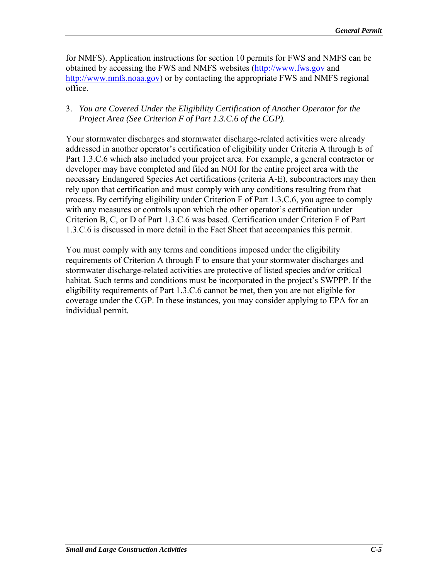for NMFS). Application instructions for section 10 permits for FWS and NMFS can be obtained by accessing the FWS and NMFS websites (http://www.fws.gov and http://www.nmfs.noaa.gov) or by contacting the appropriate FWS and NMFS regional office.

## 3. *You are Covered Under the Eligibility Certification of Another Operator for the Project Area (See Criterion F of Part 1.3.C.6 of the CGP).*

Your stormwater discharges and stormwater discharge-related activities were already addressed in another operator's certification of eligibility under Criteria A through E of Part 1.3.C.6 which also included your project area. For example, a general contractor or developer may have completed and filed an NOI for the entire project area with the necessary Endangered Species Act certifications (criteria A-E), subcontractors may then rely upon that certification and must comply with any conditions resulting from that process. By certifying eligibility under Criterion F of Part 1.3.C.6, you agree to comply with any measures or controls upon which the other operator's certification under Criterion B, C, or D of Part 1.3.C.6 was based. Certification under Criterion F of Part 1.3.C.6 is discussed in more detail in the Fact Sheet that accompanies this permit.

You must comply with any terms and conditions imposed under the eligibility requirements of Criterion A through F to ensure that your stormwater discharges and stormwater discharge-related activities are protective of listed species and/or critical habitat. Such terms and conditions must be incorporated in the project's SWPPP. If the eligibility requirements of Part 1.3.C.6 cannot be met, then you are not eligible for coverage under the CGP. In these instances, you may consider applying to EPA for an individual permit.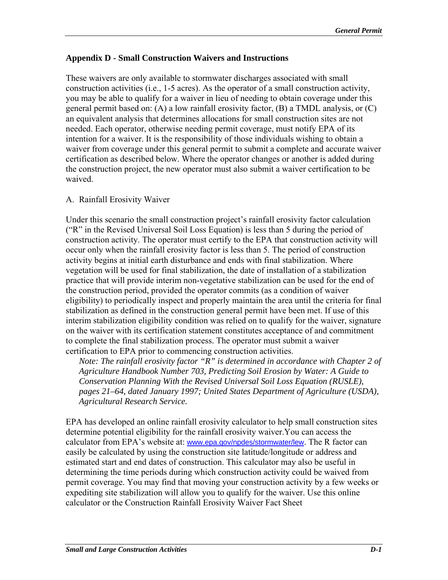## **Appendix D - Small Construction Waivers and Instructions**

These waivers are only available to stormwater discharges associated with small construction activities (i.e., 1-5 acres). As the operator of a small construction activity, you may be able to qualify for a waiver in lieu of needing to obtain coverage under this general permit based on: (A) a low rainfall erosivity factor, (B) a TMDL analysis, or (C) an equivalent analysis that determines allocations for small construction sites are not needed. Each operator, otherwise needing permit coverage, must notify EPA of its intention for a waiver. It is the responsibility of those individuals wishing to obtain a waiver from coverage under this general permit to submit a complete and accurate waiver certification as described below. Where the operator changes or another is added during the construction project, the new operator must also submit a waiver certification to be waived.

# A. Rainfall Erosivity Waiver

Under this scenario the small construction project's rainfall erosivity factor calculation ("R" in the Revised Universal Soil Loss Equation) is less than 5 during the period of construction activity. The operator must certify to the EPA that construction activity will occur only when the rainfall erosivity factor is less than 5. The period of construction activity begins at initial earth disturbance and ends with final stabilization. Where vegetation will be used for final stabilization, the date of installation of a stabilization practice that will provide interim non-vegetative stabilization can be used for the end of the construction period, provided the operator commits (as a condition of waiver eligibility) to periodically inspect and properly maintain the area until the criteria for final stabilization as defined in the construction general permit have been met. If use of this interim stabilization eligibility condition was relied on to qualify for the waiver, signature on the waiver with its certification statement constitutes acceptance of and commitment to complete the final stabilization process. The operator must submit a waiver certification to EPA prior to commencing construction activities.

*Note: The rainfall erosivity factor "R" is determined in accordance with Chapter 2 of Agriculture Handbook Number 703, Predicting Soil Erosion by Water: A Guide to Conservation Planning With the Revised Universal Soil Loss Equation (RUSLE), pages 21–64, dated January 1997; United States Department of Agriculture (USDA), Agricultural Research Service.* 

EPA has developed an online rainfall erosivity calculator to help small construction sites determine potential eligibility for the rainfall erosivity waiver.You can access the calculator from EPA's website at: www.epa.gov/npdes/stormwater/lew. The R factor can easily be calculated by using the construction site latitude/longitude or address and estimated start and end dates of construction. This calculator may also be useful in determining the time periods during which construction activity could be waived from permit coverage. You may find that moving your construction activity by a few weeks or expediting site stabilization will allow you to qualify for the waiver. Use this online calculator or the Construction Rainfall Erosivity Waiver Fact Sheet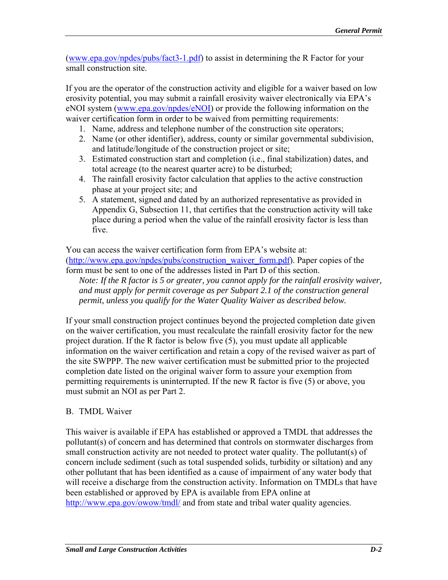(www.epa.gov/npdes/pubs/fact3-1.pdf) to assist in determining the R Factor for your small construction site.

If you are the operator of the construction activity and eligible for a waiver based on low erosivity potential, you may submit a rainfall erosivity waiver electronically via EPA's eNOI system (www.epa.gov/npdes/eNOI) or provide the following information on the waiver certification form in order to be waived from permitting requirements:

- 1. Name, address and telephone number of the construction site operators;
- 2. Name (or other identifier), address, county or similar governmental subdivision, and latitude/longitude of the construction project or site;
- 3. Estimated construction start and completion (i.e., final stabilization) dates, and total acreage (to the nearest quarter acre) to be disturbed;
- 4. The rainfall erosivity factor calculation that applies to the active construction phase at your project site; and
- 5. A statement, signed and dated by an authorized representative as provided in Appendix G, Subsection 11, that certifies that the construction activity will take place during a period when the value of the rainfall erosivity factor is less than five.

You can access the waiver certification form from EPA's website at: (http://www.epa.gov/npdes/pubs/construction\_waiver\_form.pdf). Paper copies of the form must be sent to one of the addresses listed in Part D of this section.

*Note: If the R factor is 5 or greater, you cannot apply for the rainfall erosivity waiver, and must apply for permit coverage as per Subpart 2.1 of the construction general permit, unless you qualify for the Water Quality Waiver as described below.* 

If your small construction project continues beyond the projected completion date given on the waiver certification, you must recalculate the rainfall erosivity factor for the new project duration. If the R factor is below five (5), you must update all applicable information on the waiver certification and retain a copy of the revised waiver as part of the site SWPPP. The new waiver certification must be submitted prior to the projected completion date listed on the original waiver form to assure your exemption from permitting requirements is uninterrupted. If the new R factor is five (5) or above, you must submit an NOI as per Part 2.

# B. TMDL Waiver

This waiver is available if EPA has established or approved a TMDL that addresses the pollutant(s) of concern and has determined that controls on stormwater discharges from small construction activity are not needed to protect water quality. The pollutant(s) of concern include sediment (such as total suspended solids, turbidity or siltation) and any other pollutant that has been identified as a cause of impairment of any water body that will receive a discharge from the construction activity. Information on TMDLs that have been established or approved by EPA is available from EPA online at http://www.epa.gov/owow/tmdl/ and from state and tribal water quality agencies.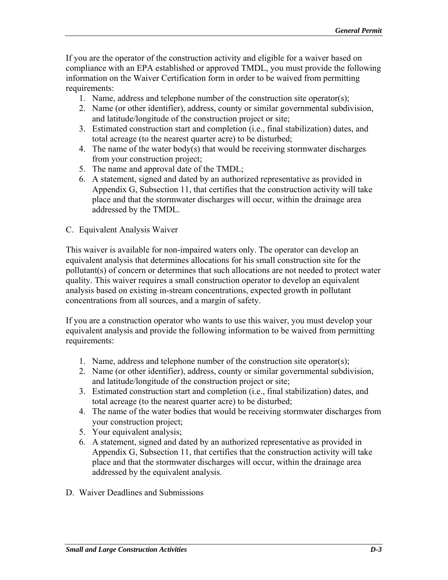If you are the operator of the construction activity and eligible for a waiver based on compliance with an EPA established or approved TMDL, you must provide the following information on the Waiver Certification form in order to be waived from permitting requirements:

- 1. Name, address and telephone number of the construction site operator(s);
- 2. Name (or other identifier), address, county or similar governmental subdivision, and latitude/longitude of the construction project or site;
- 3. Estimated construction start and completion (i.e., final stabilization) dates, and total acreage (to the nearest quarter acre) to be disturbed;
- 4. The name of the water body(s) that would be receiving stormwater discharges from your construction project;
- 5. The name and approval date of the TMDL;
- 6. A statement, signed and dated by an authorized representative as provided in Appendix G, Subsection 11, that certifies that the construction activity will take place and that the stormwater discharges will occur, within the drainage area addressed by the TMDL.
- C. Equivalent Analysis Waiver

This waiver is available for non-impaired waters only. The operator can develop an equivalent analysis that determines allocations for his small construction site for the pollutant(s) of concern or determines that such allocations are not needed to protect water quality. This waiver requires a small construction operator to develop an equivalent analysis based on existing in-stream concentrations, expected growth in pollutant concentrations from all sources, and a margin of safety.

If you are a construction operator who wants to use this waiver, you must develop your equivalent analysis and provide the following information to be waived from permitting requirements:

- 1. Name, address and telephone number of the construction site operator(s);
- 2. Name (or other identifier), address, county or similar governmental subdivision, and latitude/longitude of the construction project or site;
- 3. Estimated construction start and completion (i.e., final stabilization) dates, and total acreage (to the nearest quarter acre) to be disturbed;
- 4. The name of the water bodies that would be receiving stormwater discharges from your construction project;
- 5. Your equivalent analysis;
- 6. A statement, signed and dated by an authorized representative as provided in Appendix G, Subsection 11, that certifies that the construction activity will take place and that the stormwater discharges will occur, within the drainage area addressed by the equivalent analysis.
- D. Waiver Deadlines and Submissions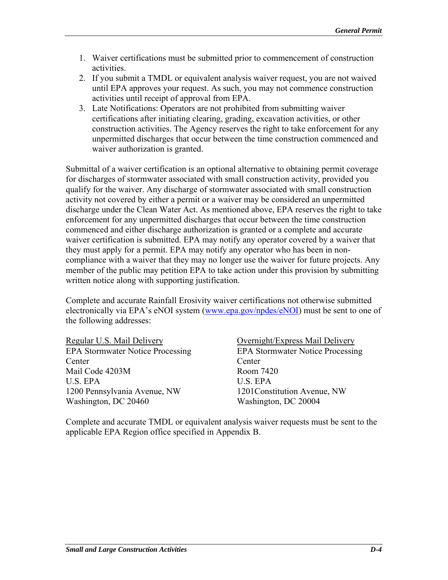- 1. Waiver certifications must be submitted prior to commencement of construction activities.
- 2. If you submit a TMDL or equivalent analysis waiver request, you are not waived until EPA approves your request. As such, you may not commence construction activities until receipt of approval from EPA.
- 3. Late Notifications: Operators are not prohibited from submitting waiver certifications after initiating clearing, grading, excavation activities, or other construction activities. The Agency reserves the right to take enforcement for any unpermitted discharges that occur between the time construction commenced and waiver authorization is granted.

Submittal of a waiver certification is an optional alternative to obtaining permit coverage for discharges of stormwater associated with small construction activity, provided you qualify for the waiver. Any discharge of stormwater associated with small construction activity not covered by either a permit or a waiver may be considered an unpermitted discharge under the Clean Water Act. As mentioned above, EPA reserves the right to take enforcement for any unpermitted discharges that occur between the time construction commenced and either discharge authorization is granted or a complete and accurate waiver certification is submitted. EPA may notify any operator covered by a waiver that they must apply for a permit. EPA may notify any operator who has been in noncompliance with a waiver that they may no longer use the waiver for future projects. Any member of the public may petition EPA to take action under this provision by submitting written notice along with supporting justification.

Complete and accurate Rainfall Erosivity waiver certifications not otherwise submitted electronically via EPA's eNOI system (www.epa.gov/npdes/eNOI) must be sent to one of the following addresses:

Regular U.S. Mail Delivery **Overnight** *Overnight* Express Mail Delivery Center Center Mail Code 4203M Room 7420 U.S. EPA U.S. EPA 1200 Pennsylvania Avenue, NW 1201Constitution Avenue, NW Washington, DC 20460 Washington, DC 20004

EPA Stormwater Notice Processing EPA Stormwater Notice Processing

Complete and accurate TMDL or equivalent analysis waiver requests must be sent to the applicable EPA Region office specified in Appendix B.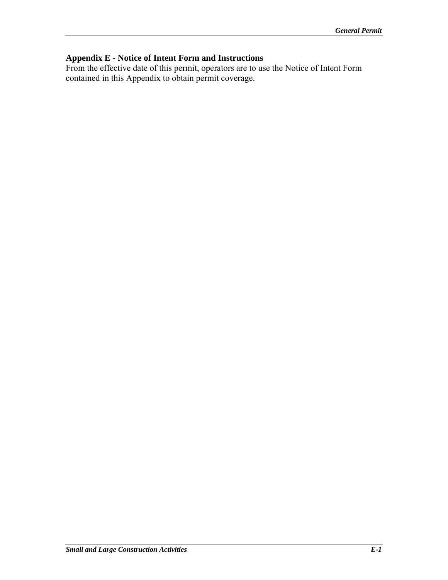# **Appendix E - Notice of Intent Form and Instructions**

From the effective date of this permit, operators are to use the Notice of Intent Form contained in this Appendix to obtain permit coverage.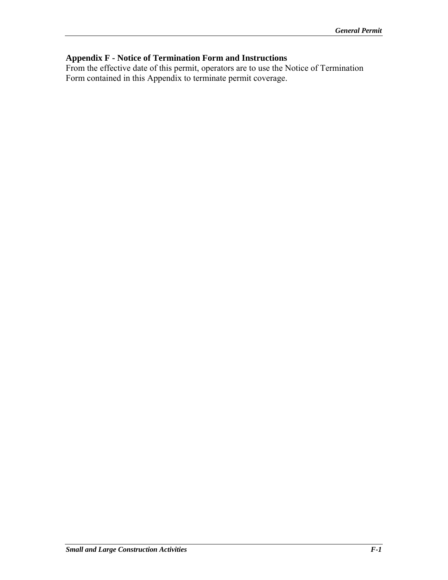# **Appendix F - Notice of Termination Form and Instructions**

From the effective date of this permit, operators are to use the Notice of Termination Form contained in this Appendix to terminate permit coverage.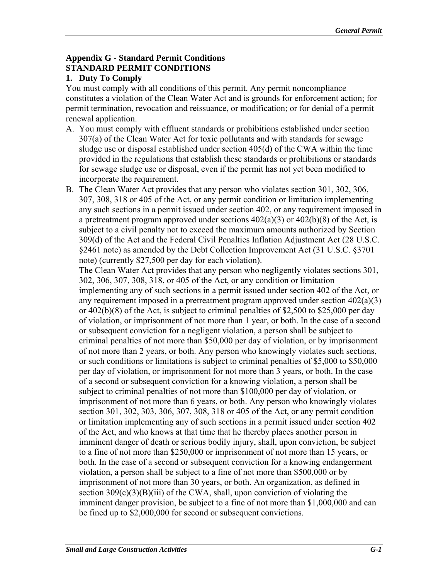## **Appendix G - Standard Permit Conditions STANDARD PERMIT CONDITIONS**

## **1. Duty To Comply**

You must comply with all conditions of this permit. Any permit noncompliance constitutes a violation of the Clean Water Act and is grounds for enforcement action; for permit termination, revocation and reissuance, or modification; or for denial of a permit renewal application.

- A. You must comply with effluent standards or prohibitions established under section 307(a) of the Clean Water Act for toxic pollutants and with standards for sewage sludge use or disposal established under section 405(d) of the CWA within the time provided in the regulations that establish these standards or prohibitions or standards for sewage sludge use or disposal, even if the permit has not yet been modified to incorporate the requirement.
- B. The Clean Water Act provides that any person who violates section 301, 302, 306, 307, 308, 318 or 405 of the Act, or any permit condition or limitation implementing any such sections in a permit issued under section 402, or any requirement imposed in a pretreatment program approved under sections  $402(a)(3)$  or  $402(b)(8)$  of the Act, is subject to a civil penalty not to exceed the maximum amounts authorized by Section 309(d) of the Act and the Federal Civil Penalties Inflation Adjustment Act (28 U.S.C. §2461 note) as amended by the Debt Collection Improvement Act (31 U.S.C. §3701 note) (currently \$27,500 per day for each violation).

The Clean Water Act provides that any person who negligently violates sections 301, 302, 306, 307, 308, 318, or 405 of the Act, or any condition or limitation implementing any of such sections in a permit issued under section 402 of the Act, or any requirement imposed in a pretreatment program approved under section 402(a)(3) or 402(b)(8) of the Act, is subject to criminal penalties of \$2,500 to \$25,000 per day of violation, or imprisonment of not more than 1 year, or both. In the case of a second or subsequent conviction for a negligent violation, a person shall be subject to criminal penalties of not more than \$50,000 per day of violation, or by imprisonment of not more than 2 years, or both. Any person who knowingly violates such sections, or such conditions or limitations is subject to criminal penalties of \$5,000 to \$50,000 per day of violation, or imprisonment for not more than 3 years, or both. In the case of a second or subsequent conviction for a knowing violation, a person shall be subject to criminal penalties of not more than \$100,000 per day of violation, or imprisonment of not more than 6 years, or both. Any person who knowingly violates section 301, 302, 303, 306, 307, 308, 318 or 405 of the Act, or any permit condition or limitation implementing any of such sections in a permit issued under section 402 of the Act, and who knows at that time that he thereby places another person in imminent danger of death or serious bodily injury, shall, upon conviction, be subject to a fine of not more than \$250,000 or imprisonment of not more than 15 years, or both. In the case of a second or subsequent conviction for a knowing endangerment violation, a person shall be subject to a fine of not more than \$500,000 or by imprisonment of not more than 30 years, or both. An organization, as defined in section  $309(c)(3)(B)(iii)$  of the CWA, shall, upon conviction of violating the imminent danger provision, be subject to a fine of not more than \$1,000,000 and can be fined up to \$2,000,000 for second or subsequent convictions.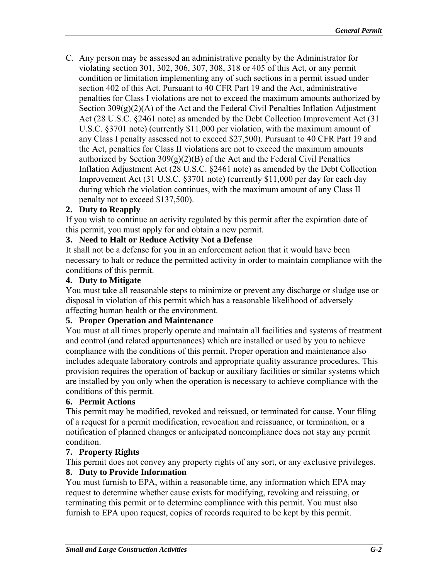C. Any person may be assessed an administrative penalty by the Administrator for violating section 301, 302, 306, 307, 308, 318 or 405 of this Act, or any permit condition or limitation implementing any of such sections in a permit issued under section 402 of this Act. Pursuant to 40 CFR Part 19 and the Act, administrative penalties for Class I violations are not to exceed the maximum amounts authorized by Section 309(g)(2)(A) of the Act and the Federal Civil Penalties Inflation Adjustment Act (28 U.S.C. §2461 note) as amended by the Debt Collection Improvement Act (31 U.S.C. §3701 note) (currently \$11,000 per violation, with the maximum amount of any Class I penalty assessed not to exceed \$27,500). Pursuant to 40 CFR Part 19 and the Act, penalties for Class II violations are not to exceed the maximum amounts authorized by Section  $309(g)(2)(B)$  of the Act and the Federal Civil Penalties Inflation Adjustment Act (28 U.S.C. §2461 note) as amended by the Debt Collection Improvement Act (31 U.S.C. §3701 note) (currently \$11,000 per day for each day during which the violation continues, with the maximum amount of any Class II penalty not to exceed \$137,500).

### **2. Duty to Reapply**

If you wish to continue an activity regulated by this permit after the expiration date of this permit, you must apply for and obtain a new permit.

### **3. Need to Halt or Reduce Activity Not a Defense**

It shall not be a defense for you in an enforcement action that it would have been necessary to halt or reduce the permitted activity in order to maintain compliance with the conditions of this permit.

#### **4. Duty to Mitigate**

You must take all reasonable steps to minimize or prevent any discharge or sludge use or disposal in violation of this permit which has a reasonable likelihood of adversely affecting human health or the environment.

#### **5. Proper Operation and Maintenance**

You must at all times properly operate and maintain all facilities and systems of treatment and control (and related appurtenances) which are installed or used by you to achieve compliance with the conditions of this permit. Proper operation and maintenance also includes adequate laboratory controls and appropriate quality assurance procedures. This provision requires the operation of backup or auxiliary facilities or similar systems which are installed by you only when the operation is necessary to achieve compliance with the conditions of this permit.

### **6. Permit Actions**

This permit may be modified, revoked and reissued, or terminated for cause. Your filing of a request for a permit modification, revocation and reissuance, or termination, or a notification of planned changes or anticipated noncompliance does not stay any permit condition.

### **7. Property Rights**

This permit does not convey any property rights of any sort, or any exclusive privileges.

### **8. Duty to Provide Information**

You must furnish to EPA, within a reasonable time, any information which EPA may request to determine whether cause exists for modifying, revoking and reissuing, or terminating this permit or to determine compliance with this permit. You must also furnish to EPA upon request, copies of records required to be kept by this permit.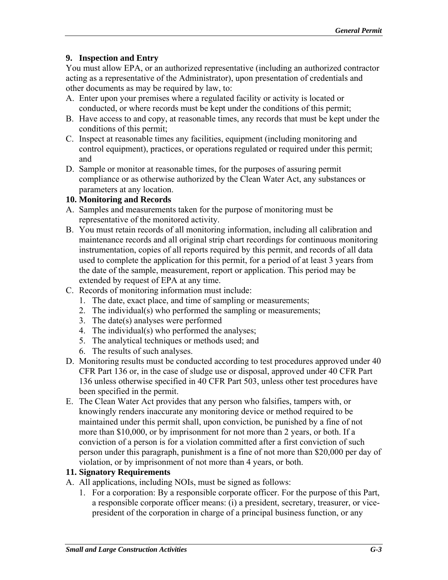## **9. Inspection and Entry**

You must allow EPA, or an authorized representative (including an authorized contractor acting as a representative of the Administrator), upon presentation of credentials and other documents as may be required by law, to:

- A. Enter upon your premises where a regulated facility or activity is located or conducted, or where records must be kept under the conditions of this permit;
- B. Have access to and copy, at reasonable times, any records that must be kept under the conditions of this permit;
- C. Inspect at reasonable times any facilities, equipment (including monitoring and control equipment), practices, or operations regulated or required under this permit; and
- D. Sample or monitor at reasonable times, for the purposes of assuring permit compliance or as otherwise authorized by the Clean Water Act, any substances or parameters at any location.

## **10. Monitoring and Records**

- A. Samples and measurements taken for the purpose of monitoring must be representative of the monitored activity.
- B. You must retain records of all monitoring information, including all calibration and maintenance records and all original strip chart recordings for continuous monitoring instrumentation, copies of all reports required by this permit, and records of all data used to complete the application for this permit, for a period of at least 3 years from the date of the sample, measurement, report or application. This period may be extended by request of EPA at any time.
- C. Records of monitoring information must include:
	- 1. The date, exact place, and time of sampling or measurements;
	- 2. The individual(s) who performed the sampling or measurements;
	- 3. The date(s) analyses were performed
	- 4. The individual(s) who performed the analyses;
	- 5. The analytical techniques or methods used; and
	- 6. The results of such analyses.
- D. Monitoring results must be conducted according to test procedures approved under 40 CFR Part 136 or, in the case of sludge use or disposal, approved under 40 CFR Part 136 unless otherwise specified in 40 CFR Part 503, unless other test procedures have been specified in the permit.
- E. The Clean Water Act provides that any person who falsifies, tampers with, or knowingly renders inaccurate any monitoring device or method required to be maintained under this permit shall, upon conviction, be punished by a fine of not more than \$10,000, or by imprisonment for not more than 2 years, or both. If a conviction of a person is for a violation committed after a first conviction of such person under this paragraph, punishment is a fine of not more than \$20,000 per day of violation, or by imprisonment of not more than 4 years, or both.

### **11. Signatory Requirements**

- A. All applications, including NOIs, must be signed as follows:
	- 1. For a corporation: By a responsible corporate officer. For the purpose of this Part, a responsible corporate officer means: (i) a president, secretary, treasurer, or vicepresident of the corporation in charge of a principal business function, or any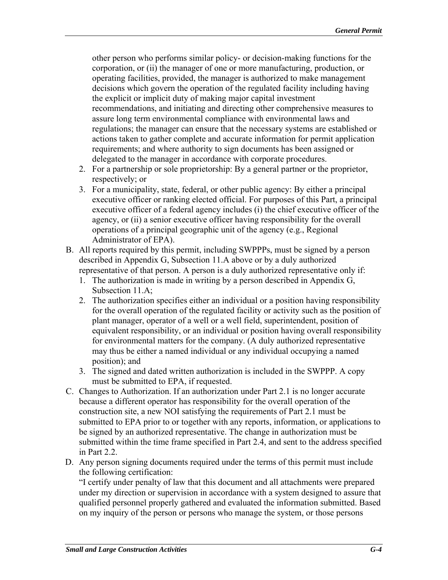other person who performs similar policy- or decision-making functions for the corporation, or (ii) the manager of one or more manufacturing, production, or operating facilities, provided, the manager is authorized to make management decisions which govern the operation of the regulated facility including having the explicit or implicit duty of making major capital investment recommendations, and initiating and directing other comprehensive measures to assure long term environmental compliance with environmental laws and regulations; the manager can ensure that the necessary systems are established or actions taken to gather complete and accurate information for permit application requirements; and where authority to sign documents has been assigned or delegated to the manager in accordance with corporate procedures.

- 2. For a partnership or sole proprietorship: By a general partner or the proprietor, respectively; or
- 3. For a municipality, state, federal, or other public agency: By either a principal executive officer or ranking elected official. For purposes of this Part, a principal executive officer of a federal agency includes (i) the chief executive officer of the agency, or (ii) a senior executive officer having responsibility for the overall operations of a principal geographic unit of the agency (e.g., Regional Administrator of EPA).
- B. All reports required by this permit, including SWPPPs, must be signed by a person described in Appendix G, Subsection 11.A above or by a duly authorized representative of that person. A person is a duly authorized representative only if:
	- 1. The authorization is made in writing by a person described in Appendix  $G$ , Subsection 11.A;
	- 2. The authorization specifies either an individual or a position having responsibility for the overall operation of the regulated facility or activity such as the position of plant manager, operator of a well or a well field, superintendent, position of equivalent responsibility, or an individual or position having overall responsibility for environmental matters for the company. (A duly authorized representative may thus be either a named individual or any individual occupying a named position); and
	- 3. The signed and dated written authorization is included in the SWPPP. A copy must be submitted to EPA, if requested.
- C. Changes to Authorization. If an authorization under Part 2.1 is no longer accurate because a different operator has responsibility for the overall operation of the construction site, a new NOI satisfying the requirements of Part 2.1 must be submitted to EPA prior to or together with any reports, information, or applications to be signed by an authorized representative. The change in authorization must be submitted within the time frame specified in Part 2.4, and sent to the address specified in Part 2.2.
- D. Any person signing documents required under the terms of this permit must include the following certification:

"I certify under penalty of law that this document and all attachments were prepared under my direction or supervision in accordance with a system designed to assure that qualified personnel properly gathered and evaluated the information submitted. Based on my inquiry of the person or persons who manage the system, or those persons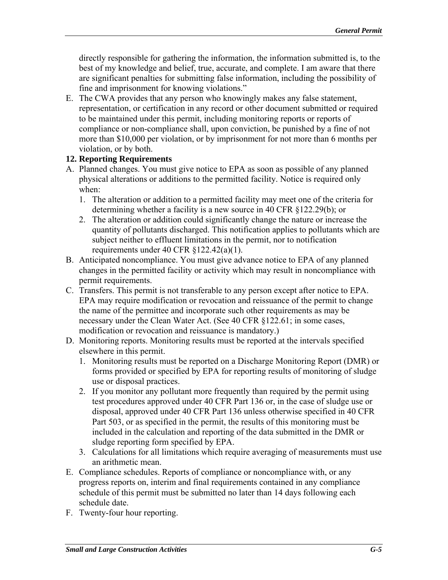directly responsible for gathering the information, the information submitted is, to the best of my knowledge and belief, true, accurate, and complete. I am aware that there are significant penalties for submitting false information, including the possibility of fine and imprisonment for knowing violations."

E. The CWA provides that any person who knowingly makes any false statement, representation, or certification in any record or other document submitted or required to be maintained under this permit, including monitoring reports or reports of compliance or non-compliance shall, upon conviction, be punished by a fine of not more than \$10,000 per violation, or by imprisonment for not more than 6 months per violation, or by both.

## **12. Reporting Requirements**

- A. Planned changes. You must give notice to EPA as soon as possible of any planned physical alterations or additions to the permitted facility. Notice is required only when:
	- 1. The alteration or addition to a permitted facility may meet one of the criteria for determining whether a facility is a new source in 40 CFR §122.29(b); or
	- 2. The alteration or addition could significantly change the nature or increase the quantity of pollutants discharged. This notification applies to pollutants which are subject neither to effluent limitations in the permit, nor to notification requirements under 40 CFR §122.42(a)(1).
- B. Anticipated noncompliance. You must give advance notice to EPA of any planned changes in the permitted facility or activity which may result in noncompliance with permit requirements.
- C. Transfers. This permit is not transferable to any person except after notice to EPA. EPA may require modification or revocation and reissuance of the permit to change the name of the permittee and incorporate such other requirements as may be necessary under the Clean Water Act. (See 40 CFR §122.61; in some cases, modification or revocation and reissuance is mandatory.)
- D. Monitoring reports. Monitoring results must be reported at the intervals specified elsewhere in this permit.
	- 1. Monitoring results must be reported on a Discharge Monitoring Report (DMR) or forms provided or specified by EPA for reporting results of monitoring of sludge use or disposal practices.
	- 2. If you monitor any pollutant more frequently than required by the permit using test procedures approved under 40 CFR Part 136 or, in the case of sludge use or disposal, approved under 40 CFR Part 136 unless otherwise specified in 40 CFR Part 503, or as specified in the permit, the results of this monitoring must be included in the calculation and reporting of the data submitted in the DMR or sludge reporting form specified by EPA.
	- 3. Calculations for all limitations which require averaging of measurements must use an arithmetic mean.
- E. Compliance schedules. Reports of compliance or noncompliance with, or any progress reports on, interim and final requirements contained in any compliance schedule of this permit must be submitted no later than 14 days following each schedule date.
- F. Twenty-four hour reporting.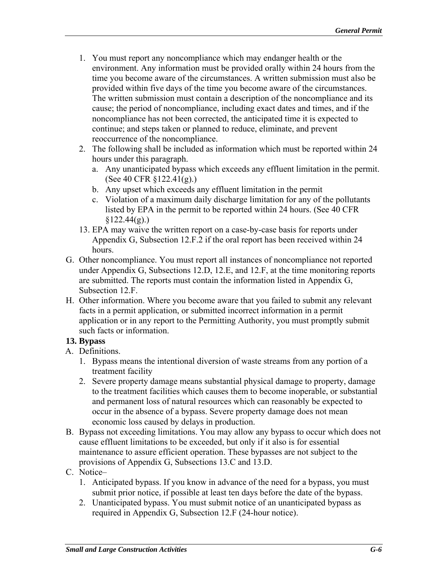- 1. You must report any noncompliance which may endanger health or the environment. Any information must be provided orally within 24 hours from the time you become aware of the circumstances. A written submission must also be provided within five days of the time you become aware of the circumstances. The written submission must contain a description of the noncompliance and its cause; the period of noncompliance, including exact dates and times, and if the noncompliance has not been corrected, the anticipated time it is expected to continue; and steps taken or planned to reduce, eliminate, and prevent reoccurrence of the noncompliance.
- 2. The following shall be included as information which must be reported within 24 hours under this paragraph.
	- a. Any unanticipated bypass which exceeds any effluent limitation in the permit. (See 40 CFR §122.41(g).)
	- b. Any upset which exceeds any effluent limitation in the permit
	- c. Violation of a maximum daily discharge limitation for any of the pollutants listed by EPA in the permit to be reported within 24 hours. (See 40 CFR  $$122.44(g).$
- 13. EPA may waive the written report on a case-by-case basis for reports under Appendix G, Subsection 12.F.2 if the oral report has been received within 24 hours.
- G. Other noncompliance. You must report all instances of noncompliance not reported under Appendix G, Subsections 12.D, 12.E, and 12.F, at the time monitoring reports are submitted. The reports must contain the information listed in Appendix G, Subsection 12.F.
- H. Other information. Where you become aware that you failed to submit any relevant facts in a permit application, or submitted incorrect information in a permit application or in any report to the Permitting Authority, you must promptly submit such facts or information.

## **13. Bypass**

- A. Definitions.
	- 1. Bypass means the intentional diversion of waste streams from any portion of a treatment facility
	- 2. Severe property damage means substantial physical damage to property, damage to the treatment facilities which causes them to become inoperable, or substantial and permanent loss of natural resources which can reasonably be expected to occur in the absence of a bypass. Severe property damage does not mean economic loss caused by delays in production.
- B. Bypass not exceeding limitations. You may allow any bypass to occur which does not cause effluent limitations to be exceeded, but only if it also is for essential maintenance to assure efficient operation. These bypasses are not subject to the provisions of Appendix G, Subsections 13.C and 13.D.
- C. Notice–
	- 1. Anticipated bypass. If you know in advance of the need for a bypass, you must submit prior notice, if possible at least ten days before the date of the bypass.
	- 2. Unanticipated bypass. You must submit notice of an unanticipated bypass as required in Appendix G, Subsection 12.F (24-hour notice).